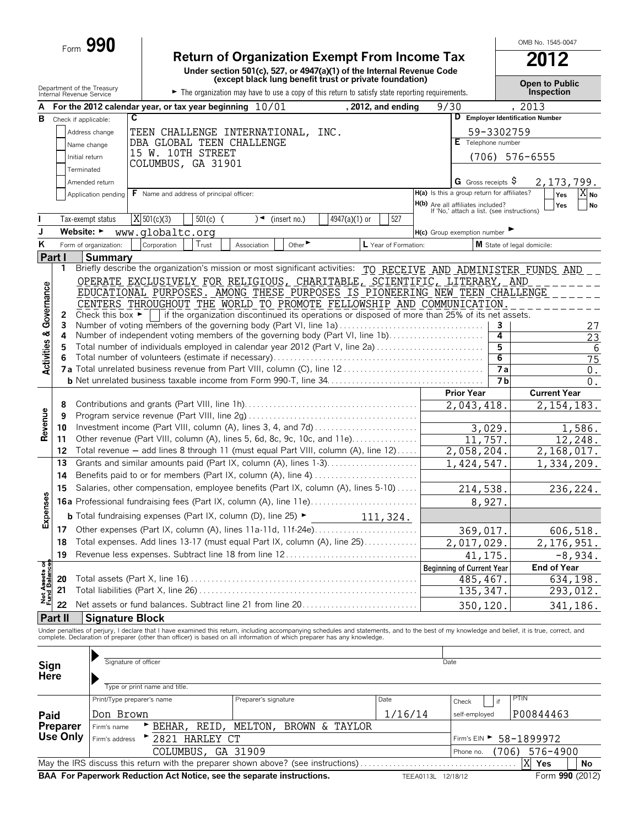|                                        |                                                        | Form 990                             |                                                                                                                                                                                                                                   |             |           |                      |                             | <b>Return of Organization Exempt From Income Tax</b>                                                                                                       |                      |         |                                                                                 |                        |                              | OMB No. 1545-0047                          |                      |
|----------------------------------------|--------------------------------------------------------|--------------------------------------|-----------------------------------------------------------------------------------------------------------------------------------------------------------------------------------------------------------------------------------|-------------|-----------|----------------------|-----------------------------|------------------------------------------------------------------------------------------------------------------------------------------------------------|----------------------|---------|---------------------------------------------------------------------------------|------------------------|------------------------------|--------------------------------------------|----------------------|
|                                        |                                                        |                                      |                                                                                                                                                                                                                                   |             |           |                      |                             | Under section 501(c), 527, or 4947(a)(1) of the Internal Revenue Code                                                                                      |                      |         |                                                                                 |                        |                              |                                            |                      |
|                                        | Department of the Treasury<br>Internal Revenue Service |                                      |                                                                                                                                                                                                                                   |             |           |                      |                             | (except black lung benefit trust or private foundation)<br>The organization may have to use a copy of this return to satisfy state reporting requirements. |                      |         |                                                                                 |                        |                              | <b>Open to Public</b><br><b>Inspection</b> |                      |
|                                        |                                                        |                                      | For the 2012 calendar year, or tax year beginning $10/01$                                                                                                                                                                         |             |           |                      |                             |                                                                                                                                                            | , 2012, and ending   |         | 9/30                                                                            |                        |                              | , 2013                                     |                      |
| в                                      | Check if applicable:                                   |                                      | $\overline{\mathbf{c}}$                                                                                                                                                                                                           |             |           |                      |                             |                                                                                                                                                            |                      |         |                                                                                 |                        |                              | D Employer Identification Number           |                      |
|                                        |                                                        | Address change                       | TEEN CHALLENGE INTERNATIONAL, INC.                                                                                                                                                                                                |             |           |                      |                             |                                                                                                                                                            |                      |         |                                                                                 |                        | 59-3302759                   |                                            |                      |
|                                        |                                                        | Name change                          | DBA GLOBAL TEEN CHALLENGE                                                                                                                                                                                                         |             |           |                      |                             |                                                                                                                                                            |                      |         |                                                                                 |                        | E Telephone number           |                                            |                      |
|                                        | Initial return                                         |                                      | 15 W. 10TH STREET                                                                                                                                                                                                                 |             |           |                      |                             |                                                                                                                                                            |                      |         |                                                                                 | (706)                  |                              | 576-6555                                   |                      |
|                                        | Terminated                                             |                                      | COLUMBUS, GA 31901                                                                                                                                                                                                                |             |           |                      |                             |                                                                                                                                                            |                      |         |                                                                                 |                        |                              |                                            |                      |
|                                        |                                                        | Amended return                       |                                                                                                                                                                                                                                   |             |           |                      |                             |                                                                                                                                                            |                      |         |                                                                                 |                        | G Gross receipts $\varsigma$ |                                            | 2,173,799.           |
|                                        |                                                        | Application pending                  | <b>F</b> Name and address of principal officer:                                                                                                                                                                                   |             |           |                      |                             |                                                                                                                                                            |                      |         | H(a) Is this a group return for affiliates?                                     |                        |                              |                                            | $X_{No}$<br>Yes      |
|                                        |                                                        |                                      |                                                                                                                                                                                                                                   |             |           |                      |                             |                                                                                                                                                            |                      |         | H(b) Are all affiliates included?<br>If 'No,' attach a list. (see instructions) |                        |                              |                                            | Yes<br><b>No</b>     |
|                                        |                                                        | Tax-exempt status                    | $\overline{X}$ 501(c)(3)                                                                                                                                                                                                          | $501(c)$ (  |           | )◄                   | (insert no.)                | 4947(a)(1) or                                                                                                                                              | 527                  |         |                                                                                 |                        |                              |                                            |                      |
| J                                      | Website: ►                                             |                                      | www.globaltc.org                                                                                                                                                                                                                  |             |           |                      |                             |                                                                                                                                                            |                      |         | $H(c)$ Group exemption number                                                   |                        |                              |                                            |                      |
| K                                      |                                                        | Form of organization:                | Corporation                                                                                                                                                                                                                       | Trust       |           | Association          | Other $\blacktriangleright$ |                                                                                                                                                            | L Year of Formation: |         |                                                                                 |                        |                              | M State of legal domicile:                 |                      |
|                                        | Part I                                                 | <b>Summary</b>                       |                                                                                                                                                                                                                                   |             |           |                      |                             |                                                                                                                                                            |                      |         |                                                                                 |                        |                              |                                            |                      |
|                                        | 1                                                      |                                      | Briefly describe the organization's mission or most significant activities: TO_RECEIVE_AND_ADMINISTER_FUNDS_AND                                                                                                                   |             |           |                      |                             |                                                                                                                                                            |                      |         |                                                                                 |                        |                              |                                            |                      |
|                                        |                                                        |                                      | OPERATE EXCLUSIVELY FOR RELIGIOUS, CHARITABLE, SCIENTIFIC, LITERARY, AND<br>EDUCATIONAL PURPOSES. AMONG THESE PURPOSES IS PIONEERING NEW TEEN CHALLENGE                                                                           |             |           |                      |                             |                                                                                                                                                            |                      |         |                                                                                 |                        |                              |                                            |                      |
|                                        |                                                        |                                      | CENTERS THROUGHOUT THE WORLD TO PROMOTE FELLOWSHIP AND COMMUNICATION.                                                                                                                                                             |             |           |                      |                             |                                                                                                                                                            |                      |         |                                                                                 |                        |                              |                                            |                      |
|                                        | 2                                                      | Check this box $\blacktriangleright$ |                                                                                                                                                                                                                                   |             |           |                      |                             | if the organization discontinued its operations or disposed of more than 25% of its net assets.                                                            |                      |         |                                                                                 |                        |                              |                                            |                      |
|                                        | 3                                                      |                                      | Number of voting members of the governing body (Part VI, line 1a)                                                                                                                                                                 |             |           |                      |                             |                                                                                                                                                            |                      |         |                                                                                 |                        | 3                            |                                            | 27                   |
|                                        | 4                                                      |                                      | Number of independent voting members of the governing body (Part VI, line 1b)                                                                                                                                                     |             |           |                      |                             |                                                                                                                                                            |                      |         |                                                                                 |                        | 4                            |                                            | 23                   |
|                                        | 5                                                      |                                      | Total number of individuals employed in calendar year 2012 (Part V, line 2a)                                                                                                                                                      |             |           |                      |                             |                                                                                                                                                            |                      |         |                                                                                 |                        | 5                            |                                            | 6                    |
| <b>Activities &amp; Governance</b>     |                                                        |                                      |                                                                                                                                                                                                                                   |             |           |                      |                             |                                                                                                                                                            |                      |         |                                                                                 |                        | 6<br><b>7a</b>               |                                            | 75                   |
|                                        |                                                        |                                      |                                                                                                                                                                                                                                   |             |           |                      |                             |                                                                                                                                                            |                      |         |                                                                                 |                        | 7 <sub>b</sub>               |                                            | $0$ .<br>$0$ .       |
|                                        |                                                        |                                      |                                                                                                                                                                                                                                   |             |           |                      |                             |                                                                                                                                                            |                      |         |                                                                                 | <b>Prior Year</b>      |                              |                                            | <b>Current Year</b>  |
|                                        | 8                                                      |                                      |                                                                                                                                                                                                                                   |             |           |                      |                             |                                                                                                                                                            |                      |         |                                                                                 | 2,043,418.             |                              |                                            | 2, 154, 183.         |
| Revenue                                | 9                                                      |                                      |                                                                                                                                                                                                                                   |             |           |                      |                             |                                                                                                                                                            |                      |         |                                                                                 |                        |                              |                                            |                      |
|                                        | 10                                                     |                                      | Investment income (Part VIII, column (A), lines 3, 4, and 7d)                                                                                                                                                                     |             |           |                      |                             |                                                                                                                                                            |                      |         |                                                                                 |                        | 3,029.                       |                                            | 1,586.               |
|                                        | 11                                                     |                                      | Other revenue (Part VIII, column (A), lines 5, 6d, 8c, 9c, 10c, and 11e)                                                                                                                                                          |             |           |                      |                             |                                                                                                                                                            |                      |         |                                                                                 | 11,757.                |                              |                                            | 12,248.              |
|                                        | 12                                                     |                                      | Total revenue - add lines 8 through 11 (must equal Part VIII, column (A), line 12)                                                                                                                                                |             |           |                      |                             |                                                                                                                                                            |                      |         |                                                                                 | 2,058,204.             |                              |                                            | 2,168,017.           |
|                                        | 13                                                     |                                      | Grants and similar amounts paid (Part IX, column (A), lines 1-3)                                                                                                                                                                  |             |           |                      |                             |                                                                                                                                                            |                      |         |                                                                                 | 1,424,547.             |                              |                                            | 1,334,209.           |
|                                        | 14                                                     |                                      |                                                                                                                                                                                                                                   |             |           |                      |                             |                                                                                                                                                            |                      |         |                                                                                 |                        |                              |                                            |                      |
| O)                                     | 15                                                     |                                      | Salaries, other compensation, employee benefits (Part IX, column (A), lines 5-10)                                                                                                                                                 |             |           |                      |                             |                                                                                                                                                            |                      |         |                                                                                 | 214,538                |                              |                                            | 236,224.             |
| Expenses                               |                                                        |                                      |                                                                                                                                                                                                                                   |             |           |                      |                             |                                                                                                                                                            |                      |         |                                                                                 |                        | 8,927.                       |                                            |                      |
|                                        |                                                        |                                      | <b>b</b> Total fundraising expenses (Part IX, column (D), line 25) ►                                                                                                                                                              |             |           |                      |                             |                                                                                                                                                            | 111,324.             |         |                                                                                 |                        |                              |                                            |                      |
|                                        | 17                                                     |                                      | Other expenses (Part IX, column (A), lines 11a-11d, 11f-24e)                                                                                                                                                                      |             |           |                      |                             |                                                                                                                                                            |                      |         |                                                                                 | 369,017.               |                              |                                            | 606,518.             |
|                                        | 18                                                     |                                      | Total expenses. Add lines 13-17 (must equal Part IX, column (A), line 25)                                                                                                                                                         |             |           |                      |                             |                                                                                                                                                            |                      |         |                                                                                 | 2,017,029.             |                              |                                            | 2, 176, 951.         |
|                                        | 19                                                     |                                      | Revenue less expenses. Subtract line 18 from line 12                                                                                                                                                                              |             |           |                      |                             |                                                                                                                                                            |                      |         |                                                                                 | 41,175.                |                              |                                            | $-8,934.$            |
|                                        | 20                                                     |                                      |                                                                                                                                                                                                                                   |             |           |                      |                             |                                                                                                                                                            |                      |         | <b>Beginning of Current Year</b>                                                |                        |                              |                                            | <b>End of Year</b>   |
| <b>Net Assets of<br/>Fund Balances</b> | 21                                                     |                                      |                                                                                                                                                                                                                                   |             |           |                      |                             |                                                                                                                                                            |                      |         |                                                                                 | 485, 467.<br>135, 347. |                              |                                            | 634,198.<br>293,012. |
|                                        | 22                                                     |                                      | Net assets or fund balances. Subtract line 21 from line 20                                                                                                                                                                        |             |           |                      |                             |                                                                                                                                                            |                      |         |                                                                                 |                        |                              |                                            |                      |
|                                        | Part II                                                | <b>Signature Block</b>               |                                                                                                                                                                                                                                   |             |           |                      |                             |                                                                                                                                                            |                      |         |                                                                                 | 350,120                |                              |                                            | 341,186.             |
|                                        |                                                        |                                      |                                                                                                                                                                                                                                   |             |           |                      |                             |                                                                                                                                                            |                      |         |                                                                                 |                        |                              |                                            |                      |
|                                        |                                                        |                                      | Under penalties of perjury, I declare that I have examined this return, including accompanying schedules and statements, and to the best of my knowledge and belief, it is true, correct, and<br>complete. Declaration of prepare |             |           |                      |                             |                                                                                                                                                            |                      |         |                                                                                 |                        |                              |                                            |                      |
|                                        |                                                        |                                      |                                                                                                                                                                                                                                   |             |           |                      |                             |                                                                                                                                                            |                      |         |                                                                                 |                        |                              |                                            |                      |
| Sign                                   |                                                        |                                      | Signature of officer                                                                                                                                                                                                              |             |           |                      |                             |                                                                                                                                                            |                      |         | Date                                                                            |                        |                              |                                            |                      |
| Here                                   |                                                        |                                      |                                                                                                                                                                                                                                   |             |           |                      |                             |                                                                                                                                                            |                      |         |                                                                                 |                        |                              |                                            |                      |
|                                        |                                                        |                                      | Type or print name and title.                                                                                                                                                                                                     |             |           |                      |                             |                                                                                                                                                            |                      |         |                                                                                 |                        |                              |                                            |                      |
|                                        |                                                        |                                      | Print/Type preparer's name                                                                                                                                                                                                        |             |           | Preparer's signature |                             |                                                                                                                                                            | Date                 |         | Check                                                                           |                        | if                           | PTIN                                       |                      |
| Paid                                   |                                                        | Don Brown                            |                                                                                                                                                                                                                                   |             |           |                      |                             |                                                                                                                                                            |                      | 1/16/14 |                                                                                 | self-employed          |                              | P00844463                                  |                      |
|                                        | Preparer                                               | Firm's name                          | BEHAR,                                                                                                                                                                                                                            | REID        |           | MELTON,              |                             | BROWN & TAYLOR                                                                                                                                             |                      |         |                                                                                 |                        |                              |                                            |                      |
|                                        | Use Only                                               | Firm's address                       |                                                                                                                                                                                                                                   | 2821 HARLEY | <b>CT</b> |                      |                             |                                                                                                                                                            |                      |         |                                                                                 |                        |                              | Firm's EIN > 58-1899972                    |                      |

Phone no. May the IRS discuss this return with the preparer shown above? (see instructions) . . . . . . . . . . . . . . . . . . . . . . . . . . . . . . . . . . . . . . **Yes No BAA For Paperwork Reduction Act Notice, see the separate instructions.** TEEA0113L 12/18/12 X Yes COLUMBUS, GA 31909 Phone no. (706) 576-4900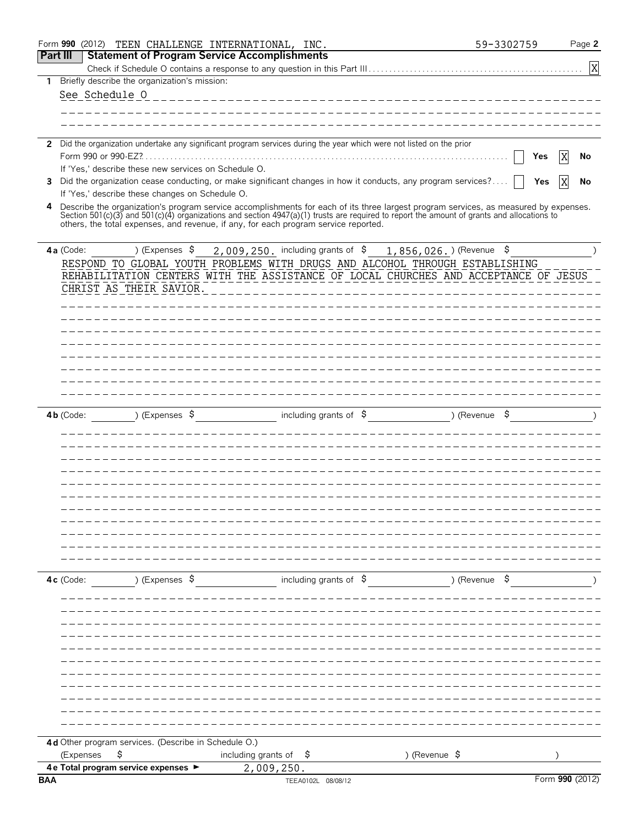|                 | Form 990 (2012) | TEEN CHALLENGE INTERNATIONAL, INC.                                                  |                                        |                                |                                                                                                                                                                                                                                                                                    | 59-3302759 | Page 2          |
|-----------------|-----------------|-------------------------------------------------------------------------------------|----------------------------------------|--------------------------------|------------------------------------------------------------------------------------------------------------------------------------------------------------------------------------------------------------------------------------------------------------------------------------|------------|-----------------|
| <b>Part III</b> |                 | <b>Statement of Program Service Accomplishments</b>                                 |                                        |                                |                                                                                                                                                                                                                                                                                    |            |                 |
|                 |                 |                                                                                     |                                        |                                |                                                                                                                                                                                                                                                                                    |            | X               |
| 1               |                 | Briefly describe the organization's mission:                                        |                                        |                                |                                                                                                                                                                                                                                                                                    |            |                 |
|                 | See Schedule 0  |                                                                                     |                                        |                                |                                                                                                                                                                                                                                                                                    |            |                 |
|                 |                 |                                                                                     |                                        |                                |                                                                                                                                                                                                                                                                                    |            |                 |
|                 |                 |                                                                                     |                                        |                                |                                                                                                                                                                                                                                                                                    |            |                 |
|                 |                 |                                                                                     |                                        |                                | 2 Did the organization undertake any significant program services during the year which were not listed on the prior                                                                                                                                                               |            |                 |
|                 |                 |                                                                                     |                                        |                                |                                                                                                                                                                                                                                                                                    | Yes        | No              |
|                 |                 | If 'Yes,' describe these new services on Schedule O.                                |                                        |                                |                                                                                                                                                                                                                                                                                    |            |                 |
|                 |                 |                                                                                     |                                        |                                | 3 Did the organization cease conducting, or make significant changes in how it conducts, any program services?                                                                                                                                                                     | Yes        | No              |
|                 |                 | If 'Yes,' describe these changes on Schedule O.                                     |                                        |                                |                                                                                                                                                                                                                                                                                    |            |                 |
| 4               |                 |                                                                                     |                                        |                                | Describe the organization's program service accomplishments for each of its three largest program services, as measured by expenses.<br>Section 501(c)(3) and 501(c)(4) organizations and section 4947(a)(1) trusts are required to report the amount of grants and allocations to |            |                 |
|                 |                 | others, the total expenses, and revenue, if any, for each program service reported. |                                        |                                |                                                                                                                                                                                                                                                                                    |            |                 |
|                 |                 |                                                                                     |                                        |                                |                                                                                                                                                                                                                                                                                    |            |                 |
|                 | 4a (Code:       | ) (Expenses \$                                                                      | $2,009,250$ , including grants of $\$$ |                                | $1,856,026.$ (Revenue \$                                                                                                                                                                                                                                                           |            |                 |
|                 |                 |                                                                                     |                                        |                                | RESPOND TO GLOBAL YOUTH PROBLEMS WITH DRUGS AND ALCOHOL THROUGH ESTABLISHING                                                                                                                                                                                                       |            |                 |
|                 |                 |                                                                                     |                                        |                                | REHABILITATION CENTERS WITH THE ASSISTANCE OF LOCAL CHURCHES AND ACCEPTANCE OF JESUS                                                                                                                                                                                               |            |                 |
|                 |                 | CHRIST AS THEIR SAVIOR.                                                             |                                        |                                |                                                                                                                                                                                                                                                                                    |            |                 |
|                 |                 |                                                                                     |                                        |                                |                                                                                                                                                                                                                                                                                    |            |                 |
|                 |                 |                                                                                     |                                        |                                |                                                                                                                                                                                                                                                                                    |            |                 |
|                 |                 |                                                                                     |                                        |                                |                                                                                                                                                                                                                                                                                    |            |                 |
|                 |                 |                                                                                     |                                        |                                |                                                                                                                                                                                                                                                                                    |            |                 |
|                 |                 |                                                                                     |                                        |                                |                                                                                                                                                                                                                                                                                    |            |                 |
|                 |                 |                                                                                     |                                        |                                |                                                                                                                                                                                                                                                                                    |            |                 |
|                 |                 |                                                                                     |                                        |                                |                                                                                                                                                                                                                                                                                    |            |                 |
|                 |                 |                                                                                     |                                        |                                |                                                                                                                                                                                                                                                                                    |            |                 |
|                 | 4b (Code:       | ) (Expenses $\sqrt{5}$                                                              |                                        | including grants of $\sqrt{5}$ | ) (Revenue                                                                                                                                                                                                                                                                         | \$,        |                 |
|                 |                 |                                                                                     |                                        |                                |                                                                                                                                                                                                                                                                                    |            |                 |
|                 |                 |                                                                                     |                                        |                                |                                                                                                                                                                                                                                                                                    |            |                 |
|                 |                 |                                                                                     |                                        |                                |                                                                                                                                                                                                                                                                                    |            |                 |
|                 |                 |                                                                                     |                                        |                                |                                                                                                                                                                                                                                                                                    |            |                 |
|                 |                 |                                                                                     |                                        |                                |                                                                                                                                                                                                                                                                                    |            |                 |
|                 |                 |                                                                                     |                                        |                                |                                                                                                                                                                                                                                                                                    |            |                 |
|                 |                 |                                                                                     |                                        |                                |                                                                                                                                                                                                                                                                                    |            |                 |
|                 |                 |                                                                                     |                                        |                                |                                                                                                                                                                                                                                                                                    |            |                 |
|                 |                 |                                                                                     |                                        |                                |                                                                                                                                                                                                                                                                                    |            |                 |
|                 |                 |                                                                                     |                                        |                                |                                                                                                                                                                                                                                                                                    |            |                 |
|                 |                 |                                                                                     |                                        |                                |                                                                                                                                                                                                                                                                                    |            |                 |
|                 |                 |                                                                                     |                                        |                                |                                                                                                                                                                                                                                                                                    |            |                 |
|                 | 4c (Code:       | ) (Expenses \$                                                                      |                                        | including grants of $\$$       | ) (Revenue \$                                                                                                                                                                                                                                                                      |            |                 |
|                 |                 |                                                                                     |                                        |                                |                                                                                                                                                                                                                                                                                    |            |                 |
|                 |                 |                                                                                     |                                        |                                |                                                                                                                                                                                                                                                                                    |            |                 |
|                 |                 |                                                                                     |                                        |                                |                                                                                                                                                                                                                                                                                    |            |                 |
|                 |                 |                                                                                     |                                        |                                |                                                                                                                                                                                                                                                                                    |            |                 |
|                 |                 |                                                                                     |                                        |                                |                                                                                                                                                                                                                                                                                    |            |                 |
|                 |                 |                                                                                     |                                        |                                |                                                                                                                                                                                                                                                                                    |            |                 |
|                 |                 |                                                                                     |                                        |                                |                                                                                                                                                                                                                                                                                    |            |                 |
|                 |                 |                                                                                     |                                        |                                |                                                                                                                                                                                                                                                                                    |            |                 |
|                 |                 |                                                                                     |                                        |                                |                                                                                                                                                                                                                                                                                    |            |                 |
|                 |                 |                                                                                     |                                        |                                |                                                                                                                                                                                                                                                                                    |            |                 |
|                 |                 |                                                                                     |                                        |                                |                                                                                                                                                                                                                                                                                    |            |                 |
|                 |                 | 4d Other program services. (Describe in Schedule O.)                                |                                        |                                |                                                                                                                                                                                                                                                                                    |            |                 |
|                 | (Expenses       | \$                                                                                  | including grants of $\frac{1}{2}$      |                                | ) (Revenue \$                                                                                                                                                                                                                                                                      |            |                 |
|                 |                 | 4 e Total program service expenses ►                                                | 2,009,250.                             |                                |                                                                                                                                                                                                                                                                                    |            |                 |
| <b>BAA</b>      |                 |                                                                                     |                                        | TEEA0102L 08/08/12             |                                                                                                                                                                                                                                                                                    |            | Form 990 (2012) |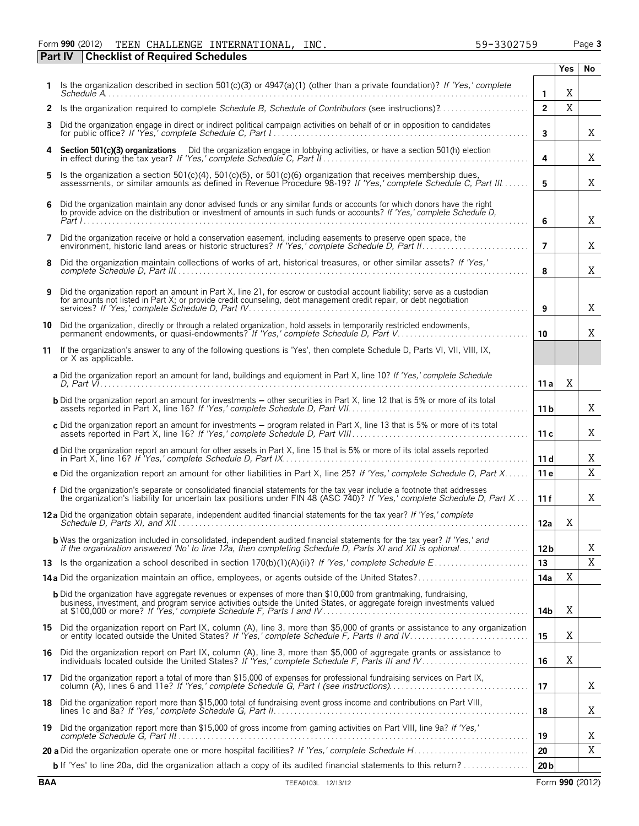#### Form **990** (2012) Page **3 Part IV Checklist of Required Schedules** TEEN CHALLENGE INTERNATIONAL, INC. 59-3302759

|     |                                                                                                                                                                                                                                                                                                                           |                 | <b>Yes</b>     | No     |
|-----|---------------------------------------------------------------------------------------------------------------------------------------------------------------------------------------------------------------------------------------------------------------------------------------------------------------------------|-----------------|----------------|--------|
|     | 1 Is the organization described in section 501(c)(3) or 4947(a)(1) (other than a private foundation)? If 'Yes,' complete                                                                                                                                                                                                  | $\mathbf{1}$    | Χ              |        |
|     | 2 Is the organization required to complete Schedule B, Schedule of Contributors (see instructions)?                                                                                                                                                                                                                       | $\overline{2}$  | $\overline{X}$ |        |
| 3   | Did the organization engage in direct or indirect political campaign activities on behalf of or in opposition to candidates                                                                                                                                                                                               | 3               |                | Χ      |
| 4   | Section 501(c)(3) organizations Did the organization engage in lobbying activities, or have a section 501(h) election                                                                                                                                                                                                     | 4               |                | X      |
| 5.  | Is the organization a section 501(c)(4), 501(c)(5), or 501(c)(6) organization that receives membership dues,<br>assessments, or similar amounts as defined in Revenue Procedure 98-19? If 'Yes,' complete Schedule C, Part III                                                                                            | 5               |                | Χ      |
| 6   | Did the organization maintain any donor advised funds or any similar funds or accounts for which donors have the right<br>to provide advice on the distribution or investment of amounts in such funds or accounts? If 'Yes,' complete Schedule D,                                                                        | 6               |                | Χ      |
| 7   | Did the organization receive or hold a conservation easement, including easements to preserve open space, the                                                                                                                                                                                                             | $\overline{7}$  |                | Χ      |
| 8   | Did the organization maintain collections of works of art, historical treasures, or other similar assets? If 'Yes,'                                                                                                                                                                                                       | 8               |                | X      |
| 9   | Did the organization report an amount in Part X, line 21, for escrow or custodial account liability; serve as a custodian<br>for amounts not listed in Part X; or provide credit counseling, debt management credit repair, or debt negotiation                                                                           | 9               |                | X      |
| 10  | Did the organization, directly or through a related organization, hold assets in temporarily restricted endowments,<br>permanent endowments, or quasi-endowments? If 'Yes,' complete Schedule D, Part V                                                                                                                   | 10              |                | X      |
| 11  | If the organization's answer to any of the following questions is 'Yes', then complete Schedule D, Parts VI, VII, VIII, IX,<br>or X as applicable.                                                                                                                                                                        |                 |                |        |
|     | a Did the organization report an amount for land, buildings and equipment in Part X, line 10? If 'Yes,' complete Schedule                                                                                                                                                                                                 | 11a             | X              |        |
|     | <b>b</b> Did the organization report an amount for investments - other securities in Part X, line 12 that is 5% or more of its total                                                                                                                                                                                      | 11 <sub>b</sub> |                | Χ      |
|     | c Did the organization report an amount for investments - program related in Part X, line 13 that is 5% or more of its total                                                                                                                                                                                              | 11c             |                | Χ      |
|     | d Did the organization report an amount for other assets in Part X, line 15 that is 5% or more of its total assets reported                                                                                                                                                                                               | 11d             |                | Χ      |
|     | e Did the organization report an amount for other liabilities in Part X, line 25? If 'Yes,' complete Schedule D, Part X                                                                                                                                                                                                   | 11 e            |                | X      |
|     | f Did the organization's separate or consolidated financial statements for the tax year include a footnote that addresses<br>the organization's liability for uncertain tax positions under FIN 48 (ASC 740)? If 'Yes,' complete Schedule D, Part X                                                                       | 11f             |                | X      |
|     | 12 a Did the organization obtain separate, independent audited financial statements for the tax year? If 'Yes,' complete                                                                                                                                                                                                  | 12a             | X              |        |
|     | <b>b</b> Was the organization included in consolidated, independent audited financial statements for the tax year? If 'Yes,' and if the organization answered 'No' to line 12a, then completing Schedule D, Parts XI and XII is opt                                                                                       | 12 <sub>b</sub> |                | Χ<br>Χ |
|     | 14a Did the organization maintain an office, employees, or agents outside of the United States?                                                                                                                                                                                                                           | 13<br>14a       | X              |        |
|     | <b>b</b> Did the organization have aggregate revenues or expenses of more than \$10,000 from grantmaking, fundraising,<br>business, investment, and program service activities outside the United States, or aggregate foreign investments valued<br>at \$100,000 or more? If 'Yes,' complete Schedule F, Parts I and IV. | 14b             | Χ              |        |
|     | 15 Did the organization report on Part IX, column (A), line 3, more than \$5,000 of grants or assistance to any organization<br>or entity located outside the United States? If 'Yes,' complete Schedule F, Parts II and IV                                                                                               | 15              | Χ              |        |
|     | 16 Did the organization report on Part IX, column (A), line 3, more than \$5,000 of aggregate grants or assistance to individuals located outside the United States? If 'Yes,' complete Schedule F, Parts III and IV                                                                                                      | 16              | Χ              |        |
| 17. | Did the organization report a total of more than \$15,000 of expenses for professional fundraising services on Part IX,                                                                                                                                                                                                   | 17              |                | Χ      |
|     | 18 Did the organization report more than \$15,000 total of fundraising event gross income and contributions on Part VIII,                                                                                                                                                                                                 | 18              |                | Χ      |
| 19. | Did the organization report more than \$15,000 of gross income from gaming activities on Part VIII, line 9a? If 'Yes,'                                                                                                                                                                                                    | 19              |                | Χ      |
|     |                                                                                                                                                                                                                                                                                                                           | 20              |                | Χ      |
|     | <b>b</b> If 'Yes' to line 20a, did the organization attach a copy of its audited financial statements to this return?                                                                                                                                                                                                     | 20 <sub>b</sub> |                |        |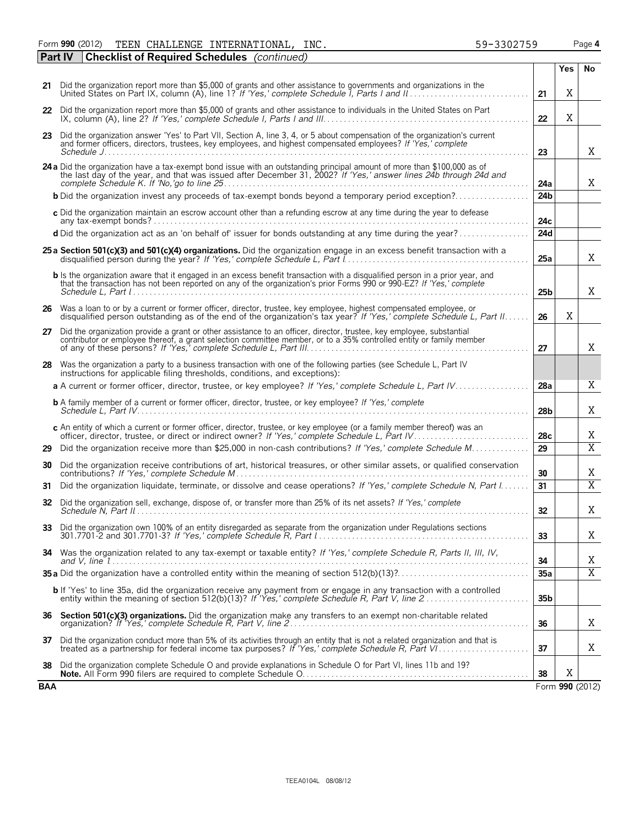Form **990** (2012) Page **4** TEEN CHALLENGE INTERNATIONAL, INC. 59-3302759

|     | <b>Checklist of Required Schedules</b> (continued)<br>Part IV                                                                                                                                                                                         |                 |            |                         |
|-----|-------------------------------------------------------------------------------------------------------------------------------------------------------------------------------------------------------------------------------------------------------|-----------------|------------|-------------------------|
|     |                                                                                                                                                                                                                                                       |                 | <b>Yes</b> | No                      |
|     | 21 Did the organization report more than \$5,000 of grants and other assistance to governments and organizations in the                                                                                                                               | 21              | Χ          |                         |
|     | 22 Did the organization report more than \$5,000 of grants and other assistance to individuals in the United States on Part                                                                                                                           | 22              | X          |                         |
| 23  | Did the organization answer 'Yes' to Part VII, Section A, line 3, 4, or 5 about compensation of the organization's current<br>and former officers, directors, trustees, key employees, and highest compensated employees? If 'Yes,' complete          | 23              |            | Χ                       |
|     | 24 a Did the organization have a tax-exempt bond issue with an outstanding principal amount of more than \$100,000 as of the last day of the year, and that was issued after December 31, 2002? If 'Yes,' answer lines 24b thro                       | 24a             |            | X                       |
|     |                                                                                                                                                                                                                                                       | 24b             |            |                         |
|     | c Did the organization maintain an escrow account other than a refunding escrow at any time during the year to defease                                                                                                                                | 24c             |            |                         |
|     | d Did the organization act as an 'on behalf of' issuer for bonds outstanding at any time during the year?                                                                                                                                             | 24d             |            |                         |
|     | 25 a Section 501(c)(3) and 501(c)(4) organizations. Did the organization engage in an excess benefit transaction with a                                                                                                                               | 25a             |            | Χ                       |
|     | b Is the organization aware that it engaged in an excess benefit transaction with a disqualified person in a prior year, and<br>that the transaction has not been reported on any of the organization's prior Forms 990 or 990-EZ? If 'Yes,' complete | 25 <sub>b</sub> |            | Χ                       |
|     | 26 Was a loan to or by a current or former officer, director, trustee, key employee, highest compensated employee, or<br>disqualified person outstanding as of the end of the organization's tax year? If 'Yes,' complete Schedule L, Part II         | 26              | X          |                         |
|     | 27 Did the organization provide a grant or other assistance to an officer, director, trustee, key employee, substantial contributor or employee thereof, a grant selection committee member, or to a 35% controlled entity or                         | 27              |            | X                       |
|     | 28 Was the organization a party to a business transaction with one of the following parties (see Schedule L, Part IV<br>instructions for applicable filing thresholds, conditions, and exceptions):                                                   |                 |            |                         |
|     | a A current or former officer, director, trustee, or key employee? If 'Yes,' complete Schedule L, Part IV                                                                                                                                             | 28a             |            | X                       |
|     | <b>b</b> A family member of a current or former officer, director, trustee, or key employee? If 'Yes,' complete                                                                                                                                       | 28 <sub>b</sub> |            | X                       |
|     | c An entity of which a current or former officer, director, trustee, or key employee (or a family member thereof) was an officer, director, trustee, or direct or indirect owner? If 'Yes,' complete Schedule L, Part IV                              | 28c             |            | X                       |
| 29  | Did the organization receive more than \$25,000 in non-cash contributions? If 'Yes,' complete Schedule M                                                                                                                                              | 29              |            | $\overline{\text{X}}$   |
| 30  | Did the organization receive contributions of art, historical treasures, or other similar assets, or qualified conservation                                                                                                                           | 30              |            | Χ                       |
| 31  | Did the organization liquidate, terminate, or dissolve and cease operations? If 'Yes,' complete Schedule N, Part I                                                                                                                                    | 31              |            | $\overline{\mathrm{X}}$ |
| 32  | Did the organization sell, exchange, dispose of, or transfer more than 25% of its net assets? If 'Yes,' complete                                                                                                                                      | 32              |            | Χ                       |
|     | 33 Did the organization own 100% of an entity disregarded as separate from the organization under Regulations sections                                                                                                                                | 33              |            | Χ                       |
|     | 34 Was the organization related to any tax-exempt or taxable entity? If 'Yes,' complete Schedule R, Parts II, III, IV,                                                                                                                                | 34              |            | Χ                       |
|     |                                                                                                                                                                                                                                                       | 35a             |            | $\overline{X}$          |
|     | b If 'Yes' to line 35a, did the organization receive any payment from or engage in any transaction with a controlled                                                                                                                                  | 35 <sub>b</sub> |            |                         |
| 36  | Section 501(c)(3) organizations. Did the organization make any transfers to an exempt non-charitable related                                                                                                                                          | 36              |            | Χ                       |
|     | 37 Did the organization conduct more than 5% of its activities through an entity that is not a related organization and that is treated as a partnership for federal income tax purposes? If 'Yes,' complete Schedule R, Part                         | 37              |            | Χ                       |
| 38  | Did the organization complete Schedule O and provide explanations in Schedule O for Part VI, lines 11b and 19?                                                                                                                                        | 38              | X          |                         |
| BAA |                                                                                                                                                                                                                                                       |                 |            | Form 990 (2012)         |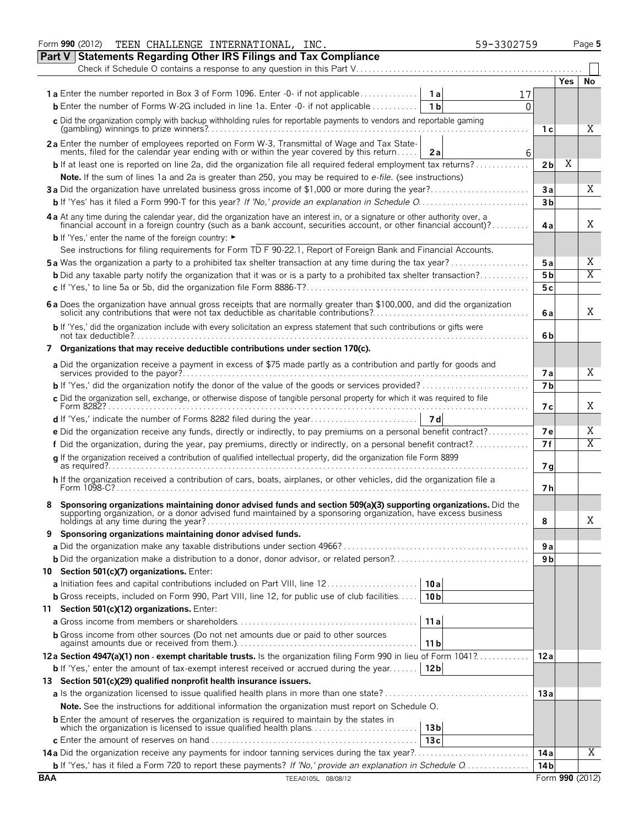|            | Form 990 (2012)<br>TEEN CHALLENGE INTERNATIONAL, INC.                                                                                                                                                                             | 59-3302759 |                 |            | Page 5 |
|------------|-----------------------------------------------------------------------------------------------------------------------------------------------------------------------------------------------------------------------------------|------------|-----------------|------------|--------|
|            | Part V Statements Regarding Other IRS Filings and Tax Compliance                                                                                                                                                                  |            |                 |            |        |
|            | Check if Schedule O contains a response to any question in this Part V                                                                                                                                                            |            |                 |            |        |
|            |                                                                                                                                                                                                                                   |            |                 | <b>Yes</b> | No     |
|            | <b>1a</b> Enter the number reported in Box 3 of Form 1096. Enter -0- if not applicable<br>1 a l                                                                                                                                   |            |                 |            |        |
|            | <b>b</b> Enter the number of Forms W-2G included in line 1a. Enter $-0$ - if not applicable<br>1 <sub>b</sub>                                                                                                                     | O          |                 |            |        |
|            | c Did the organization comply with backup withholding rules for reportable payments to vendors and reportable gaming                                                                                                              |            |                 |            | X      |
|            |                                                                                                                                                                                                                                   |            | 1 с             |            |        |
|            | 2a Enter the number of employees reported on Form W-3, Transmittal of Wage and Tax State-<br>ments, filed for the calendar year ending with or within the year covered by this return<br>2a                                       | 6          |                 |            |        |
|            | <b>b</b> If at least one is reported on line 2a, did the organization file all required federal employment tax returns?                                                                                                           |            | 2 <sub>b</sub>  | Χ          |        |
|            | Note. If the sum of lines 1a and 2a is greater than 250, you may be required to e-file. (see instructions)                                                                                                                        |            |                 |            |        |
|            | 3a Did the organization have unrelated business gross income of \$1,000 or more during the year?                                                                                                                                  |            | Зa              |            | Χ      |
|            |                                                                                                                                                                                                                                   |            | 3 <sub>b</sub>  |            |        |
|            | 4 a At any time during the calendar year, did the organization have an interest in, or a signature or other authority over, a financial account in a foreign country (such as a bank account, securities account, or other fin    |            |                 |            |        |
|            |                                                                                                                                                                                                                                   |            | 4a              |            | X      |
|            | <b>b</b> If 'Yes,' enter the name of the foreign country: ►                                                                                                                                                                       |            |                 |            |        |
|            | See instructions for filing requirements for Form TD F 90-22.1, Report of Foreign Bank and Financial Accounts.                                                                                                                    |            |                 |            |        |
|            | <b>5a</b> Was the organization a party to a prohibited tax shelter transaction at any time during the tax year?                                                                                                                   |            | 5a              |            | X      |
|            | <b>b</b> Did any taxable party notify the organization that it was or is a party to a prohibited tax shelter transaction?                                                                                                         |            | 5 <sub>b</sub>  |            | X      |
|            |                                                                                                                                                                                                                                   |            | 5c              |            |        |
|            | 6 a Does the organization have annual gross receipts that are normally greater than \$100,000, and did the organization solicit any contributions that were not tax deductible as charitable contributions?                       |            | 6a              |            | X      |
|            | b If 'Yes,' did the organization include with every solicitation an express statement that such contributions or gifts were                                                                                                       |            | 6b              |            |        |
|            | 7 Organizations that may receive deductible contributions under section 170(c).                                                                                                                                                   |            |                 |            |        |
|            | a Did the organization receive a payment in excess of \$75 made partly as a contribution and partly for goods and                                                                                                                 |            | <b>7a</b>       |            | X      |
|            | <b>b</b> If 'Yes,' did the organization notify the donor of the value of the goods or services provided?                                                                                                                          |            | 7 <sub>b</sub>  |            |        |
|            | c Did the organization sell, exchange, or otherwise dispose of tangible personal property for which it was required to file                                                                                                       |            |                 |            |        |
|            |                                                                                                                                                                                                                                   |            | 7 с             |            | X      |
|            |                                                                                                                                                                                                                                   |            |                 |            |        |
|            | e Did the organization receive any funds, directly or indirectly, to pay premiums on a personal benefit contract?                                                                                                                 |            | <b>7e</b>       |            | Χ      |
|            | f Did the organization, during the year, pay premiums, directly or indirectly, on a personal benefit contract?                                                                                                                    |            | 7f              |            | X      |
|            | q If the organization received a contribution of qualified intellectual property, did the organization file Form 8899                                                                                                             |            | 7g              |            |        |
|            | h If the organization received a contribution of cars, boats, airplanes, or other vehicles, did the organization file a                                                                                                           |            | 7 h             |            |        |
|            | Sponsoring organizations maintaining donor advised funds and section 509(a)(3) supporting organizations. Did the<br>supporting organization, or a donor advised fund maintained by a sponsoring organization, have excess busines |            |                 |            |        |
|            |                                                                                                                                                                                                                                   |            | 8               |            | Χ      |
| 9          | Sponsoring organizations maintaining donor advised funds.                                                                                                                                                                         |            |                 |            |        |
|            |                                                                                                                                                                                                                                   |            | 9а<br>9 b       |            |        |
|            | 10 Section 501(c)(7) organizations. Enter:                                                                                                                                                                                        |            |                 |            |        |
|            | 10 a                                                                                                                                                                                                                              |            |                 |            |        |
|            | <b>b</b> Gross receipts, included on Form 990, Part VIII, line 12, for public use of club facilities<br>10 <sub>b</sub>                                                                                                           |            |                 |            |        |
|            | 11 Section 501(c)(12) organizations. Enter:                                                                                                                                                                                       |            |                 |            |        |
|            | 11a                                                                                                                                                                                                                               |            |                 |            |        |
|            | <b>b</b> Gross income from other sources (Do not net amounts due or paid to other sources<br>11 <sub>b</sub>                                                                                                                      |            |                 |            |        |
|            | 12a Section 4947(a)(1) non - exempt charitable trusts. Is the organization filing Form 990 in lieu of Form 1041?                                                                                                                  |            | 12a             |            |        |
|            | <b>b</b> If 'Yes,' enter the amount of tax-exempt interest received or accrued during the year<br>12 <sub>b</sub>                                                                                                                 |            |                 |            |        |
|            | 13 Section 501(c)(29) qualified nonprofit health insurance issuers.                                                                                                                                                               |            |                 |            |        |
|            |                                                                                                                                                                                                                                   |            | 13a             |            |        |
|            | Note. See the instructions for additional information the organization must report on Schedule O.                                                                                                                                 |            |                 |            |        |
|            | <b>b</b> Enter the amount of reserves the organization is required to maintain by the states in                                                                                                                                   |            |                 |            |        |
|            | which the organization is licensed to issue qualified health plans<br>13 bl                                                                                                                                                       |            |                 |            |        |
|            | 13c                                                                                                                                                                                                                               |            |                 |            |        |
|            |                                                                                                                                                                                                                                   |            | 14 a            |            | X      |
|            |                                                                                                                                                                                                                                   |            | 14 b            |            |        |
| <b>BAA</b> | TEEA0105L 08/08/12                                                                                                                                                                                                                |            | Form 990 (2012) |            |        |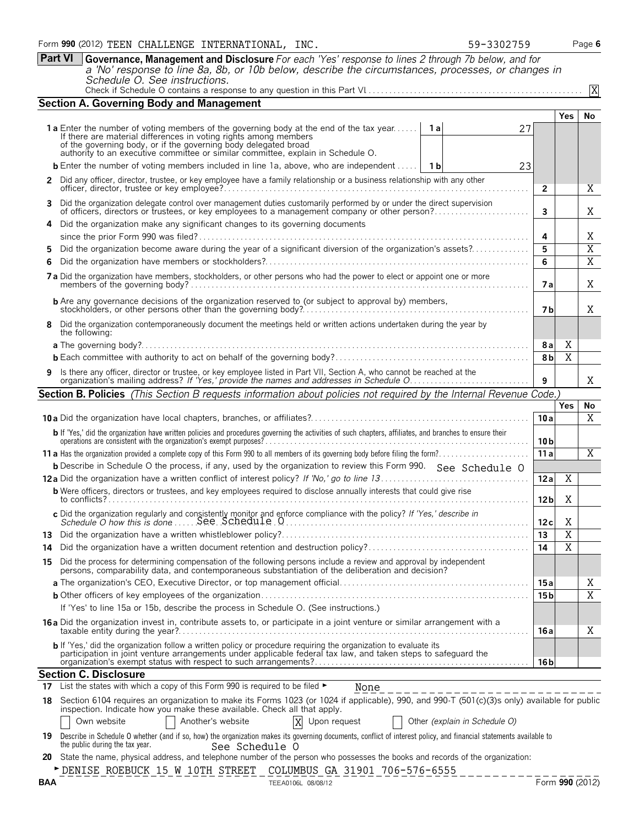**Part VI Governance, Management and Disclosure** *For each 'Yes' response to lines 2 through 7b below, and for a 'No' response to line 8a, 8b, or 10b below, describe the circumstances, processes, or changes in Schedule O. See instructions.*

|    | <b>Section A. Governing Body and Management</b>                                                                                                                                                                                                                                                                                          |                 |                       |                         |
|----|------------------------------------------------------------------------------------------------------------------------------------------------------------------------------------------------------------------------------------------------------------------------------------------------------------------------------------------|-----------------|-----------------------|-------------------------|
|    |                                                                                                                                                                                                                                                                                                                                          |                 | <b>Yes</b>            | No                      |
|    | <b>1a</b> Enter the number of voting members of the governing body at the end of the tax year<br><b>1a</b><br>27<br>If there are material differences in voting rights among members<br>of the governing body, or if the governing body delegated broad authority to an executive committee or similar committee, explain in Schedule O. |                 |                       |                         |
|    | <b>b</b> Enter the number of voting members included in line 1a, above, who are independent<br>- 1 b                                                                                                                                                                                                                                     |                 |                       |                         |
|    | 23                                                                                                                                                                                                                                                                                                                                       |                 |                       |                         |
|    | 2 Did any officer, director, trustee, or key employee have a family relationship or a business relationship with any other                                                                                                                                                                                                               | $\overline{2}$  |                       | X                       |
|    | 3 Did the organization delegate control over management duties customarily performed by or under the direct supervision<br>of officers, directors or trustees, or key employees to a management company or other person?                                                                                                                 | 3               |                       | X                       |
| 4  | Did the organization make any significant changes to its governing documents                                                                                                                                                                                                                                                             |                 |                       |                         |
|    |                                                                                                                                                                                                                                                                                                                                          | 4               |                       | Χ                       |
| 5. | Did the organization become aware during the year of a significant diversion of the organization's assets?                                                                                                                                                                                                                               | 5               |                       | $\overline{X}$          |
| 6  |                                                                                                                                                                                                                                                                                                                                          | 6               |                       | $\overline{X}$          |
|    | 7a Did the organization have members, stockholders, or other persons who had the power to elect or appoint one or more                                                                                                                                                                                                                   | 7 a             |                       | X                       |
|    |                                                                                                                                                                                                                                                                                                                                          | 7 b             |                       | X                       |
|    | 8 Did the organization contemporaneously document the meetings held or written actions undertaken during the year by<br>the following:                                                                                                                                                                                                   |                 |                       |                         |
|    |                                                                                                                                                                                                                                                                                                                                          | 8 a             | Χ                     |                         |
|    |                                                                                                                                                                                                                                                                                                                                          | 8b              | $\overline{\text{X}}$ |                         |
|    |                                                                                                                                                                                                                                                                                                                                          |                 |                       |                         |
|    | Is there any officer, director or trustee, or key employee listed in Part VII, Section A, who cannot be reached at the<br>organization's mailing address? If 'Yes,' provide the names and addresses in Schedule O.                                                                                                                       | 9               |                       | X                       |
|    | <b>Section B. Policies</b> (This Section B requests information about policies not required by the Internal Revenue Code.)                                                                                                                                                                                                               |                 |                       |                         |
|    |                                                                                                                                                                                                                                                                                                                                          |                 |                       |                         |
|    |                                                                                                                                                                                                                                                                                                                                          |                 | Yes                   | No                      |
|    |                                                                                                                                                                                                                                                                                                                                          | 10a             |                       | X                       |
|    | b If 'Yes,' did the organization have written policies and procedures governing the activities of such chapters, affiliates, and branches to ensure their operations are consistent with the organization's exempt purposes?                                                                                                             | 10 <sub>b</sub> |                       |                         |
|    |                                                                                                                                                                                                                                                                                                                                          | 11a             |                       | X                       |
|    | <b>b</b> Describe in Schedule O the process, if any, used by the organization to review this Form 990. See Schedule O                                                                                                                                                                                                                    |                 |                       |                         |
|    |                                                                                                                                                                                                                                                                                                                                          | 12a             | Χ                     |                         |
|    | <b>b</b> Were officers, directors or trustees, and key employees required to disclose annually interests that could give rise                                                                                                                                                                                                            | 12 <sub>b</sub> | Χ                     |                         |
|    |                                                                                                                                                                                                                                                                                                                                          |                 |                       |                         |
|    |                                                                                                                                                                                                                                                                                                                                          | 12c             | Χ                     |                         |
|    |                                                                                                                                                                                                                                                                                                                                          | 13              | $\overline{X}$        |                         |
|    | 15 Did the process for determining compensation of the following persons include a review and approval by independent                                                                                                                                                                                                                    | $\overline{14}$ | $\overline{\text{X}}$ |                         |
|    | persons, comparability data, and contemporaneous substantiation of the deliberation and decision?                                                                                                                                                                                                                                        |                 |                       |                         |
|    |                                                                                                                                                                                                                                                                                                                                          | 15 a            |                       | Χ                       |
|    |                                                                                                                                                                                                                                                                                                                                          | 15 <sub>b</sub> |                       | $\overline{\mathbf{X}}$ |
|    | If 'Yes' to line 15a or 15b, describe the process in Schedule O. (See instructions.)<br><b>16a</b> Did the organization invest in, contribute assets to, or participate in a joint venture or similar arrangement with a                                                                                                                 |                 |                       |                         |
|    |                                                                                                                                                                                                                                                                                                                                          | 16 a            |                       | Χ                       |
|    | b If 'Yes,' did the organization follow a written policy or procedure requiring the organization to evaluate its<br>participation in joint venture arrangements under applicable federal tax law, and taken steps to safeguard the                                                                                                       | 16 b            |                       |                         |
|    | <b>Section C. Disclosure</b>                                                                                                                                                                                                                                                                                                             |                 |                       |                         |
|    | 17 List the states with which a copy of this Form 990 is required to be filed $\blacktriangleright$<br>None<br>------------------------                                                                                                                                                                                                  |                 |                       |                         |

**18** Section 6104 requires an organization to make its Forms 1023 (or 1024 if applicable), 990, and 990-T (501(c)(3)s only) available for public inspection. Indicate how you make these available. Check all that apply.

| Own website |  | Another's website | X | Upon request |  | Other (explain in Schedule O) |
|-------------|--|-------------------|---|--------------|--|-------------------------------|
|-------------|--|-------------------|---|--------------|--|-------------------------------|

|                                 | 19 Describe in Schedule O whether (and if so, how) the organization makes its governing documents, conflict of interest policy, and financial statements available to |  |
|---------------------------------|-----------------------------------------------------------------------------------------------------------------------------------------------------------------------|--|
| the public during the tax vear. | See Schedule C                                                                                                                                                        |  |

**20** State the name, physical address, and telephone number of the person who possesses the books and records of the organization:

X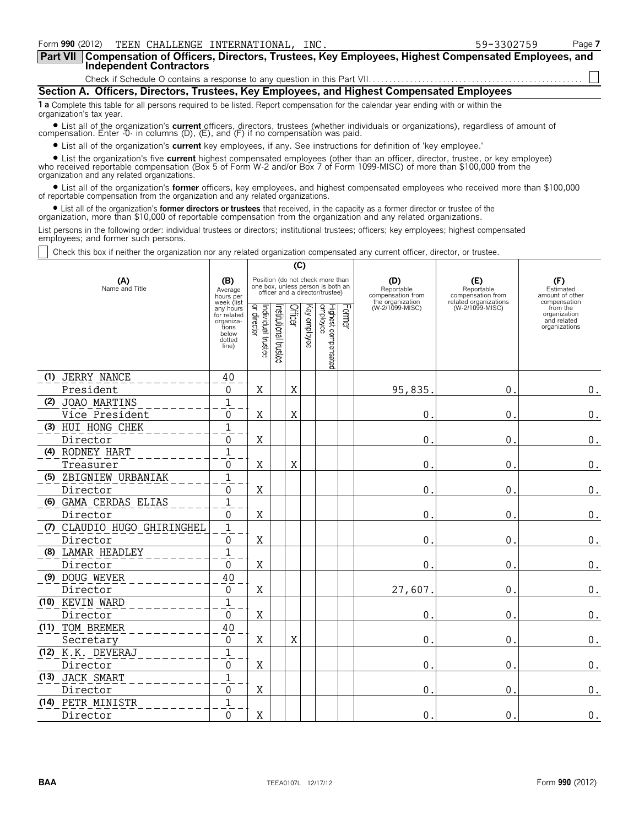| Form 990 (2012)<br>TEEN CHALLENGE INTERNATIONAL, INC.                                                                                                                                                                    | 59-3302759 | Page 7 |
|--------------------------------------------------------------------------------------------------------------------------------------------------------------------------------------------------------------------------|------------|--------|
| <b>Part VII</b><br>Compensation of Officers, Directors, Trustees, Key Employees, Highest Compensated Employees, and<br><b>Independent Contractors</b>                                                                    |            |        |
|                                                                                                                                                                                                                          |            |        |
| Section A. Officers, Directors, Trustees, Key Employees, and Highest Compensated Employees                                                                                                                               |            |        |
| <b>1a</b> Complete this table for all persons required to be listed. Report compensation for the calendar year ending with or within the<br>organization's tax year.                                                     |            |        |
| • List all of the organization's current officers, directors, trustees (whether individuals or organizations), regardless of amount of compensation. Enter -0- in columns (D), (E), and (F) if no compensation was paid. |            |        |
| • List all of the examination's current less employees if any See instructions for definition of Ilevenmolesse                                                                                                           |            |        |

? List all of the organization's **current** key employees, if any. See instructions for definition of 'key employee.'

• List the organization's five current highest compensated employees (other than an officer, director, trustee, or key employee)<br>who received reportable compensation (Box 5 of Form W-2 and/or Box 7 of Form 1099-MISC) of m organization and any related organizations.

? List all of the organization's **former** officers, key employees, and highest compensated employees who received more than \$100,000 of reportable compensation from the organization and any related organizations.

• List all of the organization's **former directors or trustees** that received, in the capacity as a former director or trustee of the<br>organization, more than \$10,000 of reportable compensation from the organization and an

List persons in the following order: individual trustees or directors; institutional trustees; officers; key employees; highest compensated employees; and former such persons.

Check this box if neither the organization nor any related organization compensated any current officer, director, or trustee.

|                       |                             |                                                                                          |                                   |                      | (C)            |                 |                                                                                                          |        |                                                            |                                          |                                                                          |
|-----------------------|-----------------------------|------------------------------------------------------------------------------------------|-----------------------------------|----------------------|----------------|-----------------|----------------------------------------------------------------------------------------------------------|--------|------------------------------------------------------------|------------------------------------------|--------------------------------------------------------------------------|
| (A)<br>Name and Title |                             | (B)<br>Average<br>hours per                                                              |                                   |                      |                |                 | Position (do not check more than<br>one box, unless person is both an<br>officer and a director/trustee) |        | (D)<br>Reportable<br>compensation from<br>the organization | (E)<br>Reportable<br>compensation from   | (F)<br>Estimated<br>amount of other                                      |
|                       |                             | week (list<br>any hours<br>for related<br>organiza-<br>tions<br>below<br>dotted<br>line) | Individual trustee<br>or director | nstitutional trustee | <b>Officer</b> | kay<br>employee | Highest compensated<br>employee                                                                          | Former | (W-2/1099-MISC)                                            | related organizations<br>(W-2/1099-MISC) | compensation<br>from the<br>organization<br>and related<br>organizations |
| (1)                   | JERRY NANCE                 | 40                                                                                       |                                   |                      |                |                 |                                                                                                          |        |                                                            |                                          |                                                                          |
|                       | President                   | 0                                                                                        | X                                 |                      | X              |                 |                                                                                                          |        | 95,835.                                                    | 0.                                       | $\boldsymbol{0}$ .                                                       |
|                       | (2) JOAO MARTINS            | $\mathbf{1}$                                                                             |                                   |                      |                |                 |                                                                                                          |        |                                                            |                                          |                                                                          |
|                       | Vice President              | 0                                                                                        | X                                 |                      | X              |                 |                                                                                                          |        | $\mathbf{0}$ .                                             | $\mathbf 0$ .                            | $\boldsymbol{0}$ .                                                       |
|                       | (3) HUI HONG CHEK           | 1                                                                                        |                                   |                      |                |                 |                                                                                                          |        |                                                            |                                          |                                                                          |
|                       | Director                    | 0                                                                                        | Χ                                 |                      |                |                 |                                                                                                          |        | 0.                                                         | 0.                                       | $\boldsymbol{0}$ .                                                       |
|                       | (4) RODNEY HART             | $\overline{1}$                                                                           |                                   |                      |                |                 |                                                                                                          |        |                                                            |                                          |                                                                          |
|                       | Treasurer                   | 0                                                                                        | Χ                                 |                      | X              |                 |                                                                                                          |        | $\mathbf 0$ .                                              | $\mathbf{0}$ .                           | $\boldsymbol{0}$ .                                                       |
|                       | (5) ZBIGNIEW URBANIAK       | $\mathbf{1}$                                                                             |                                   |                      |                |                 |                                                                                                          |        |                                                            |                                          |                                                                          |
|                       | Director                    | 0                                                                                        | Χ                                 |                      |                |                 |                                                                                                          |        | 0.                                                         | $\mathbf 0$ .                            | $\boldsymbol{0}$ .                                                       |
|                       | (6) GAMA CERDAS ELIAS       | $\mathbf{1}$                                                                             |                                   |                      |                |                 |                                                                                                          |        |                                                            |                                          |                                                                          |
|                       | Director                    | 0                                                                                        | X                                 |                      |                |                 |                                                                                                          |        | 0.                                                         | 0.                                       | 0.                                                                       |
|                       | (7) CLAUDIO HUGO GHIRINGHEL | $\mathbf 1$                                                                              |                                   |                      |                |                 |                                                                                                          |        |                                                            |                                          |                                                                          |
|                       | Director                    | 0                                                                                        | Χ                                 |                      |                |                 |                                                                                                          |        | 0.                                                         | 0.                                       | 0.                                                                       |
|                       | (8) LAMAR HEADLEY           | $\overline{1}$                                                                           |                                   |                      |                |                 |                                                                                                          |        |                                                            |                                          |                                                                          |
|                       | Director                    | 0                                                                                        | Χ                                 |                      |                |                 |                                                                                                          |        | $\overline{0}$ .                                           | $\mathbf 0$ .                            | $\boldsymbol{0}$ .                                                       |
|                       | (9) DOUG WEVER              | 40                                                                                       |                                   |                      |                |                 |                                                                                                          |        |                                                            |                                          |                                                                          |
|                       | Director                    | 0                                                                                        | Χ                                 |                      |                |                 |                                                                                                          |        | 27,607.                                                    | $\mathbf 0$ .                            | 0.                                                                       |
|                       | (10) KEVIN WARD             | $\mathbf{1}$                                                                             |                                   |                      |                |                 |                                                                                                          |        |                                                            |                                          |                                                                          |
|                       | Director                    | 0                                                                                        | X                                 |                      |                |                 |                                                                                                          |        | 0.                                                         | 0.                                       | $\boldsymbol{0}$ .                                                       |
|                       | (11) TOM BREMER             | 40                                                                                       |                                   |                      |                |                 |                                                                                                          |        |                                                            |                                          |                                                                          |
|                       | Secretary                   | 0                                                                                        | X                                 |                      | X              |                 |                                                                                                          |        | 0.                                                         | 0.                                       | $\boldsymbol{0}$ .                                                       |
|                       | (12) K.K. DEVERAJ           | $\mathbf{1}$                                                                             |                                   |                      |                |                 |                                                                                                          |        |                                                            |                                          |                                                                          |
|                       | Director                    | 0                                                                                        | Χ                                 |                      |                |                 |                                                                                                          |        | 0.                                                         | 0.                                       | 0.                                                                       |
|                       | (13) JACK SMART             | $1\,$                                                                                    |                                   |                      |                |                 |                                                                                                          |        |                                                            |                                          |                                                                          |
|                       | Director                    | 0                                                                                        | X                                 |                      |                |                 |                                                                                                          |        | $\mathbf 0$ .                                              | $\mathbf 0$ .                            | $\boldsymbol{0}$ .                                                       |
|                       | (14) PETR MINISTR           | $\mathbf{1}$                                                                             |                                   |                      |                |                 |                                                                                                          |        |                                                            |                                          |                                                                          |
|                       | Director                    | 0                                                                                        | X                                 |                      |                |                 |                                                                                                          |        | 0.                                                         | 0.                                       | $\boldsymbol{0}$ .                                                       |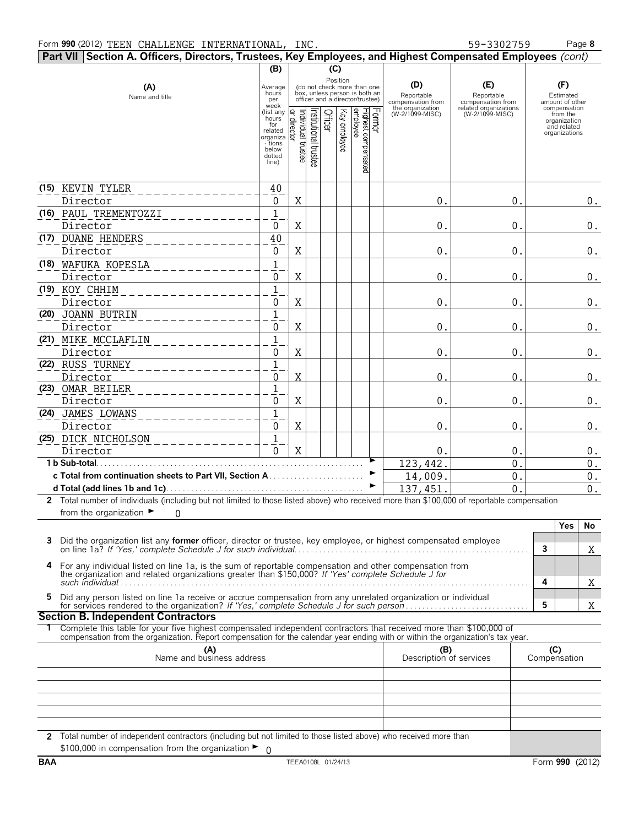|   | Part VII Section A. Officers, Directors, Trustees, Key Employees, and Highest Compensated Employees (cont)                                                                                                     |                                                                                                                            |                                  |                      |         |              |                                                                                                                                                            |                                                                               |                                                                                    |              |                                                                                                                 |                  |
|---|----------------------------------------------------------------------------------------------------------------------------------------------------------------------------------------------------------------|----------------------------------------------------------------------------------------------------------------------------|----------------------------------|----------------------|---------|--------------|------------------------------------------------------------------------------------------------------------------------------------------------------------|-------------------------------------------------------------------------------|------------------------------------------------------------------------------------|--------------|-----------------------------------------------------------------------------------------------------------------|------------------|
|   |                                                                                                                                                                                                                | (B)                                                                                                                        |                                  |                      | (C)     |              |                                                                                                                                                            |                                                                               |                                                                                    |              |                                                                                                                 |                  |
|   | (A)<br>Name and title                                                                                                                                                                                          | Average<br>hours<br>per<br>week<br>(list any<br>hours<br>for<br>related<br>organiza<br>- tions<br>below<br>dotted<br>line) | or director<br>əətsut laubivibni | nstitutional trustee | Officer | Key employee | Position<br>(do not check more than one<br>box, unless person is both an<br>officer and a director/trustee)<br> Former<br>Highest compensated<br> employee | (D)<br>Reportable<br>compensation from<br>the organization<br>(W-2/1099-MISC) | (E)<br>Reportable<br>compensation from<br>related organizations<br>(W-2/1099-MISC) |              | (F)<br>Estimated<br>amount of other<br>compensation<br>from the<br>organization<br>and related<br>organizations |                  |
|   | (15) KEVIN TYLER                                                                                                                                                                                               | 40                                                                                                                         |                                  |                      |         |              |                                                                                                                                                            |                                                                               |                                                                                    |              |                                                                                                                 |                  |
|   | Director                                                                                                                                                                                                       | 0                                                                                                                          | Χ                                |                      |         |              |                                                                                                                                                            | 0.                                                                            | 0.                                                                                 |              |                                                                                                                 | $0$ .            |
|   | (16) PAUL TREMENTOZZI                                                                                                                                                                                          | $\mathbf 1$                                                                                                                |                                  |                      |         |              |                                                                                                                                                            |                                                                               |                                                                                    |              |                                                                                                                 |                  |
|   | Director                                                                                                                                                                                                       | 0                                                                                                                          | X                                |                      |         |              |                                                                                                                                                            | 0.                                                                            | 0.                                                                                 |              |                                                                                                                 | $0$ .            |
|   | (17) DUANE HENDERS                                                                                                                                                                                             | 40                                                                                                                         |                                  |                      |         |              |                                                                                                                                                            |                                                                               |                                                                                    |              |                                                                                                                 |                  |
|   | Director                                                                                                                                                                                                       | $\mathbf 0$                                                                                                                | X                                |                      |         |              |                                                                                                                                                            | 0.                                                                            | 0.                                                                                 |              |                                                                                                                 | $0$ .            |
|   | (18) WAFUKA KOPESLA                                                                                                                                                                                            | $\overline{1}$                                                                                                             |                                  |                      |         |              |                                                                                                                                                            |                                                                               |                                                                                    |              |                                                                                                                 |                  |
|   | Director                                                                                                                                                                                                       | 0                                                                                                                          | X                                |                      |         |              |                                                                                                                                                            | 0.                                                                            | 0.                                                                                 |              |                                                                                                                 | $0$ .            |
|   | (19) KOY CHHIM                                                                                                                                                                                                 | $\mathbf 1$                                                                                                                |                                  |                      |         |              |                                                                                                                                                            |                                                                               |                                                                                    |              |                                                                                                                 |                  |
|   | Director                                                                                                                                                                                                       | 0                                                                                                                          | X                                |                      |         |              |                                                                                                                                                            | 0.                                                                            | $\mathbf 0$ .                                                                      |              |                                                                                                                 | $0$ .            |
|   | (20) JOANN BUTRIN                                                                                                                                                                                              | $\overline{1}$                                                                                                             |                                  |                      |         |              |                                                                                                                                                            |                                                                               |                                                                                    |              |                                                                                                                 |                  |
|   | Director                                                                                                                                                                                                       | $\mathbf 0$                                                                                                                | X                                |                      |         |              |                                                                                                                                                            | 0.                                                                            | 0.                                                                                 |              |                                                                                                                 | $0$ .            |
|   | (21) MIKE MCCLAFLIN                                                                                                                                                                                            | $\overline{1}$                                                                                                             |                                  |                      |         |              |                                                                                                                                                            |                                                                               |                                                                                    |              |                                                                                                                 |                  |
|   | Director                                                                                                                                                                                                       | 0                                                                                                                          | X                                |                      |         |              |                                                                                                                                                            | 0.                                                                            | 0.                                                                                 |              |                                                                                                                 | $0$ .            |
|   | (22) RUSS TURNEY                                                                                                                                                                                               | $\mathbf 1$                                                                                                                |                                  |                      |         |              |                                                                                                                                                            |                                                                               |                                                                                    |              |                                                                                                                 |                  |
|   | Director                                                                                                                                                                                                       | 0                                                                                                                          | X                                |                      |         |              |                                                                                                                                                            | $\Omega$                                                                      | $\Omega$                                                                           |              |                                                                                                                 | $0$ .            |
|   | (23) OMAR BEILER                                                                                                                                                                                               | $\mathbf 1$                                                                                                                |                                  |                      |         |              |                                                                                                                                                            |                                                                               |                                                                                    |              |                                                                                                                 |                  |
|   | Director                                                                                                                                                                                                       | 0                                                                                                                          | X                                |                      |         |              |                                                                                                                                                            | 0.                                                                            | 0.                                                                                 |              |                                                                                                                 | $0$ .            |
|   | (24) JAMES LOWANS                                                                                                                                                                                              | $\mathbf 1$                                                                                                                |                                  |                      |         |              |                                                                                                                                                            |                                                                               |                                                                                    |              |                                                                                                                 |                  |
|   | Director                                                                                                                                                                                                       | 0                                                                                                                          | X                                |                      |         |              |                                                                                                                                                            | 0.                                                                            | $\mathbf 0$ .                                                                      |              |                                                                                                                 | $0$ .            |
|   | (25) DICK NICHOLSON                                                                                                                                                                                            | 1                                                                                                                          |                                  |                      |         |              |                                                                                                                                                            |                                                                               |                                                                                    |              |                                                                                                                 |                  |
|   | Director                                                                                                                                                                                                       | 0                                                                                                                          | $\mathbf X$                      |                      |         |              |                                                                                                                                                            | 0.                                                                            | 0.                                                                                 |              |                                                                                                                 | $0$ .            |
|   | 1 b Sub-total.                                                                                                                                                                                                 |                                                                                                                            |                                  |                      |         |              |                                                                                                                                                            | 123, 442.                                                                     | $\overline{0}$ .                                                                   |              |                                                                                                                 | 0.               |
|   | c Total from continuation sheets to Part VII, Section A                                                                                                                                                        |                                                                                                                            |                                  |                      |         |              |                                                                                                                                                            | 14,009.                                                                       | $\mathbf{0}$ .                                                                     |              |                                                                                                                 | $\overline{0}$ . |
|   |                                                                                                                                                                                                                |                                                                                                                            |                                  |                      |         |              |                                                                                                                                                            | 137,451                                                                       | $\Omega$                                                                           |              |                                                                                                                 | $0$ .            |
|   | 2 Total number of individuals (including but not limited to those listed above) who received more than \$100,000 of reportable compensation                                                                    |                                                                                                                            |                                  |                      |         |              |                                                                                                                                                            |                                                                               |                                                                                    |              |                                                                                                                 |                  |
|   | from the organization $\blacktriangleright$<br>$\Omega$                                                                                                                                                        |                                                                                                                            |                                  |                      |         |              |                                                                                                                                                            |                                                                               |                                                                                    |              |                                                                                                                 |                  |
|   |                                                                                                                                                                                                                |                                                                                                                            |                                  |                      |         |              |                                                                                                                                                            |                                                                               |                                                                                    |              | <b>Yes</b>                                                                                                      | No               |
| 3 | Did the organization list any <b>former</b> officer, director or trustee, key employee, or highest compensated employee                                                                                        |                                                                                                                            |                                  |                      |         |              |                                                                                                                                                            |                                                                               |                                                                                    |              |                                                                                                                 |                  |
|   |                                                                                                                                                                                                                |                                                                                                                            |                                  |                      |         |              |                                                                                                                                                            |                                                                               |                                                                                    | 3            |                                                                                                                 | Χ                |
| 4 | For any individual listed on line 1a, is the sum of reportable compensation and other compensation from<br>the organization and related organizations greater than \$150,000? If 'Yes' complete Schedule J for |                                                                                                                            |                                  |                      |         |              |                                                                                                                                                            |                                                                               |                                                                                    | 4            |                                                                                                                 | Χ                |
| 5 | Did any person listed on line 1a receive or accrue compensation from any unrelated organization or individual                                                                                                  |                                                                                                                            |                                  |                      |         |              |                                                                                                                                                            |                                                                               |                                                                                    |              |                                                                                                                 |                  |
|   |                                                                                                                                                                                                                |                                                                                                                            |                                  |                      |         |              |                                                                                                                                                            |                                                                               |                                                                                    | 5            |                                                                                                                 | X                |
|   | <b>Section B. Independent Contractors</b>                                                                                                                                                                      |                                                                                                                            |                                  |                      |         |              |                                                                                                                                                            |                                                                               |                                                                                    |              |                                                                                                                 |                  |
|   | Complete this table for your five highest compensated independent contractors that received more than \$100,000 of                                                                                             |                                                                                                                            |                                  |                      |         |              |                                                                                                                                                            |                                                                               |                                                                                    |              |                                                                                                                 |                  |
|   | compensation from the organization. Report compensation for the calendar year ending with or within the organization's tax year.                                                                               |                                                                                                                            |                                  |                      |         |              |                                                                                                                                                            |                                                                               |                                                                                    |              |                                                                                                                 |                  |
|   | (A)<br>Name and business address                                                                                                                                                                               |                                                                                                                            |                                  |                      |         |              |                                                                                                                                                            | (B)<br>Description of services                                                |                                                                                    | Compensation | (C)                                                                                                             |                  |
|   |                                                                                                                                                                                                                |                                                                                                                            |                                  |                      |         |              |                                                                                                                                                            |                                                                               |                                                                                    |              |                                                                                                                 |                  |
|   |                                                                                                                                                                                                                |                                                                                                                            |                                  |                      |         |              |                                                                                                                                                            |                                                                               |                                                                                    |              |                                                                                                                 |                  |
|   |                                                                                                                                                                                                                |                                                                                                                            |                                  |                      |         |              |                                                                                                                                                            |                                                                               |                                                                                    |              |                                                                                                                 |                  |
|   |                                                                                                                                                                                                                |                                                                                                                            |                                  |                      |         |              |                                                                                                                                                            |                                                                               |                                                                                    |              |                                                                                                                 |                  |
|   |                                                                                                                                                                                                                |                                                                                                                            |                                  |                      |         |              |                                                                                                                                                            |                                                                               |                                                                                    |              |                                                                                                                 |                  |
|   | 2 Total number of independent contractors (including but not limited to those listed above) who received more than<br>\$100,000 in compensation from the organization $\blacktriangleright$ 0                  |                                                                                                                            |                                  |                      |         |              |                                                                                                                                                            |                                                                               |                                                                                    |              |                                                                                                                 |                  |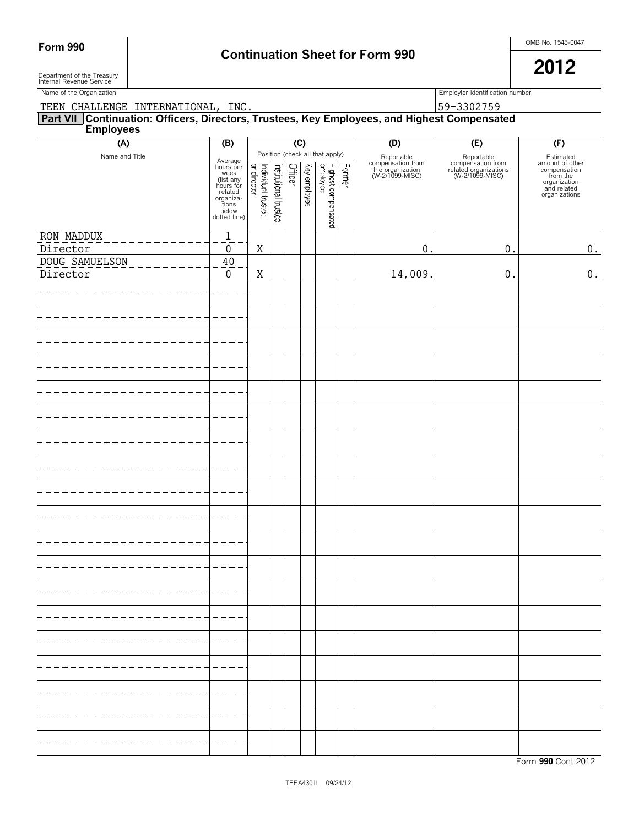Department of the Treasury<br>Internal Revenue Service

| Name of the Organization                                                                                  |                                                                                                                  | Employler Identification number   |                       |         |              |                                 |        |                                                                        |                                                                             |                                                                                                          |
|-----------------------------------------------------------------------------------------------------------|------------------------------------------------------------------------------------------------------------------|-----------------------------------|-----------------------|---------|--------------|---------------------------------|--------|------------------------------------------------------------------------|-----------------------------------------------------------------------------|----------------------------------------------------------------------------------------------------------|
| TEEN CHALLENGE INTERNATIONAL, INC.                                                                        |                                                                                                                  | 59-3302759                        |                       |         |              |                                 |        |                                                                        |                                                                             |                                                                                                          |
| Part VII Continuation: Officers, Directors, Trustees, Key Employees, and Highest Compensated<br>Employees |                                                                                                                  |                                   |                       |         |              |                                 |        |                                                                        |                                                                             |                                                                                                          |
|                                                                                                           |                                                                                                                  |                                   |                       |         |              |                                 |        |                                                                        |                                                                             |                                                                                                          |
| (A)                                                                                                       | (B)                                                                                                              |                                   |                       | (C)     |              | Position (check all that apply) |        | (D)                                                                    | (E)                                                                         | (F)                                                                                                      |
| Name and Title                                                                                            | Average<br>hours per<br>week<br>(list any<br>hours for<br>related<br>organiza-<br>tions<br>below<br>dotted line) | Individual trustee<br>or director | Institutional trustee | Officer | Key employee | Highest compensated<br>employee | Former | Reportable<br>compensation from<br>the organization<br>(W-2/1099-MISC) | Reportable<br>compensation from<br>related organizations<br>(W-2/1099-MISC) | Estimated<br>amount of other<br>compensation<br>from the<br>organization<br>and related<br>organizations |
| RON MADDUX                                                                                                | $\mathbf{1}$                                                                                                     |                                   |                       |         |              |                                 |        |                                                                        |                                                                             |                                                                                                          |
| Director                                                                                                  | 0                                                                                                                | Χ                                 |                       |         |              |                                 |        | $0$ .                                                                  | $\boldsymbol{0}$ .                                                          | 0.                                                                                                       |
| DOUG SAMUELSON                                                                                            | $40\,$                                                                                                           |                                   |                       |         |              |                                 |        |                                                                        |                                                                             |                                                                                                          |
| Director                                                                                                  | $\boldsymbol{0}$                                                                                                 | Χ                                 |                       |         |              |                                 |        | 14,009.                                                                | $0$ .                                                                       | $\boldsymbol{0}$ .                                                                                       |
|                                                                                                           |                                                                                                                  |                                   |                       |         |              |                                 |        |                                                                        |                                                                             |                                                                                                          |
|                                                                                                           |                                                                                                                  |                                   |                       |         |              |                                 |        |                                                                        |                                                                             |                                                                                                          |
|                                                                                                           |                                                                                                                  |                                   |                       |         |              |                                 |        |                                                                        |                                                                             |                                                                                                          |
|                                                                                                           |                                                                                                                  |                                   |                       |         |              |                                 |        |                                                                        |                                                                             |                                                                                                          |
|                                                                                                           |                                                                                                                  |                                   |                       |         |              |                                 |        |                                                                        |                                                                             |                                                                                                          |
|                                                                                                           |                                                                                                                  |                                   |                       |         |              |                                 |        |                                                                        |                                                                             |                                                                                                          |
|                                                                                                           |                                                                                                                  |                                   |                       |         |              |                                 |        |                                                                        |                                                                             |                                                                                                          |
|                                                                                                           |                                                                                                                  |                                   |                       |         |              |                                 |        |                                                                        |                                                                             |                                                                                                          |
|                                                                                                           |                                                                                                                  |                                   |                       |         |              |                                 |        |                                                                        |                                                                             |                                                                                                          |
|                                                                                                           |                                                                                                                  |                                   |                       |         |              |                                 |        |                                                                        |                                                                             |                                                                                                          |
|                                                                                                           |                                                                                                                  |                                   |                       |         |              |                                 |        |                                                                        |                                                                             |                                                                                                          |
|                                                                                                           |                                                                                                                  |                                   |                       |         |              |                                 |        |                                                                        |                                                                             |                                                                                                          |
|                                                                                                           |                                                                                                                  |                                   |                       |         |              |                                 |        |                                                                        |                                                                             |                                                                                                          |
|                                                                                                           |                                                                                                                  |                                   |                       |         |              |                                 |        |                                                                        |                                                                             |                                                                                                          |
|                                                                                                           |                                                                                                                  |                                   |                       |         |              |                                 |        |                                                                        |                                                                             |                                                                                                          |
|                                                                                                           |                                                                                                                  |                                   |                       |         |              |                                 |        |                                                                        |                                                                             |                                                                                                          |
|                                                                                                           |                                                                                                                  |                                   |                       |         |              |                                 |        |                                                                        |                                                                             |                                                                                                          |
|                                                                                                           |                                                                                                                  |                                   |                       |         |              |                                 |        |                                                                        |                                                                             |                                                                                                          |
|                                                                                                           |                                                                                                                  |                                   |                       |         |              |                                 |        |                                                                        |                                                                             |                                                                                                          |
|                                                                                                           |                                                                                                                  |                                   |                       |         |              |                                 |        |                                                                        |                                                                             |                                                                                                          |
|                                                                                                           |                                                                                                                  |                                   |                       |         |              |                                 |        |                                                                        |                                                                             |                                                                                                          |
|                                                                                                           |                                                                                                                  |                                   |                       |         |              |                                 |        |                                                                        |                                                                             |                                                                                                          |
|                                                                                                           |                                                                                                                  |                                   |                       |         |              |                                 |        |                                                                        |                                                                             |                                                                                                          |
|                                                                                                           |                                                                                                                  |                                   |                       |         |              |                                 |        |                                                                        |                                                                             |                                                                                                          |
|                                                                                                           |                                                                                                                  |                                   |                       |         |              |                                 |        |                                                                        |                                                                             |                                                                                                          |
|                                                                                                           |                                                                                                                  |                                   |                       |         |              |                                 |        |                                                                        |                                                                             |                                                                                                          |
|                                                                                                           |                                                                                                                  |                                   |                       |         |              |                                 |        |                                                                        |                                                                             |                                                                                                          |
|                                                                                                           |                                                                                                                  |                                   |                       |         |              |                                 |        |                                                                        |                                                                             |                                                                                                          |
|                                                                                                           |                                                                                                                  |                                   |                       |         |              |                                 |        |                                                                        |                                                                             |                                                                                                          |
|                                                                                                           |                                                                                                                  |                                   |                       |         |              |                                 |        |                                                                        |                                                                             |                                                                                                          |
|                                                                                                           |                                                                                                                  |                                   |                       |         |              |                                 |        |                                                                        |                                                                             |                                                                                                          |
|                                                                                                           |                                                                                                                  |                                   |                       |         |              |                                 |        |                                                                        |                                                                             |                                                                                                          |
|                                                                                                           |                                                                                                                  |                                   |                       |         |              |                                 |        |                                                                        |                                                                             |                                                                                                          |
|                                                                                                           |                                                                                                                  |                                   |                       |         |              |                                 |        |                                                                        |                                                                             |                                                                                                          |
|                                                                                                           |                                                                                                                  |                                   |                       |         |              |                                 |        |                                                                        |                                                                             |                                                                                                          |
|                                                                                                           |                                                                                                                  |                                   |                       |         |              |                                 |        |                                                                        |                                                                             |                                                                                                          |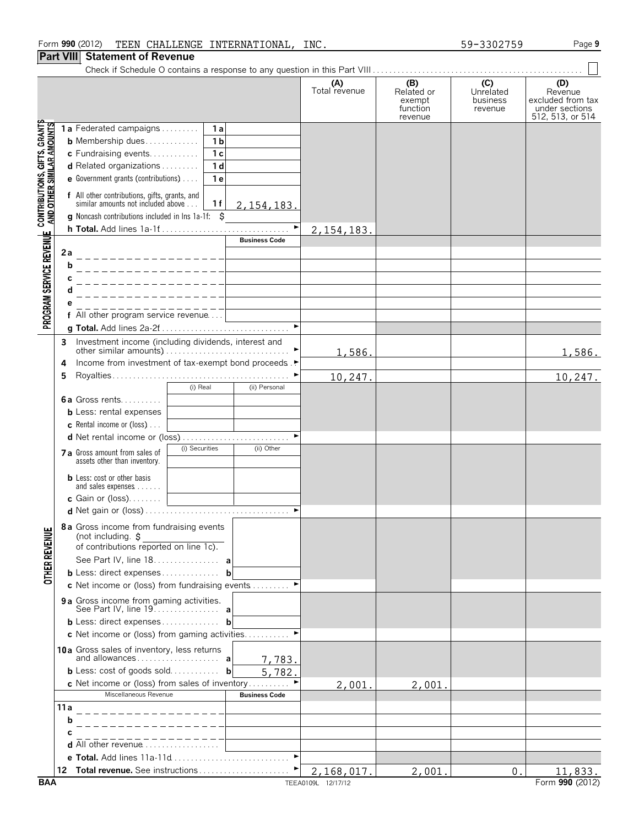## Form **990** (2012) Page **9** TEEN CHALLENGE INTERNATIONAL, INC. 59-3302759

#### **Part VIII Statement of Revenue**

|                                                                   |           |                                                                                           |                                               | (A)<br>Total revenue | (B)<br>Related or<br>exempt<br>function<br>revenue | (C)<br>Unrelated<br>business<br>revenue | (D)<br>Revenue<br>excluded from tax<br>under sections<br>512, 513, or 514 |
|-------------------------------------------------------------------|-----------|-------------------------------------------------------------------------------------------|-----------------------------------------------|----------------------|----------------------------------------------------|-----------------------------------------|---------------------------------------------------------------------------|
|                                                                   |           | 1a Federated campaigns<br>1a                                                              |                                               |                      |                                                    |                                         |                                                                           |
|                                                                   |           | 1 <sub>b</sub><br><b>b</b> Membership dues                                                |                                               |                      |                                                    |                                         |                                                                           |
|                                                                   |           | 1 <sub>c</sub><br>c Fundraising events                                                    |                                               |                      |                                                    |                                         |                                                                           |
|                                                                   |           | 1 <sub>d</sub><br>d Related organizations                                                 |                                               |                      |                                                    |                                         |                                                                           |
|                                                                   |           | e Government grants (contributions)<br>1e                                                 |                                               |                      |                                                    |                                         |                                                                           |
| <b>CONTRIBUTIONS, GIFTS, GRANTS<br/>AND OTHER SIMILAR AMOUNTS</b> |           | f All other contributions, gifts, grants, and<br>similar amounts not included above<br>1f | 2, 154, 183.                                  |                      |                                                    |                                         |                                                                           |
|                                                                   |           | <b>g</b> Noncash contributions included in lns 1a-1f: $\ddot{\mathbf{S}}$                 |                                               |                      |                                                    |                                         |                                                                           |
|                                                                   |           |                                                                                           | $\blacktriangleright$<br><b>Business Code</b> | 2, 154, 183.         |                                                    |                                         |                                                                           |
| PROGRAM SERVICE REVENUE                                           | 2a        |                                                                                           |                                               |                      |                                                    |                                         |                                                                           |
|                                                                   | b         |                                                                                           |                                               |                      |                                                    |                                         |                                                                           |
|                                                                   | c         |                                                                                           |                                               |                      |                                                    |                                         |                                                                           |
|                                                                   | d         |                                                                                           |                                               |                      |                                                    |                                         |                                                                           |
|                                                                   |           |                                                                                           |                                               |                      |                                                    |                                         |                                                                           |
|                                                                   |           | f All other program service revenue                                                       |                                               |                      |                                                    |                                         |                                                                           |
|                                                                   |           |                                                                                           |                                               |                      |                                                    |                                         |                                                                           |
|                                                                   | 3         | Investment income (including dividends, interest and                                      |                                               |                      |                                                    |                                         |                                                                           |
|                                                                   |           |                                                                                           |                                               | 1,586.               |                                                    |                                         | 1,586.                                                                    |
|                                                                   | 4         | Income from investment of tax-exempt bond proceeds. ▶                                     |                                               |                      |                                                    |                                         |                                                                           |
|                                                                   | 5         |                                                                                           |                                               | 10,247.              |                                                    |                                         | 10,247.                                                                   |
|                                                                   |           | (i) Real                                                                                  | (ii) Personal                                 |                      |                                                    |                                         |                                                                           |
|                                                                   |           | 6a Gross rents                                                                            |                                               |                      |                                                    |                                         |                                                                           |
|                                                                   |           | <b>b</b> Less: rental expenses                                                            |                                               |                      |                                                    |                                         |                                                                           |
|                                                                   |           | <b>c</b> Rental income or (loss) $\ldots$                                                 |                                               |                      |                                                    |                                         |                                                                           |
|                                                                   |           |                                                                                           |                                               |                      |                                                    |                                         |                                                                           |
|                                                                   |           | (i) Securities<br>7 a Gross amount from sales of<br>assets other than inventory.          | (ii) Other                                    |                      |                                                    |                                         |                                                                           |
|                                                                   |           | <b>b</b> Less: cost or other basis<br>and sales expenses                                  |                                               |                      |                                                    |                                         |                                                                           |
|                                                                   |           | c Gain or $(loss)$                                                                        |                                               |                      |                                                    |                                         |                                                                           |
|                                                                   |           |                                                                                           |                                               |                      |                                                    |                                         |                                                                           |
| <b>OTHER REVENUE</b>                                              |           | 8 a Gross income from fundraising events<br>(not including. $\sharp$                      |                                               |                      |                                                    |                                         |                                                                           |
|                                                                   |           | of contributions reported on line 1c).                                                    |                                               |                      |                                                    |                                         |                                                                           |
|                                                                   |           |                                                                                           |                                               |                      |                                                    |                                         |                                                                           |
|                                                                   |           | <b>b</b> Less: direct expenses                                                            | b                                             |                      |                                                    |                                         |                                                                           |
|                                                                   |           | <b>c</b> Net income or (loss) from fundraising events $\ldots \ldots$                     |                                               |                      |                                                    |                                         |                                                                           |
|                                                                   |           | <b>9a</b> Gross income from gaming activities.<br>See Part IV, line 19. a                 |                                               |                      |                                                    |                                         |                                                                           |
|                                                                   |           |                                                                                           |                                               |                      |                                                    |                                         |                                                                           |
|                                                                   |           | <b>c</b> Net income or (loss) from gaming activities                                      |                                               |                      |                                                    |                                         |                                                                           |
|                                                                   |           | 10a Gross sales of inventory, less returns                                                |                                               |                      |                                                    |                                         |                                                                           |
|                                                                   |           |                                                                                           | 7,783.                                        |                      |                                                    |                                         |                                                                           |
|                                                                   |           | <b>b</b> Less: cost of goods sold <b>b</b>                                                | 5,782.                                        |                      |                                                    |                                         |                                                                           |
|                                                                   |           | <b>c</b> Net income or (loss) from sales of inventory                                     |                                               | 2,001.               | 2,001.                                             |                                         |                                                                           |
|                                                                   |           | Miscellaneous Revenue                                                                     | <b>Business Code</b>                          |                      |                                                    |                                         |                                                                           |
|                                                                   | 11 a<br>b |                                                                                           |                                               |                      |                                                    |                                         |                                                                           |
|                                                                   |           |                                                                                           |                                               |                      |                                                    |                                         |                                                                           |
|                                                                   |           | <b>d</b> All other revenue $\ldots$ , $\ldots$                                            |                                               |                      |                                                    |                                         |                                                                           |
|                                                                   |           |                                                                                           |                                               |                      |                                                    |                                         |                                                                           |
|                                                                   |           |                                                                                           |                                               | 2,168,017.           | 2,001                                              | 0.                                      | 11,833.                                                                   |
|                                                                   |           |                                                                                           |                                               |                      |                                                    |                                         |                                                                           |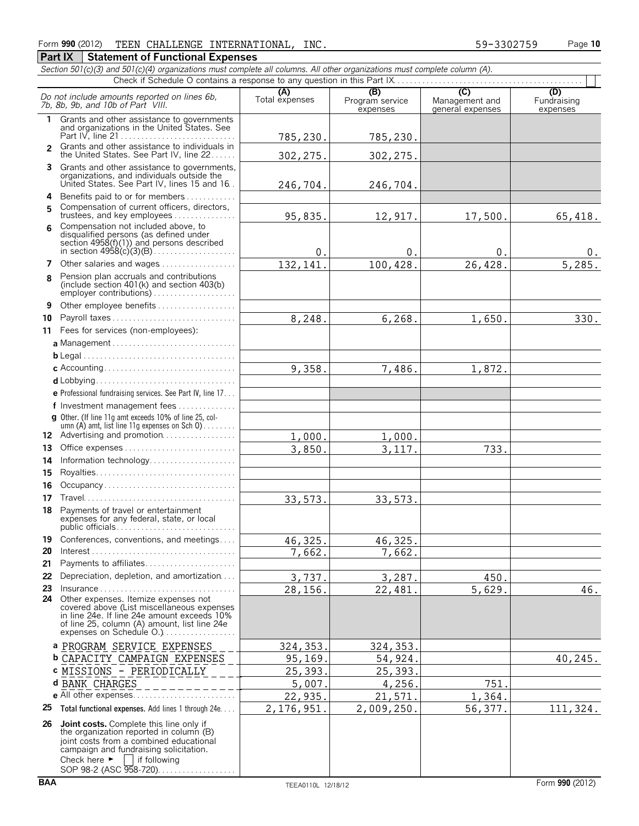|              | Section 501(c)(3) and 501(c)(4) organizations must complete all columns. All other organizations must complete column (A).                                                                                                             |                       |                             |                                    |                         |  |  |  |
|--------------|----------------------------------------------------------------------------------------------------------------------------------------------------------------------------------------------------------------------------------------|-----------------------|-----------------------------|------------------------------------|-------------------------|--|--|--|
|              |                                                                                                                                                                                                                                        |                       | (B)                         | (C)                                | (D)                     |  |  |  |
|              | Do not include amounts reported on lines 6b,<br>7b, 8b, 9b, and 10b of Part VIII.                                                                                                                                                      | (A)<br>Total expenses | Program service<br>expenses | Management and<br>general expenses | Fundraising<br>expenses |  |  |  |
| $\mathbf{1}$ | Grants and other assistance to governments<br>and organizations in the United States. See                                                                                                                                              |                       |                             |                                    |                         |  |  |  |
|              |                                                                                                                                                                                                                                        | 785,230.              | 785,230.                    |                                    |                         |  |  |  |
| $\mathbf{2}$ | Grants and other assistance to individuals in                                                                                                                                                                                          |                       |                             |                                    |                         |  |  |  |
|              | the United States. See Part IV, line 22                                                                                                                                                                                                | 302, 275.             | 302, 275.                   |                                    |                         |  |  |  |
| 3.           | Grants and other assistance to governments,<br>organizations, and individuals outside the                                                                                                                                              |                       |                             |                                    |                         |  |  |  |
|              | United States. See Part IV, lines 15 and 16.                                                                                                                                                                                           | 246,704.              | 246,704.                    |                                    |                         |  |  |  |
| 4            | Benefits paid to or for members                                                                                                                                                                                                        |                       |                             |                                    |                         |  |  |  |
| 5            | Compensation of current officers, directors,                                                                                                                                                                                           |                       |                             |                                    |                         |  |  |  |
|              | trustees, and key employees<br>Compensation not included above, to                                                                                                                                                                     | 95,835.               | 12,917.                     | 17,500.                            | 65,418.                 |  |  |  |
| 6            | disqualified persons (as defined under                                                                                                                                                                                                 |                       |                             |                                    |                         |  |  |  |
|              | section 4958(f)(1)) and persons described                                                                                                                                                                                              |                       |                             |                                    |                         |  |  |  |
|              |                                                                                                                                                                                                                                        | 0.                    | 0.                          | 0.                                 | 0.                      |  |  |  |
| 7            | Other salaries and wages                                                                                                                                                                                                               | 132,141               | 100,428.                    | 26,428.                            | 5,285.                  |  |  |  |
| 8            | Pension plan accruals and contributions<br>(include section 401(k) and section 403(b)<br>employer contributions)                                                                                                                       |                       |                             |                                    |                         |  |  |  |
| 9            | Other employee benefits                                                                                                                                                                                                                |                       |                             |                                    |                         |  |  |  |
| 10           |                                                                                                                                                                                                                                        | 8,248.                | 6,268.                      | 1,650.                             | 330.                    |  |  |  |
|              | 11 Fees for services (non-employees):                                                                                                                                                                                                  |                       |                             |                                    |                         |  |  |  |
|              |                                                                                                                                                                                                                                        |                       |                             |                                    |                         |  |  |  |
|              |                                                                                                                                                                                                                                        |                       |                             |                                    |                         |  |  |  |
|              |                                                                                                                                                                                                                                        | 9,358.                | 7,486.                      | 1,872.                             |                         |  |  |  |
|              |                                                                                                                                                                                                                                        |                       |                             |                                    |                         |  |  |  |
|              | e Professional fundraising services. See Part IV, line 17                                                                                                                                                                              |                       |                             |                                    |                         |  |  |  |
|              | f Investment management fees                                                                                                                                                                                                           |                       |                             |                                    |                         |  |  |  |
|              | g Other. (If line 11q amt exceeds 10% of line 25, col-                                                                                                                                                                                 |                       |                             |                                    |                         |  |  |  |
|              | umn (A) amt, list line 11g expenses on Sch 0)<br>12 Advertising and promotion                                                                                                                                                          |                       |                             |                                    |                         |  |  |  |
| 13           | Office expenses                                                                                                                                                                                                                        | 1,000.<br>3,850.      | 1,000.                      |                                    |                         |  |  |  |
| 14           | Information technology                                                                                                                                                                                                                 |                       | 3, 117.                     | 733.                               |                         |  |  |  |
| 15           |                                                                                                                                                                                                                                        |                       |                             |                                    |                         |  |  |  |
| 16           | Occupancy                                                                                                                                                                                                                              |                       |                             |                                    |                         |  |  |  |
| 17           |                                                                                                                                                                                                                                        |                       |                             |                                    |                         |  |  |  |
| 18           | Payments of travel or entertainment                                                                                                                                                                                                    | 33,573.               | 33,573.                     |                                    |                         |  |  |  |
|              | expenses for any federal, state, or local                                                                                                                                                                                              |                       |                             |                                    |                         |  |  |  |
| 19           | Conferences, conventions, and meetings                                                                                                                                                                                                 | 46,325.               | 46,325.                     |                                    |                         |  |  |  |
| 20           | $Interest \dots \dots \dots \dots \dots \dots \dots \dots \dots \dots \dots \dots \dots \dots$                                                                                                                                         | 7,662.                | 7,662.                      |                                    |                         |  |  |  |
| 21           | Payments to affiliates                                                                                                                                                                                                                 |                       |                             |                                    |                         |  |  |  |
| 22           | Depreciation, depletion, and amortization                                                                                                                                                                                              | 3,737.                | 3,287.                      | 450.                               |                         |  |  |  |
| 23           | $Insurance \ldots \ldots \ldots \ldots \ldots \ldots \ldots \ldots \ldots$                                                                                                                                                             | 28,156.               | 22,481.                     | 5,629.                             | 46.                     |  |  |  |
|              | 24 Other expenses. Itemize expenses not<br>covered above (List miscellaneous expenses<br>in line 24e. If line 24e amount exceeds 10%<br>of line 25, column (A) amount, list line 24e<br>expenses on Schedule O.)                       |                       |                             |                                    |                         |  |  |  |
|              | a PROGRAM SERVICE EXPENSES                                                                                                                                                                                                             | 324, 353.             | 324, 353.                   |                                    |                         |  |  |  |
|              | <b>b CAPACITY CAMPAIGN EXPENSES</b>                                                                                                                                                                                                    | 95,169.               | 54,924.                     |                                    | 40,245.                 |  |  |  |
|              | c MISSIONS - PERIODICALLY                                                                                                                                                                                                              | 25,393.               | 25,393.                     |                                    |                         |  |  |  |
|              | d BANK CHARGES                                                                                                                                                                                                                         | 5,007.                | 4,256.                      | 751.                               |                         |  |  |  |
|              |                                                                                                                                                                                                                                        | 22,935.               | 21,571.                     | 1,364.                             |                         |  |  |  |
| 25           | Total functional expenses. Add lines 1 through 24e                                                                                                                                                                                     | 2,176,951.            | 2,009,250.                  | 56,377.                            | 111,324.                |  |  |  |
|              |                                                                                                                                                                                                                                        |                       |                             |                                    |                         |  |  |  |
| 26           | <b>Joint costs.</b> Complete this line only if<br>the organization reported in column (B)<br>joint costs from a combined educational<br>campaign and fundraising solicitation.<br>Check here $\blacktriangleright$<br>    if following |                       |                             |                                    |                         |  |  |  |

SOP 98-2 (ASC 958-720). . . . . . . . . . . . . . . . .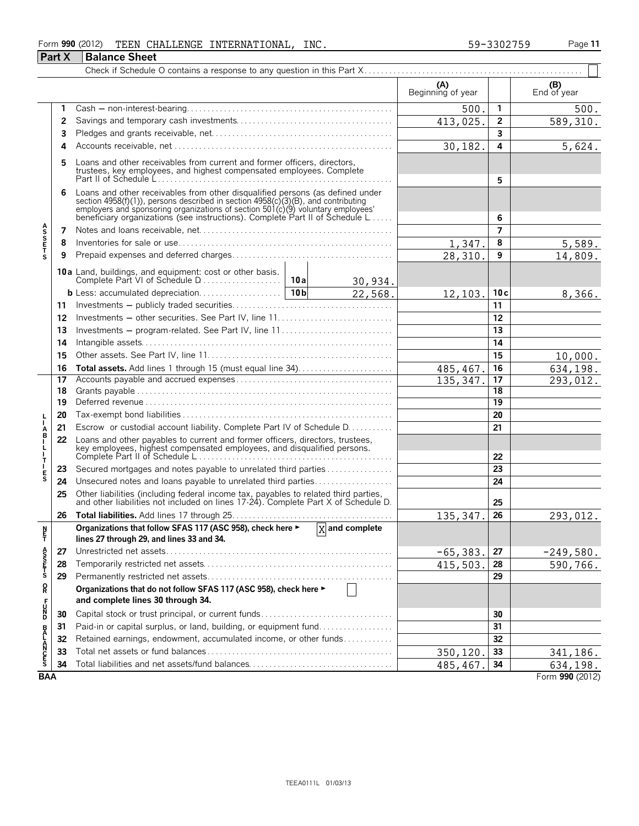### Form **990** (2012) Page **11** TEEN CHALLENGE INTERNATIONAL, INC. 59-3302759 **Part X Balance Sheet**

|                           |          |                                                                                                                                                                                                                                                                                                                      | (A)<br>Beginning of year |                 | (B)<br>End of year   |
|---------------------------|----------|----------------------------------------------------------------------------------------------------------------------------------------------------------------------------------------------------------------------------------------------------------------------------------------------------------------------|--------------------------|-----------------|----------------------|
|                           | 1        |                                                                                                                                                                                                                                                                                                                      | 500                      | $\mathbf{1}$    | 500.                 |
|                           | 2        |                                                                                                                                                                                                                                                                                                                      | 413,025.                 | $\overline{2}$  | 589,310.             |
|                           | 3        |                                                                                                                                                                                                                                                                                                                      |                          | 3               |                      |
|                           | 4        |                                                                                                                                                                                                                                                                                                                      | 30, 182.                 | 4               | 5,624.               |
|                           | 5        | Loans and other receivables from current and former officers, directors,<br>trustees, key employees, and highest compensated employees. Complete                                                                                                                                                                     |                          | 5               |                      |
|                           | 6        | Loans and other receivables from other disqualified persons (as defined under<br>section 4958(f)(1)), persons described in section 4958(c)(3)(B), and contributing<br>employers and sponsoring organizations of section 501(c)(9) voluntary employees<br>beneficiary organizations (see instructions). Complete Part |                          | 6               |                      |
|                           | 7        |                                                                                                                                                                                                                                                                                                                      |                          | $\overline{7}$  |                      |
|                           | 8        |                                                                                                                                                                                                                                                                                                                      | 1,347.                   | 8               | 5,589.               |
| <b>ASSETS</b>             | 9        |                                                                                                                                                                                                                                                                                                                      | 28,310                   | 9               | 14,809.              |
|                           |          | 10a Land, buildings, and equipment: cost or other basis.<br>Complete Part VI of Schedule D<br>10a                                                                                                                                                                                                                    |                          |                 |                      |
|                           |          | 30,934.<br>10 <sub>b</sub><br>22,568.                                                                                                                                                                                                                                                                                | 12, 103.                 | 10c             | 8,366.               |
|                           | 11       |                                                                                                                                                                                                                                                                                                                      |                          | 11              |                      |
|                           | 12       |                                                                                                                                                                                                                                                                                                                      |                          | 12              |                      |
|                           | 13       | Investments – program-related. See Part IV, line 11                                                                                                                                                                                                                                                                  |                          | 13              |                      |
|                           | 14       |                                                                                                                                                                                                                                                                                                                      |                          | 14              |                      |
|                           | 15       |                                                                                                                                                                                                                                                                                                                      |                          | 15              |                      |
|                           |          |                                                                                                                                                                                                                                                                                                                      |                          | 16              | 10,000.              |
|                           | 16<br>17 |                                                                                                                                                                                                                                                                                                                      | 485,467<br>135,347       | 17              | 634,198.<br>293,012. |
|                           | 18       |                                                                                                                                                                                                                                                                                                                      |                          | 18              |                      |
|                           | 19       |                                                                                                                                                                                                                                                                                                                      |                          | $\overline{19}$ |                      |
|                           | 20       |                                                                                                                                                                                                                                                                                                                      |                          | 20              |                      |
|                           | 21       | Escrow or custodial account liability. Complete Part IV of Schedule D.                                                                                                                                                                                                                                               |                          | 21              |                      |
| A<br>B<br>$\frac{1}{1}$   | 22       | Loans and other payables to current and former officers, directors, trustees,<br>key employees, highest compensated employees, and disqualified persons.                                                                                                                                                             |                          | 22              |                      |
| T                         | 23       | Secured mortgages and notes payable to unrelated third parties                                                                                                                                                                                                                                                       |                          | 23              |                      |
| E<br>S                    | 24       | Unsecured notes and loans payable to unrelated third parties                                                                                                                                                                                                                                                         |                          | 24              |                      |
|                           | 25       | Other liabilities (including federal income tax, payables to related third parties, and other liabilities not included on lines 17-24). Complete Part X of Schedule D.                                                                                                                                               |                          | 25              |                      |
|                           | 26       |                                                                                                                                                                                                                                                                                                                      | 135, 347.                | 26              | 293,012.             |
| N<br>Ť                    |          | Organizations that follow SFAS 117 (ASC 958), check here ► X and complete<br>lines 27 through 29, and lines 33 and 34.                                                                                                                                                                                               |                          |                 |                      |
|                           | 27       |                                                                                                                                                                                                                                                                                                                      | $-65,383.$               | 27              | $-249,580.$          |
| A<br>SSP<br>T<br>S        | 28       |                                                                                                                                                                                                                                                                                                                      | 415,503.                 | 28              | 590,766.             |
|                           | 29       |                                                                                                                                                                                                                                                                                                                      |                          | 29              |                      |
| $\mathsf{R}^{\mathsf{O}}$ |          | Organizations that do not follow SFAS 117 (ASC 958), check here ►                                                                                                                                                                                                                                                    |                          |                 |                      |
| DZC <sub>T</sub>          |          | and complete lines 30 through 34.                                                                                                                                                                                                                                                                                    |                          |                 |                      |
|                           | 30       |                                                                                                                                                                                                                                                                                                                      |                          | 30              |                      |
|                           | 31       | Paid-in or capital surplus, or land, building, or equipment fund                                                                                                                                                                                                                                                     |                          | 31              |                      |
|                           | 32       | Retained earnings, endowment, accumulated income, or other funds                                                                                                                                                                                                                                                     |                          | 32              |                      |
| <b>BALANCES</b>           | 33       |                                                                                                                                                                                                                                                                                                                      | 350,120                  | 33              | 341,186.             |
|                           | 34       |                                                                                                                                                                                                                                                                                                                      | 485,467.                 | 34              | 634,198.             |
| <b>BAA</b>                |          |                                                                                                                                                                                                                                                                                                                      |                          |                 | Form 990 (2012)      |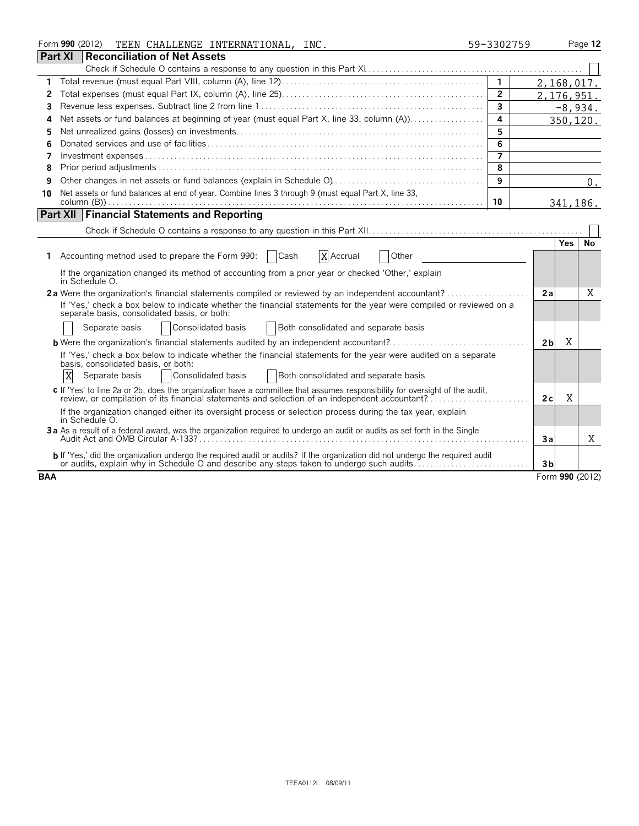|                | Form 990 (2012)<br>TEEN CHALLENGE INTERNATIONAL, INC.                                                                                                                                                                            | 59-3302759     |                     | Page 12   |
|----------------|----------------------------------------------------------------------------------------------------------------------------------------------------------------------------------------------------------------------------------|----------------|---------------------|-----------|
| <b>Part XI</b> | Reconciliation of Net Assets                                                                                                                                                                                                     |                |                     |           |
|                |                                                                                                                                                                                                                                  |                |                     |           |
| 1              |                                                                                                                                                                                                                                  |                | 2,168,017.          |           |
| 2              |                                                                                                                                                                                                                                  | $\overline{2}$ | 2, 176, 951.        |           |
| 3              |                                                                                                                                                                                                                                  | 3              |                     | $-8,934.$ |
| 4              |                                                                                                                                                                                                                                  | 4              |                     | 350,120.  |
| 5              |                                                                                                                                                                                                                                  | 5              |                     |           |
| 6              |                                                                                                                                                                                                                                  | 6              |                     |           |
| 7              |                                                                                                                                                                                                                                  | $\overline{7}$ |                     |           |
| 8              |                                                                                                                                                                                                                                  | 8              |                     |           |
| 9              |                                                                                                                                                                                                                                  | 9              |                     | 0.        |
| 10             | Net assets or fund balances at end of year. Combine lines 3 through 9 (must equal Part X, line 33,                                                                                                                               |                |                     |           |
|                |                                                                                                                                                                                                                                  | 10             |                     | 341,186.  |
|                | <b>Part XII Financial Statements and Reporting</b>                                                                                                                                                                               |                |                     |           |
|                |                                                                                                                                                                                                                                  |                |                     |           |
|                |                                                                                                                                                                                                                                  |                | <b>Yes</b>          | No        |
| 1.             | Accounting method used to prepare the Form 990:<br>X Accrual<br><b>Cash</b><br>Other                                                                                                                                             |                |                     |           |
|                | If the organization changed its method of accounting from a prior year or checked 'Other,' explain<br>in Schedule O.                                                                                                             |                |                     |           |
|                | 2a Were the organization's financial statements compiled or reviewed by an independent accountant?                                                                                                                               |                | 2a                  | X         |
|                | If 'Yes,' check a box below to indicate whether the financial statements for the year were compiled or reviewed on a<br>separate basis, consolidated basis, or both:                                                             |                |                     |           |
|                | Consolidated basis<br>Both consolidated and separate basis<br>Separate basis                                                                                                                                                     |                |                     |           |
|                | <b>b</b> Were the organization's financial statements audited by an independent accountant?                                                                                                                                      |                | X<br>2 <sub>b</sub> |           |
|                | If 'Yes,' check a box below to indicate whether the financial statements for the year were audited on a separate<br>basis, consolidated basis, or both:                                                                          |                |                     |           |
|                | X<br>Both consolidated and separate basis<br>Consolidated basis<br>Separate basis                                                                                                                                                |                |                     |           |
|                | c If 'Yes' to line 2a or 2b, does the organization have a committee that assumes responsibility for oversight of the audit,<br>review, or compilation of its financial statements and selection of an independent accountant?    |                | X<br>2c             |           |
|                | If the organization changed either its oversight process or selection process during the tax year, explain<br>in Schedule O.                                                                                                     |                |                     |           |
|                | 3a As a result of a federal award, was the organization required to undergo an audit or audits as set forth in the Single                                                                                                        |                | Зa                  | X         |
|                | <b>b</b> If 'Yes,' did the organization undergo the required audit or audits? If the organization did not undergo the required audit<br>or audits, explain why in Schedule O and describe any steps taken to undergo such audits |                | 3 <sub>b</sub>      |           |
| <b>BAA</b>     |                                                                                                                                                                                                                                  |                | Form 990 (2012)     |           |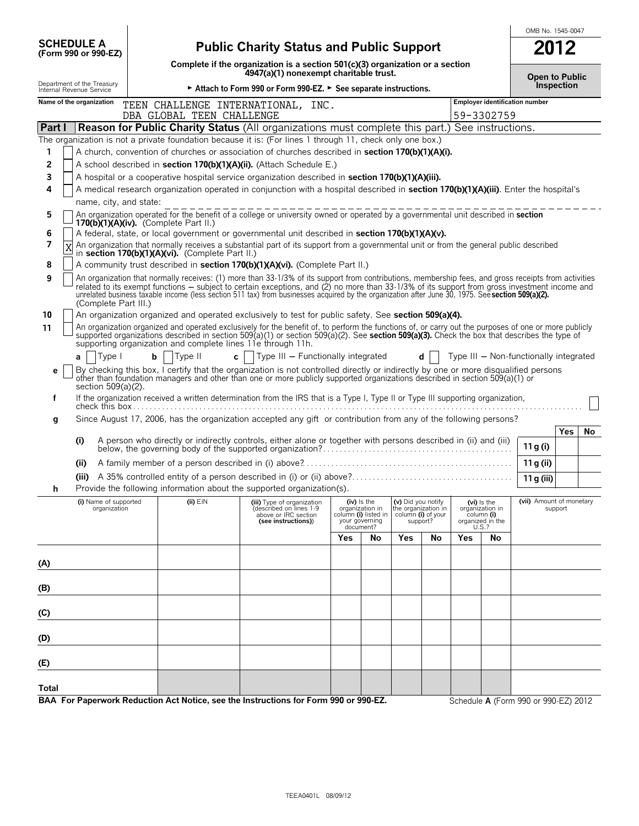|        |                                                        |                                                                                                                                                                                                                                                                                                                                                                                                                                                            |                                                                                                                           |                                                                                                                                                                                                                                                                                                                                                                      |  |     | OMB No. 1545-0047                                                                       |                                                                             |    |     |                                                                             |                                        |            |    |
|--------|--------------------------------------------------------|------------------------------------------------------------------------------------------------------------------------------------------------------------------------------------------------------------------------------------------------------------------------------------------------------------------------------------------------------------------------------------------------------------------------------------------------------------|---------------------------------------------------------------------------------------------------------------------------|----------------------------------------------------------------------------------------------------------------------------------------------------------------------------------------------------------------------------------------------------------------------------------------------------------------------------------------------------------------------|--|-----|-----------------------------------------------------------------------------------------|-----------------------------------------------------------------------------|----|-----|-----------------------------------------------------------------------------|----------------------------------------|------------|----|
|        | <b>SCHEDULE A</b><br>(Form 990 or 990-EZ)              |                                                                                                                                                                                                                                                                                                                                                                                                                                                            | <b>Public Charity Status and Public Support</b>                                                                           |                                                                                                                                                                                                                                                                                                                                                                      |  |     |                                                                                         |                                                                             |    |     |                                                                             | 2012                                   |            |    |
|        |                                                        |                                                                                                                                                                                                                                                                                                                                                                                                                                                            | Complete if the organization is a section $501(c)(3)$ organization or a section<br>4947(a)(1) nonexempt charitable trust. |                                                                                                                                                                                                                                                                                                                                                                      |  |     |                                                                                         |                                                                             |    |     | Open to Public                                                              |                                        |            |    |
|        | Department of the Treasury<br>Internal Revenue Service |                                                                                                                                                                                                                                                                                                                                                                                                                                                            |                                                                                                                           | ► Attach to Form 990 or Form 990-EZ. ► See separate instructions.                                                                                                                                                                                                                                                                                                    |  |     |                                                                                         |                                                                             |    |     |                                                                             |                                        | Inspection |    |
|        | Name of the organization                               |                                                                                                                                                                                                                                                                                                                                                                                                                                                            | DBA GLOBAL TEEN CHALLENGE                                                                                                 | TEEN CHALLENGE INTERNATIONAL, INC.                                                                                                                                                                                                                                                                                                                                   |  |     |                                                                                         |                                                                             |    |     | 59-3302759                                                                  | <b>Employer identification number</b>  |            |    |
| Part I |                                                        |                                                                                                                                                                                                                                                                                                                                                                                                                                                            |                                                                                                                           | <b>Reason for Public Charity Status (All organizations must complete this part.) See instructions.</b>                                                                                                                                                                                                                                                               |  |     |                                                                                         |                                                                             |    |     |                                                                             |                                        |            |    |
|        |                                                        |                                                                                                                                                                                                                                                                                                                                                                                                                                                            |                                                                                                                           | The organization is not a private foundation because it is: (For lines 1 through 11, check only one box.)                                                                                                                                                                                                                                                            |  |     |                                                                                         |                                                                             |    |     |                                                                             |                                        |            |    |
| 1      |                                                        |                                                                                                                                                                                                                                                                                                                                                                                                                                                            |                                                                                                                           | A church, convention of churches or association of churches described in <b>section 170(b)(1)(A)(i).</b>                                                                                                                                                                                                                                                             |  |     |                                                                                         |                                                                             |    |     |                                                                             |                                        |            |    |
| 2      |                                                        |                                                                                                                                                                                                                                                                                                                                                                                                                                                            |                                                                                                                           | A school described in section 170(b)(1)(A)(ii). (Attach Schedule E.)                                                                                                                                                                                                                                                                                                 |  |     |                                                                                         |                                                                             |    |     |                                                                             |                                        |            |    |
| 3      |                                                        |                                                                                                                                                                                                                                                                                                                                                                                                                                                            |                                                                                                                           | A hospital or a cooperative hospital service organization described in section 170(b)(1)(A)(iii).                                                                                                                                                                                                                                                                    |  |     |                                                                                         |                                                                             |    |     |                                                                             |                                        |            |    |
| 4      |                                                        |                                                                                                                                                                                                                                                                                                                                                                                                                                                            |                                                                                                                           | A medical research organization operated in conjunction with a hospital described in section 170(b)(1)(A)(iii). Enter the hospital's                                                                                                                                                                                                                                 |  |     |                                                                                         |                                                                             |    |     |                                                                             |                                        |            |    |
|        | name, city, and state:                                 |                                                                                                                                                                                                                                                                                                                                                                                                                                                            |                                                                                                                           |                                                                                                                                                                                                                                                                                                                                                                      |  |     |                                                                                         |                                                                             |    |     |                                                                             |                                        |            |    |
| 5      |                                                        |                                                                                                                                                                                                                                                                                                                                                                                                                                                            | $170(b)(1)(A)(iv)$ . (Complete Part II.)                                                                                  | An organization operated for the benefit of a college or university owned or operated by a governmental unit described in section                                                                                                                                                                                                                                    |  |     |                                                                                         |                                                                             |    |     |                                                                             |                                        |            |    |
| 6      |                                                        |                                                                                                                                                                                                                                                                                                                                                                                                                                                            |                                                                                                                           | A federal, state, or local government or governmental unit described in section 170(b)(1)(A)(v).                                                                                                                                                                                                                                                                     |  |     |                                                                                         |                                                                             |    |     |                                                                             |                                        |            |    |
| 7      | $\overline{X}$                                         |                                                                                                                                                                                                                                                                                                                                                                                                                                                            | in section 170(b)(1)(A)(vi). (Complete Part II.)                                                                          | An organization that normally receives a substantial part of its support from a governmental unit or from the general public described                                                                                                                                                                                                                               |  |     |                                                                                         |                                                                             |    |     |                                                                             |                                        |            |    |
| 8      |                                                        |                                                                                                                                                                                                                                                                                                                                                                                                                                                            |                                                                                                                           | A community trust described in section 170(b)(1)(A)(vi). (Complete Part II.)                                                                                                                                                                                                                                                                                         |  |     |                                                                                         |                                                                             |    |     |                                                                             |                                        |            |    |
| 9      | (Complete Part III.)                                   | An organization that normally receives: (1) more than 33-1/3% of its support from contributions, membership fees, and gross receipts from activities<br>related to its exempt functions – subject to certain exceptions, and (2) no more than 33-1/3% of its support from gross investment income and<br>unrelated business taxable income (less section 511 tax) from businesses acquired by the organization after June 30, 1975. See section 509(a)(2). |                                                                                                                           |                                                                                                                                                                                                                                                                                                                                                                      |  |     |                                                                                         |                                                                             |    |     |                                                                             |                                        |            |    |
| 10     |                                                        |                                                                                                                                                                                                                                                                                                                                                                                                                                                            |                                                                                                                           | An organization organized and operated exclusively to test for public safety. See section 509(a)(4).                                                                                                                                                                                                                                                                 |  |     |                                                                                         |                                                                             |    |     |                                                                             |                                        |            |    |
| 11     |                                                        |                                                                                                                                                                                                                                                                                                                                                                                                                                                            |                                                                                                                           | An organization organized and operated exclusively for the benefit of, to perform the functions of, or carry out the purposes of one or more publicly<br>supported organizations described in section 509(a)(1) or section 509(a)(2). See section 509(a)(3). Check the box that describes the type of<br>supporting organization and complete lines 11e through 11h. |  |     |                                                                                         |                                                                             |    |     |                                                                             |                                        |            |    |
|        | Type I<br>a                                            | $\mathbf b$                                                                                                                                                                                                                                                                                                                                                                                                                                                | Type II                                                                                                                   | c   $ $ Type III – Functionally integrated                                                                                                                                                                                                                                                                                                                           |  |     |                                                                                         |                                                                             | d  |     |                                                                             | Type III - Non-functionally integrated |            |    |
| е      | section $509(a)(2)$ .                                  |                                                                                                                                                                                                                                                                                                                                                                                                                                                            |                                                                                                                           | By checking this box, I certify that the organization is not controlled directly or indirectly by one or more disqualified persons<br>other than foundation managers and other than one or more publicly supported organizations described in section 509(a)(1) or                                                                                                   |  |     |                                                                                         |                                                                             |    |     |                                                                             |                                        |            |    |
| f      |                                                        |                                                                                                                                                                                                                                                                                                                                                                                                                                                            |                                                                                                                           | If the organization received a written determination from the IRS that is a Type I, Type II or Type III supporting organization,                                                                                                                                                                                                                                     |  |     |                                                                                         |                                                                             |    |     |                                                                             |                                        |            |    |
| g      |                                                        |                                                                                                                                                                                                                                                                                                                                                                                                                                                            |                                                                                                                           | Since August 17, 2006, has the organization accepted any gift or contribution from any of the following persons?                                                                                                                                                                                                                                                     |  |     |                                                                                         |                                                                             |    |     |                                                                             |                                        |            |    |
|        | (i)                                                    |                                                                                                                                                                                                                                                                                                                                                                                                                                                            |                                                                                                                           | A person who directly or indirectly controls, either alone or together with persons described in (ii) and (iii)                                                                                                                                                                                                                                                      |  |     |                                                                                         |                                                                             |    |     |                                                                             | 11 g (i)                               | Yes        | No |
|        | (ii)                                                   |                                                                                                                                                                                                                                                                                                                                                                                                                                                            |                                                                                                                           |                                                                                                                                                                                                                                                                                                                                                                      |  |     |                                                                                         |                                                                             |    |     |                                                                             | 11 g (ii)                              |            |    |
|        |                                                        |                                                                                                                                                                                                                                                                                                                                                                                                                                                            |                                                                                                                           |                                                                                                                                                                                                                                                                                                                                                                      |  |     |                                                                                         |                                                                             |    |     |                                                                             | 11 g (iii)                             |            |    |
|        |                                                        |                                                                                                                                                                                                                                                                                                                                                                                                                                                            |                                                                                                                           | Provide the following information about the supported organization(s).                                                                                                                                                                                                                                                                                               |  |     |                                                                                         |                                                                             |    |     |                                                                             |                                        |            |    |
|        | (i) Name of supported<br>organization                  |                                                                                                                                                                                                                                                                                                                                                                                                                                                            | $(ii)$ $EIN$                                                                                                              | (iii) Type of organization<br>described on lines 1-9<br>above or IRC section<br>(see instructions))                                                                                                                                                                                                                                                                  |  |     | $(iv)$ is the<br>organization in<br>column (i) listed in<br>your governing<br>document? | (v) Did you notify<br>the organization in<br>column (i) of your<br>support? |    |     | $(vi)$ is the<br>organization in<br>column (i)<br>organized in the<br>U.S.? | (vii) Amount of monetary               | support    |    |
|        |                                                        |                                                                                                                                                                                                                                                                                                                                                                                                                                                            |                                                                                                                           |                                                                                                                                                                                                                                                                                                                                                                      |  | Yes | No                                                                                      | Yes                                                                         | No | Yes | No                                                                          |                                        |            |    |
|        |                                                        |                                                                                                                                                                                                                                                                                                                                                                                                                                                            |                                                                                                                           |                                                                                                                                                                                                                                                                                                                                                                      |  |     |                                                                                         |                                                                             |    |     |                                                                             |                                        |            |    |
| (A)    |                                                        |                                                                                                                                                                                                                                                                                                                                                                                                                                                            |                                                                                                                           |                                                                                                                                                                                                                                                                                                                                                                      |  |     |                                                                                         |                                                                             |    |     |                                                                             |                                        |            |    |
| (B)    |                                                        |                                                                                                                                                                                                                                                                                                                                                                                                                                                            |                                                                                                                           |                                                                                                                                                                                                                                                                                                                                                                      |  |     |                                                                                         |                                                                             |    |     |                                                                             |                                        |            |    |
| (C)    |                                                        |                                                                                                                                                                                                                                                                                                                                                                                                                                                            |                                                                                                                           |                                                                                                                                                                                                                                                                                                                                                                      |  |     |                                                                                         |                                                                             |    |     |                                                                             |                                        |            |    |
| (D)    |                                                        |                                                                                                                                                                                                                                                                                                                                                                                                                                                            |                                                                                                                           |                                                                                                                                                                                                                                                                                                                                                                      |  |     |                                                                                         |                                                                             |    |     |                                                                             |                                        |            |    |
| (E)    |                                                        |                                                                                                                                                                                                                                                                                                                                                                                                                                                            |                                                                                                                           |                                                                                                                                                                                                                                                                                                                                                                      |  |     |                                                                                         |                                                                             |    |     |                                                                             |                                        |            |    |
| Total  |                                                        |                                                                                                                                                                                                                                                                                                                                                                                                                                                            |                                                                                                                           | BAA For Paperwork Reduction Act Notice, see the Instructions for Form 990 or 990-EZ.                                                                                                                                                                                                                                                                                 |  |     |                                                                                         |                                                                             |    |     |                                                                             | Schedule A (Form 990 or 990-EZ) 2012   |            |    |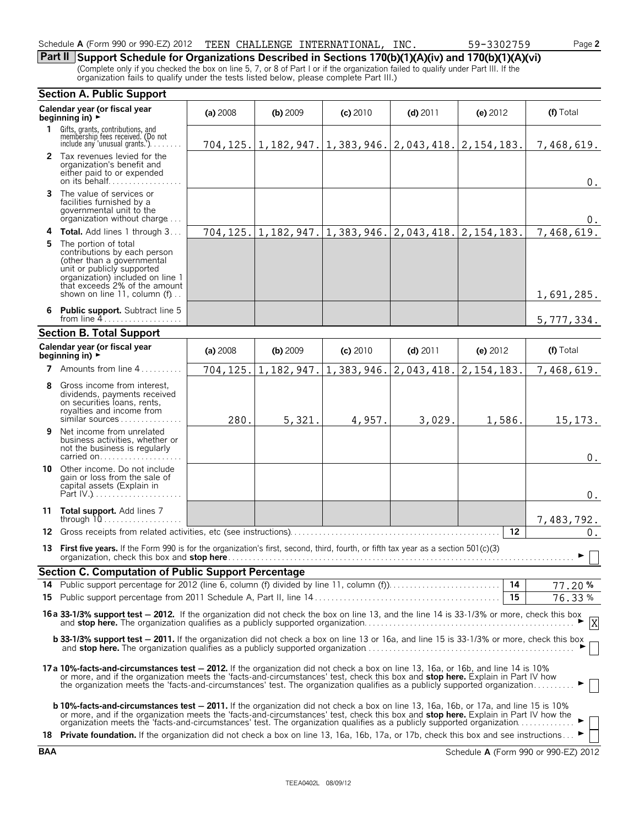| 990 or 990-EZ) 2012<br>Schedule<br>A (Form | TEEN | CHALLENGE | INTERNATIONAL, | <b>INC</b> | 3302759<br>. ب | ⊔າລາ<br>aut L |
|--------------------------------------------|------|-----------|----------------|------------|----------------|---------------|
|                                            |      |           |                |            |                |               |

# **Part II Support Schedule for Organizations Described in Sections 170(b)(1)(A)(iv) and 170(b)(1)(A)(vi)**

(Complete only if you checked the box on line 5, 7, or 8 of Part I or if the organization failed to qualify under Part III. If the organization fails to qualify under the tests listed below, please complete Part III.)

|    | <b>Section A. Public Support</b>                                                                                                                                                                                                                                                                                                                                                                                                                                                                                      |          |            |            |                                                                       |              |                          |  |
|----|-----------------------------------------------------------------------------------------------------------------------------------------------------------------------------------------------------------------------------------------------------------------------------------------------------------------------------------------------------------------------------------------------------------------------------------------------------------------------------------------------------------------------|----------|------------|------------|-----------------------------------------------------------------------|--------------|--------------------------|--|
|    | Calendar year (or fiscal year<br>beginning in) $\rightarrow$                                                                                                                                                                                                                                                                                                                                                                                                                                                          | (a) 2008 | $(b)$ 2009 | $(c)$ 2010 | $(d)$ 2011                                                            | (e) 2012     | (f) Total                |  |
| 1. | Gifts, grants, contributions, and<br>membership fees received. (Do not<br>include any 'unusual grants.').                                                                                                                                                                                                                                                                                                                                                                                                             |          |            |            | 704, 125.   1, 182, 947.   1, 383, 946.   2, 043, 418.   2, 154, 183. |              | 7,468,619.               |  |
|    | 2 Tax revenues levied for the<br>organization's benefit and<br>either paid to or expended<br>on its behalf                                                                                                                                                                                                                                                                                                                                                                                                            |          |            |            |                                                                       |              | $0$ .                    |  |
|    | <b>3</b> The value of services or<br>facilities furnished by a<br>governmental unit to the<br>organization without charge                                                                                                                                                                                                                                                                                                                                                                                             |          |            |            |                                                                       |              | 0.                       |  |
|    | 4 Total. Add lines 1 through 3                                                                                                                                                                                                                                                                                                                                                                                                                                                                                        |          |            |            | $704, 125.   1, 182, 947.   1, 383, 946.   2, 043, 418.$              | 2, 154, 183. | $\overline{7,}$ 468,619. |  |
| 5  | The portion of total<br>contributions by each person<br>(other than a governmental<br>unit or publicly supported<br>organization) included on line 1<br>that exceeds 2% of the amount<br>shown on line 11, column (f)                                                                                                                                                                                                                                                                                                 |          |            |            |                                                                       |              | 1,691,285.               |  |
|    | 6 Public support. Subtract line 5<br>from line $4$                                                                                                                                                                                                                                                                                                                                                                                                                                                                    |          |            |            |                                                                       |              | 5,777,334.               |  |
|    | <b>Section B. Total Support</b>                                                                                                                                                                                                                                                                                                                                                                                                                                                                                       |          |            |            |                                                                       |              |                          |  |
|    | Calendar year (or fiscal year<br>beginning in) $\rightarrow$                                                                                                                                                                                                                                                                                                                                                                                                                                                          | (a) 2008 | $(b)$ 2009 | (c) 2010   | $(d)$ 2011                                                            | (e) $2012$   | (f) Total                |  |
|    | 7 Amounts from line 4                                                                                                                                                                                                                                                                                                                                                                                                                                                                                                 | 704,125. | 1,182,947. | 1,383,946. | 2,043,418.                                                            | 2, 154, 183. | 7,468,619.               |  |
| 8  | Gross income from interest,<br>dividends, payments received<br>on securities loans, rents,<br>royalties and income from<br>similar sources                                                                                                                                                                                                                                                                                                                                                                            | 280.     | 5,321.     | 4,957.     | 3,029.                                                                | 1,586.       | 15, 173.                 |  |
| 9  | Net income from unrelated<br>business activities, whether or<br>not the business is regularly<br>carried on                                                                                                                                                                                                                                                                                                                                                                                                           |          |            |            |                                                                       |              | $0$ .                    |  |
| 10 | Other income. Do not include<br>gain or loss from the sale of<br>capital assets (Explain in                                                                                                                                                                                                                                                                                                                                                                                                                           |          |            |            |                                                                       |              | $0$ .                    |  |
|    | 11 Total support. Add lines 7<br>through $10$                                                                                                                                                                                                                                                                                                                                                                                                                                                                         |          |            |            |                                                                       |              | 7,483,792.               |  |
| 12 |                                                                                                                                                                                                                                                                                                                                                                                                                                                                                                                       |          |            |            |                                                                       | 12           | $0$ .                    |  |
|    | 13 First five years. If the Form 990 is for the organization's first, second, third, fourth, or fifth tax year as a section 501(c)(3)<br>organization, check this box and stop here.                                                                                                                                                                                                                                                                                                                                  |          |            |            |                                                                       |              |                          |  |
|    | <b>Section C. Computation of Public Support Percentage</b>                                                                                                                                                                                                                                                                                                                                                                                                                                                            |          |            |            |                                                                       |              |                          |  |
|    |                                                                                                                                                                                                                                                                                                                                                                                                                                                                                                                       |          |            |            |                                                                       |              | 77.20%                   |  |
|    |                                                                                                                                                                                                                                                                                                                                                                                                                                                                                                                       |          |            |            |                                                                       | 15           | 76.33%                   |  |
|    | 16 a 33-1/3% support test - 2012. If the organization did not check the box on line 13, and the line 14 is 33-1/3% or more, check this box                                                                                                                                                                                                                                                                                                                                                                            |          |            |            |                                                                       |              |                          |  |
|    | <b>b 33-1/3% support test - 2011.</b> If the organization did not check a box on line 13 or 16a, and line 15 is 33-1/3% or more, check this box                                                                                                                                                                                                                                                                                                                                                                       |          |            |            |                                                                       |              |                          |  |
|    | 17a 10%-facts-and-circumstances test - 2012. If the organization did not check a box on line 13, 16a, or 16b, and line 14 is 10%<br>or more, and if the organization meets the 'facts-and-circumstances' test, check this box and <b>stop here.</b> Explain in Part IV how<br>the organization meets the 'facts-and-circumstances' test. The organization qualifies as a p                                                                                                                                            |          |            |            |                                                                       |              |                          |  |
|    | <b>b 10%-facts-and-circumstances test - 2011.</b> If the organization did not check a box on line 13, 16a, 16b, or 17a, and line 15 is 10%<br>or more, and if the organization meets the 'facts-and-circumstances' test, check this box and stop here. Explain in Part IV how the organization meets the 'facts-and-circumstances' test. The organization qualifies as a pub<br>18 Private foundation. If the organization did not check a box on line 13, 16a, 16b, 17a, or 17b, check this box and see instructions |          |            |            |                                                                       |              |                          |  |
|    |                                                                                                                                                                                                                                                                                                                                                                                                                                                                                                                       |          |            |            |                                                                       |              |                          |  |

**BAA** Schedule **A** (Form 990 or 990-EZ) 2012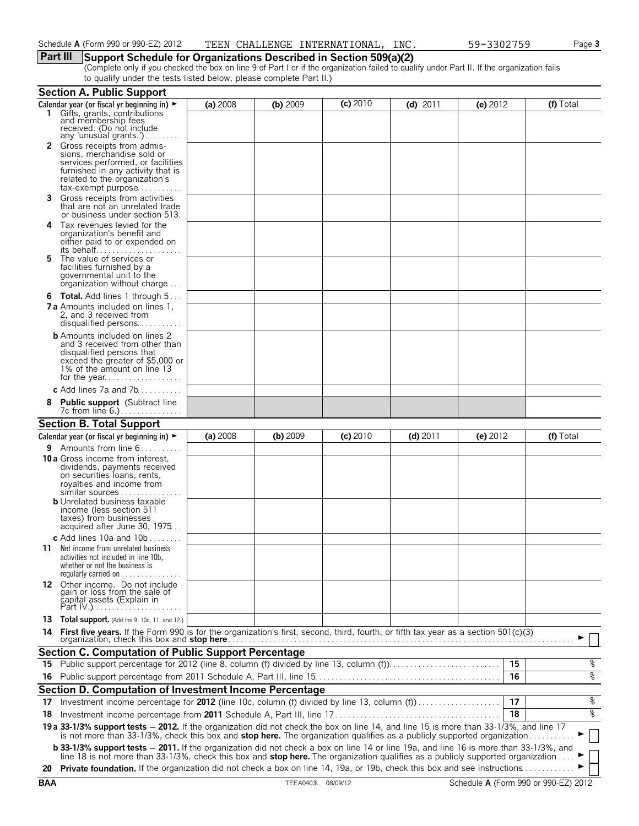## **Part III Support Schedule for Organizations Described in Section 509(a)(2)**

(Complete only if you checked the box on line 9 of Part I or if the organization failed to qualify under Part II. If the organization fails to qualify under the tests listed below, please complete Part II.)

|    | <b>Section A. Public Support</b>                                                                                                                                                                                                                                                                                                                                                                                      |          |            |            |            |          |           |
|----|-----------------------------------------------------------------------------------------------------------------------------------------------------------------------------------------------------------------------------------------------------------------------------------------------------------------------------------------------------------------------------------------------------------------------|----------|------------|------------|------------|----------|-----------|
|    | Calendar year (or fiscal yr beginning in) ►                                                                                                                                                                                                                                                                                                                                                                           | (a) 2008 | (b) 2009   | $(c)$ 2010 | $(d)$ 2011 | (e) 2012 | (f) Total |
|    | 1 Gifts, grants, contributions<br>and membership fees<br>received. (Do not include<br>any 'unusual grants.')                                                                                                                                                                                                                                                                                                          |          |            |            |            |          |           |
|    | <b>2</b> Gross receipts from admis-<br>sions, merchandise sold or<br>services performed, or facilities<br>furnished in any activity that is<br>related to the organization's<br>tax-exempt purpose                                                                                                                                                                                                                    |          |            |            |            |          |           |
| 3. | Gross receipts from activities<br>that are not an unrelated trade<br>or business under section 513.                                                                                                                                                                                                                                                                                                                   |          |            |            |            |          |           |
| 4  | Tax revenues levied for the<br>organization's benefit and<br>either paid to or expended on                                                                                                                                                                                                                                                                                                                            |          |            |            |            |          |           |
| 5. | The value of services or<br>facilities furnished by a<br>governmental unit to the<br>organization without charge                                                                                                                                                                                                                                                                                                      |          |            |            |            |          |           |
|    | <b>6 Total.</b> Add lines 1 through 5<br><b>7 a</b> Amounts included on lines 1,<br>2, and 3 received from<br>disqualified persons                                                                                                                                                                                                                                                                                    |          |            |            |            |          |           |
|    | <b>b</b> Amounts included on lines 2<br>and 3 received from other than<br>disqualified persons that<br>exceed the greater of \$5,000 or<br>1% of the amount on line 13                                                                                                                                                                                                                                                |          |            |            |            |          |           |
|    | <b>c</b> Add lines 7a and 7b                                                                                                                                                                                                                                                                                                                                                                                          |          |            |            |            |          |           |
| 8  | <b>Public support</b> (Subtract line<br>7c from line 6.)                                                                                                                                                                                                                                                                                                                                                              |          |            |            |            |          |           |
|    | <b>Section B. Total Support</b>                                                                                                                                                                                                                                                                                                                                                                                       |          |            |            |            |          |           |
|    | Calendar year (or fiscal yr beginning in) $\blacktriangleright$                                                                                                                                                                                                                                                                                                                                                       | (a) 2008 | $(b)$ 2009 | (c) 2010   | $(d)$ 2011 | (e) 2012 | (f) Total |
|    | <b>9</b> Amounts from line $6, \ldots, \ldots$<br>10 a Gross income from interest,<br>dividends, payments received<br>on securities loans, rents,<br>royalties and income from<br>similar sources<br><b>b</b> Unrelated business taxable<br>income (less section 511<br>taxes) from businesses<br>acquired after June 30, 1975                                                                                        |          |            |            |            |          |           |
|    | c Add lines 10a and $10b$<br><b>11</b> Net income from unrelated business<br>activities not included in line 10b,<br>whether or not the business is<br>regularly carried on $\dots\dots\dots\dots\dots$                                                                                                                                                                                                               |          |            |            |            |          |           |
|    | 12 Other income. Do not include<br>gain or loss from the sale of<br>čapital assets (Explain in                                                                                                                                                                                                                                                                                                                        |          |            |            |            |          |           |
|    | 13 Total support. (Add Ins 9, 10c, 11, and 12.)                                                                                                                                                                                                                                                                                                                                                                       |          |            |            |            |          |           |
|    |                                                                                                                                                                                                                                                                                                                                                                                                                       |          |            |            |            |          |           |
|    | <b>Section C. Computation of Public Support Percentage</b>                                                                                                                                                                                                                                                                                                                                                            |          |            |            |            |          |           |
|    | 15 Public support percentage for 2012 (line 8, column (f) divided by line 13, column (f)                                                                                                                                                                                                                                                                                                                              |          |            |            |            |          | %<br>15   |
|    |                                                                                                                                                                                                                                                                                                                                                                                                                       |          |            |            |            | 16       | ာ<br>၁    |
|    | Section D. Computation of Investment Income Percentage                                                                                                                                                                                                                                                                                                                                                                |          |            |            |            |          |           |
| 17 | Investment income percentage for 2012 (line 10c, column (f) divided by line 13, column (f)                                                                                                                                                                                                                                                                                                                            |          |            |            |            |          | %<br>17   |
| 18 |                                                                                                                                                                                                                                                                                                                                                                                                                       |          |            |            |            |          | နွ<br>18  |
|    |                                                                                                                                                                                                                                                                                                                                                                                                                       |          |            |            |            |          |           |
|    | 19 a 33-1/3% support tests - 2012. If the organization did not check the box on line 14, and line 15 is more than 33-1/3%, and line 17 is not more than 33-1/3%, check this box and stop here. The organization qualifies as a                                                                                                                                                                                        |          |            |            |            |          |           |
|    | <b>b 33-1/3% support tests - 2011.</b> If the organization did not check a box on line 14 or line 19a, and line 16 is more than 33-1/3%, and<br>line 18 is not more than 33-1/3%, check this box and <b>stop here.</b> The organization qualifies as a publicly supported organization<br>20 Private foundation. If the organization did not check a box on line 14, 19a, or 19b, check this box and see instructions |          |            |            |            |          |           |
|    |                                                                                                                                                                                                                                                                                                                                                                                                                       |          |            |            |            |          |           |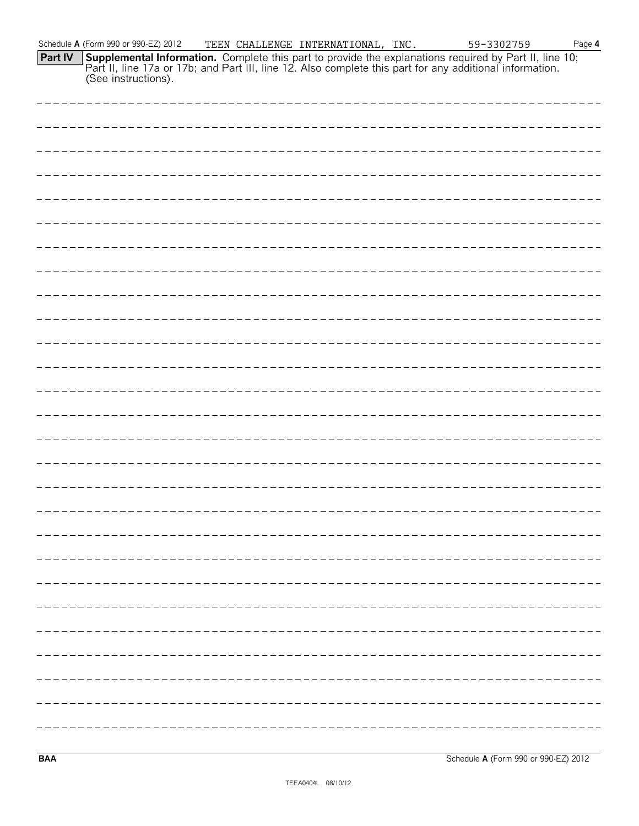|                | Schedule A (Form 990 or 990-EZ) 2012 | TEEN CHALLENGE INTERNATIONAL, INC. |  | 59-3302759                                                                                                                                                                                                                          | Page 4 |
|----------------|--------------------------------------|------------------------------------|--|-------------------------------------------------------------------------------------------------------------------------------------------------------------------------------------------------------------------------------------|--------|
| <b>Part IV</b> |                                      |                                    |  | <b>Supplemental Information.</b> Complete this part to provide the explanations required by Part II, line 10; Part II, line 17a or 17b; and Part III, line 12. Also complete this part for any additional information. (See instruc |        |
|                |                                      |                                    |  |                                                                                                                                                                                                                                     |        |
|                |                                      |                                    |  |                                                                                                                                                                                                                                     |        |
|                |                                      |                                    |  |                                                                                                                                                                                                                                     |        |
|                |                                      |                                    |  |                                                                                                                                                                                                                                     |        |
|                |                                      |                                    |  |                                                                                                                                                                                                                                     |        |
|                |                                      |                                    |  |                                                                                                                                                                                                                                     |        |
|                |                                      |                                    |  |                                                                                                                                                                                                                                     |        |
|                |                                      |                                    |  |                                                                                                                                                                                                                                     |        |
|                |                                      |                                    |  |                                                                                                                                                                                                                                     |        |
|                |                                      |                                    |  |                                                                                                                                                                                                                                     |        |
|                |                                      |                                    |  |                                                                                                                                                                                                                                     |        |
|                |                                      |                                    |  |                                                                                                                                                                                                                                     |        |
|                |                                      |                                    |  |                                                                                                                                                                                                                                     |        |
|                |                                      |                                    |  |                                                                                                                                                                                                                                     |        |
|                |                                      |                                    |  |                                                                                                                                                                                                                                     |        |
|                |                                      |                                    |  |                                                                                                                                                                                                                                     |        |
|                |                                      |                                    |  |                                                                                                                                                                                                                                     |        |
|                |                                      |                                    |  |                                                                                                                                                                                                                                     |        |
|                |                                      |                                    |  |                                                                                                                                                                                                                                     |        |
|                |                                      |                                    |  |                                                                                                                                                                                                                                     |        |
|                |                                      |                                    |  |                                                                                                                                                                                                                                     |        |
|                |                                      |                                    |  |                                                                                                                                                                                                                                     |        |
|                |                                      |                                    |  |                                                                                                                                                                                                                                     |        |
|                |                                      |                                    |  |                                                                                                                                                                                                                                     |        |
|                |                                      |                                    |  |                                                                                                                                                                                                                                     |        |
|                |                                      |                                    |  |                                                                                                                                                                                                                                     |        |
|                |                                      |                                    |  |                                                                                                                                                                                                                                     |        |
|                |                                      |                                    |  |                                                                                                                                                                                                                                     |        |

**BAA** Schedule **A** (Form 990 or 990-EZ) 2012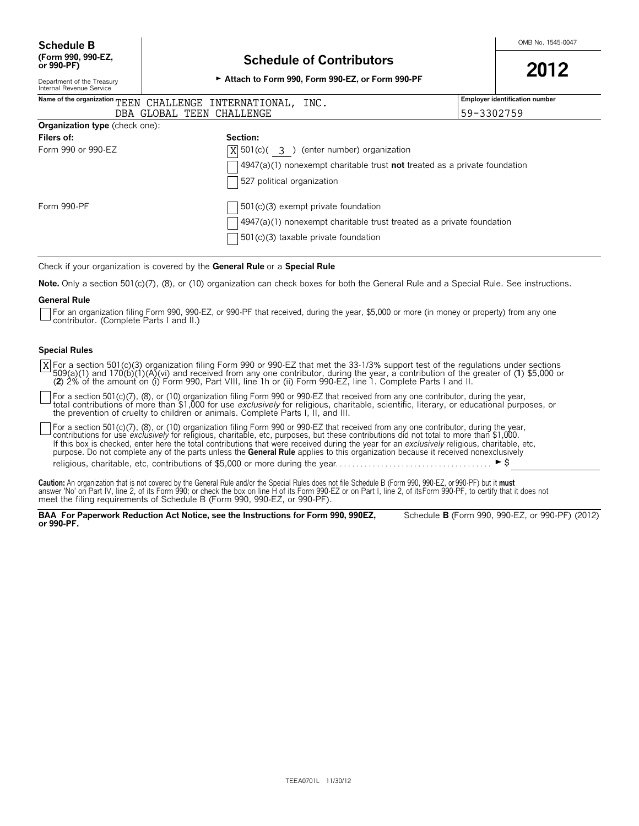# **(Form 990, 990-EZ, Schedule of Contributors or 990-PF) <sup>2012</sup>** Department of the Treasury G **Attach to Form 990, Form 990-EZ, or Form 990-PF**

# Department of the Treasury<br>Internal Revenue Service

| Name of the organization TEEN CHALLENGE INTERNATIONAL, INC. | <b>Employer identification number</b>                                                                                                                                  |            |
|-------------------------------------------------------------|------------------------------------------------------------------------------------------------------------------------------------------------------------------------|------------|
| DBA GLOBAL TEEN CHALLENGE                                   |                                                                                                                                                                        | 59-3302759 |
| <b>Organization type</b> (check one):                       |                                                                                                                                                                        |            |
| <b>Filers of:</b>                                           | Section:                                                                                                                                                               |            |
| Form 990 or 990-EZ                                          | $X$ 501(c)( 3) (enter number) organization<br>$\sqrt{4947(a)(1)}$ nonexempt charitable trust <b>not</b> treated as a private foundation<br>527 political organization  |            |
| Form 990-PF                                                 | $\vert$ 501(c)(3) exempt private foundation<br>$4947(a)(1)$ nonexempt charitable trust treated as a private foundation<br>$\left(501(c)(3)$ taxable private foundation |            |

Check if your organization is covered by the **General Rule** or a **Special Rule**

**Note.** Only a section 501(c)(7), (8), or (10) organization can check boxes for both the General Rule and a Special Rule. See instructions.

#### **General Rule**

For an organization filing Form 990, 990-EZ, or 990-PF that received, during the year, \$5,000 or more (in money or property) from any one contributor. (Complete Parts I and II.)

### **Special Rules**

X|For a section 501(c)(3) organization filing Form 990 or 990-EZ that met the 33-1/3% support test of the regulations under sections<br>509(a)(1) and 170(b)(1)(A)(vi) and received from any one contributor, during the year, a (**2**) 2% of the amount on (i) Form 990, Part VIII, line 1h or (ii) Form 990-EZ, line 1. Complete Parts I and II.

For a section 501(c)(7), (8), or (10) organization filing Form 990 or 990-EZ that received from any one contributor, during the year,<br>total contributions of more than \$1,000 for use *exclusively* for religious, charitable, the prevention of cruelty to children or animals. Complete Parts I, II, and III.

For a section 501(c)(7), (8), or (10) organization filing Form 990 or 990-EZ that received from any one contributor, during the year,<br>contributions for use *exclusively* for religious, charitable, etc, purposes, but these If this box is checked, enter here the total contributions that were received during the year for an *exclusively* religious, charitable, etc, purpose. Do not complete any of the parts unless the **General Rule** applies to this organization because it received nonexclusively religious, charitable, etc, contributions of \$5,000 or more during the year. . . . . . . . . . . . . . . . . . . . . . . . . . . . . . . . . . . . . . G\$

Caution: An organization that is not covered by the General Rule and/or the Special Rules does not file Schedule B (Form 990, 990-EZ, or 990-PF) but it must<br>answer 'No' on Part IV, line 2, of its Form 990; or check the box

**BAA For Paperwork Reduction Act Notice, see the Instructions for Form 990, 990EZ,** Schedule **B** (Form 990, 990-EZ, or 990-PF) (2012) **or 990-PF.**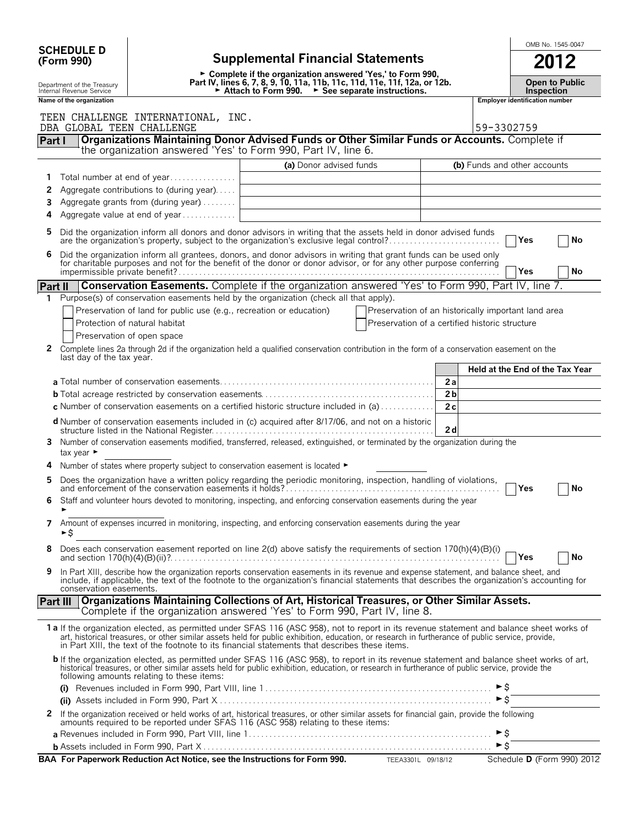| <b>SCHEDULE D</b> |  |
|-------------------|--|
| (Form 990)        |  |

# **SCHEDULE D**  $\begin{array}{|c|c|c|c|c|c|}\n\hline\n\text{SCHEDULE D} & \text{SCHEDULE D} & \text{SCHEDULE D} & \text{SCHEDULE D} & \text{SCHEDULE D} & \text{SCHEDULE D} & \text{SCHEDULE D} & \text{SCHEDULE D} & \text{SCHEDULE D} & \text{SCHEDULE D} & \text{SCHEDULE D} & \text{SCHEDULE D} & \text{SCHEDULE D} & \text{SCHEDULE D} & \text{SCHEDULE D} & \text{SCHEDULE D} & \text{SCHEDULE D} & \text{SCHEDILE D} & \text{$ **(Form 990) Supplemental Financial Statements 2012**

|                            |                                                                           | ----                  |
|----------------------------|---------------------------------------------------------------------------|-----------------------|
|                            | ► Complete if the organization answered 'Yes,' to Form 990,               |                       |
|                            | Part IV, lines 6, 7, 8, 9, 10, 11a, 11b, 11c, 11d, 11e, 11f, 12a, or 12b. | <b>Open to Public</b> |
| Department of the Treasury |                                                                           |                       |
| Internal Revenue Service   | Attach to Form 990.<br>$\triangleright$ See separate instructions.        | <b>Inspection</b>     |

|              | Name of the organization                                                                                                                                                                                                                                                                                                                                                                        |                         | <b>Employer identification number</b>                                                                 |
|--------------|-------------------------------------------------------------------------------------------------------------------------------------------------------------------------------------------------------------------------------------------------------------------------------------------------------------------------------------------------------------------------------------------------|-------------------------|-------------------------------------------------------------------------------------------------------|
|              | TEEN CHALLENGE INTERNATIONAL, INC.<br>DBA GLOBAL TEEN CHALLENGE                                                                                                                                                                                                                                                                                                                                 |                         | 59-3302759                                                                                            |
| Part I       | Organizations Maintaining Donor Advised Funds or Other Similar Funds or Accounts. Complete if<br>the organization answered 'Yes' to Form 990, Part IV, line 6.                                                                                                                                                                                                                                  |                         |                                                                                                       |
|              |                                                                                                                                                                                                                                                                                                                                                                                                 | (a) Donor advised funds | (b) Funds and other accounts                                                                          |
| 1            | Total number at end of year                                                                                                                                                                                                                                                                                                                                                                     |                         |                                                                                                       |
| 2            | Aggregate contributions to (during year)                                                                                                                                                                                                                                                                                                                                                        |                         |                                                                                                       |
| 3            | Aggregate grants from (during year)                                                                                                                                                                                                                                                                                                                                                             |                         |                                                                                                       |
| 4            | Aggregate value at end of year                                                                                                                                                                                                                                                                                                                                                                  |                         |                                                                                                       |
|              | Did the organization inform all donors and donor advisors in writing that the assets held in donor advised funds<br>are the organization's property, subject to the organization's exclusive legal control?                                                                                                                                                                                     |                         | Yes<br>No                                                                                             |
| 6            | Did the organization inform all grantees, donors, and donor advisors in writing that grant funds can be used only for charitable purposes and not for the benefit of the donor or donor advisor, or for any other purpose conf                                                                                                                                                                  |                         | <b>Yes</b><br>No                                                                                      |
| Part II      | <b>Conservation Easements.</b> Complete if the organization answered 'Yes' to Form 990, Part IV, line 7.                                                                                                                                                                                                                                                                                        |                         |                                                                                                       |
| 1            | Purpose(s) of conservation easements held by the organization (check all that apply).                                                                                                                                                                                                                                                                                                           |                         |                                                                                                       |
|              | Preservation of land for public use (e.g., recreation or education)<br>Protection of natural habitat<br>Preservation of open space                                                                                                                                                                                                                                                              |                         | Preservation of an historically important land area<br>Preservation of a certified historic structure |
| 2            | Complete lines 2a through 2d if the organization held a qualified conservation contribution in the form of a conservation easement on the<br>last day of the tax year.                                                                                                                                                                                                                          |                         |                                                                                                       |
|              |                                                                                                                                                                                                                                                                                                                                                                                                 |                         | Held at the End of the Tax Year                                                                       |
|              |                                                                                                                                                                                                                                                                                                                                                                                                 |                         | 2a                                                                                                    |
|              |                                                                                                                                                                                                                                                                                                                                                                                                 |                         | 2 <sub>b</sub>                                                                                        |
|              | c Number of conservation easements on a certified historic structure included in (a)                                                                                                                                                                                                                                                                                                            |                         | 2c                                                                                                    |
|              | d Number of conservation easements included in (c) acquired after 8/17/06, and not on a historic<br>Number of conservation easements modified, transferred, released, extinguished, or terminated by the organization during the                                                                                                                                                                |                         | 2d                                                                                                    |
| 3            | tax year $\blacktriangleright$                                                                                                                                                                                                                                                                                                                                                                  |                         |                                                                                                       |
| 4            | Number of states where property subject to conservation easement is located $\blacktriangleright$                                                                                                                                                                                                                                                                                               |                         |                                                                                                       |
| 5            |                                                                                                                                                                                                                                                                                                                                                                                                 |                         | <b>Yes</b><br>No                                                                                      |
| 6            | Staff and volunteer hours devoted to monitoring, inspecting, and enforcing conservation easements during the year                                                                                                                                                                                                                                                                               |                         |                                                                                                       |
| 7            | Amount of expenses incurred in monitoring, inspecting, and enforcing conservation easements during the year<br>►\$                                                                                                                                                                                                                                                                              |                         |                                                                                                       |
|              | Does each conservation easement reported on line 2(d) above satisfy the requirements of section 170(h)(4)(B)(i)                                                                                                                                                                                                                                                                                 |                         | No<br>Yes                                                                                             |
| 9            | In Part XIII, describe how the organization reports conservation easements in its revenue and expense statement, and balance sheet, and<br>include, if applicable, the text of the footnote to the organization's financial statements that describes the organization's accounting for<br>conservation easements.                                                                              |                         |                                                                                                       |
|              | <b>Organizations Maintaining Collections of Art, Historical Treasures, or Other Similar Assets.</b><br>Part III<br>Complete if the organization answered 'Yes' to Form 990, Part IV, line 8.                                                                                                                                                                                                    |                         |                                                                                                       |
|              | 1 a If the organization elected, as permitted under SFAS 116 (ASC 958), not to report in its revenue statement and balance sheet works of<br>art, historical treasures, or other similar assets held for public exhibition, education, or research in furtherance of public service, provide,<br>in Part XIII, the text of the footnote to its financial statements that describes these items. |                         |                                                                                                       |
|              | b If the organization elected, as permitted under SFAS 116 (ASC 958), to report in its revenue statement and balance sheet works of art,<br>historical treasures, or other similar assets held for public exhibition, education, or research in furtherance of public service, provide the<br>following amounts relating to these items:                                                        |                         |                                                                                                       |
|              |                                                                                                                                                                                                                                                                                                                                                                                                 |                         |                                                                                                       |
|              |                                                                                                                                                                                                                                                                                                                                                                                                 |                         | $\triangleright$ \$                                                                                   |
| $\mathbf{2}$ | If the organization received or held works of art, historical treasures, or other similar assets for financial gain, provide the following<br>amounts required to be reported under SFAS 116 (ASC 958) relating to these items:                                                                                                                                                                 |                         |                                                                                                       |
|              |                                                                                                                                                                                                                                                                                                                                                                                                 |                         |                                                                                                       |
|              |                                                                                                                                                                                                                                                                                                                                                                                                 |                         |                                                                                                       |

**BAA For Paperwork Reduction Act Notice, see the Instructions for Form 990.** TEEA3301L 09/18/12 Schedule D (Form 990) 2012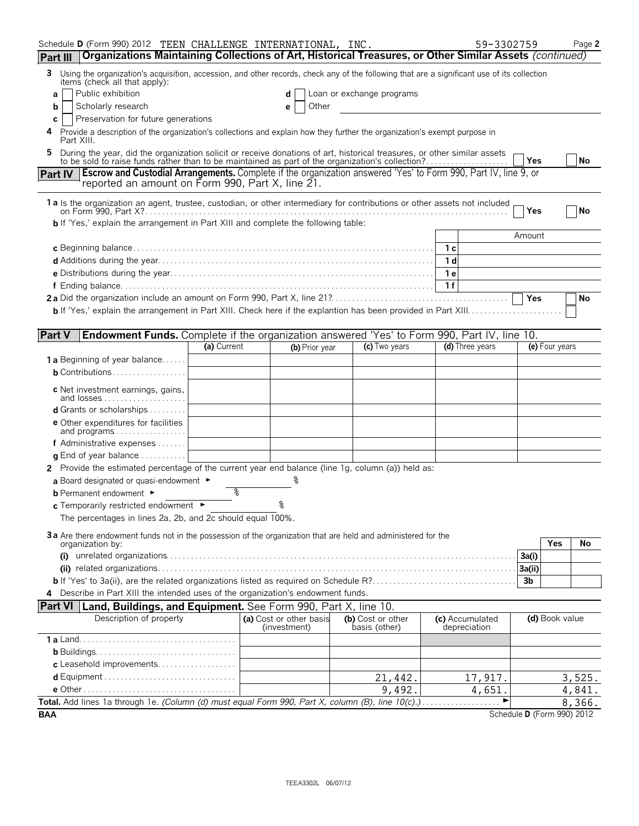| Schedule D (Form 990) 2012 TEEN CHALLENGE INTERNATIONAL, INC.<br>59-3302759<br>Page 2<br>Part III   Organizations Maintaining Collections of Art, Historical Treasures, or Other Similar Assets (continued)                                  |
|----------------------------------------------------------------------------------------------------------------------------------------------------------------------------------------------------------------------------------------------|
|                                                                                                                                                                                                                                              |
| 3 Using the organization's acquisition, accession, and other records, check any of the following that are a significant use of its collection<br>items (check all that apply):                                                               |
| Public exhibition<br>Loan or exchange programs<br>d<br>a                                                                                                                                                                                     |
| Scholarly research<br>Other<br>b                                                                                                                                                                                                             |
| Preservation for future generations<br>C                                                                                                                                                                                                     |
| 4 Provide a description of the organization's collections and explain how they further the organization's exempt purpose in<br>Part XIII.                                                                                                    |
| During the year, did the organization solicit or receive donations of art, historical treasures, or other similar assets to be sold to raise funds rather than to be maintained as part of the organization's collection?<br>5.<br>Yes<br>No |
| Part IV   Escrow and Custodial Arrangements. Complete if the organization answered 'Yes' to Form 990, Part IV, line 9, or<br>reported an amount on Form 990, Part X, line 21.                                                                |
|                                                                                                                                                                                                                                              |
| 1 a Is the organization an agent, trustee, custodian, or other intermediary for contributions or other assets not included<br>Yes<br>No                                                                                                      |
| <b>b</b> If 'Yes,' explain the arrangement in Part XIII and complete the following table:                                                                                                                                                    |
| Amount                                                                                                                                                                                                                                       |
| 1 с                                                                                                                                                                                                                                          |
| 1 <sub>d</sub>                                                                                                                                                                                                                               |
| 1e                                                                                                                                                                                                                                           |
| 1f<br>Yes<br>No                                                                                                                                                                                                                              |
|                                                                                                                                                                                                                                              |
|                                                                                                                                                                                                                                              |
| Endowment Funds. Complete if the organization answered 'Yes' to Form 990, Part IV, line 10.<br><b>Part V</b>                                                                                                                                 |
| (a) Current<br>(d) Three years<br>(e) Four years<br>(c) Two years<br>(b) Prior year                                                                                                                                                          |
| <b>1a</b> Beginning of year balance                                                                                                                                                                                                          |
| <b>b</b> Contributions                                                                                                                                                                                                                       |
| <b>c</b> Net investment earnings, gains,<br>and losses                                                                                                                                                                                       |
| <b>d</b> Grants or scholarships $\ldots$                                                                                                                                                                                                     |
| <b>e</b> Other expenditures for facilities<br>and programs                                                                                                                                                                                   |
| f Administrative expenses                                                                                                                                                                                                                    |
| <b>q</b> End of year balance $\dots\dots\dots\dots$                                                                                                                                                                                          |
| 2 Provide the estimated percentage of the current year end balance (line 1g, column (a)) held as:                                                                                                                                            |
| a Board designated or quasi-endowment $\blacktriangleright$                                                                                                                                                                                  |
| g<br><b>b</b> Permanent endowment ►                                                                                                                                                                                                          |
| ৽<br>c Temporarily restricted endowment ►                                                                                                                                                                                                    |
| The percentages in lines 2a, 2b, and 2c should equal 100%.                                                                                                                                                                                   |
| 3a Are there endowment funds not in the possession of the organization that are held and administered for the<br>Yes<br>No<br>organization by:                                                                                               |
| 3a(i)                                                                                                                                                                                                                                        |
| 3a(ii)                                                                                                                                                                                                                                       |
| 3 <sub>b</sub>                                                                                                                                                                                                                               |
| 4 Describe in Part XIII the intended uses of the organization's endowment funds.                                                                                                                                                             |
| <b>Part VI   Land, Buildings, and Equipment.</b> See Form 990, Part X, line 10.                                                                                                                                                              |
| Description of property<br>(d) Book value<br>(a) Cost or other basis<br>(c) Accumulated<br>(b) Cost or other<br>(investment)<br>basis (other)<br>depreciation                                                                                |
|                                                                                                                                                                                                                                              |
|                                                                                                                                                                                                                                              |
| c Leasehold improvements                                                                                                                                                                                                                     |
| 3,525.<br>21,442.<br>17,917.                                                                                                                                                                                                                 |
| 9,492.<br>4,651.<br>4,841.<br>Total. Add lines 1a through 1e. (Column (d) must equal Form 990, Part X, column (B), line 10(c).)<br>▶<br>8,366.                                                                                               |
| Schedule D (Form 990) 2012<br><b>BAA</b>                                                                                                                                                                                                     |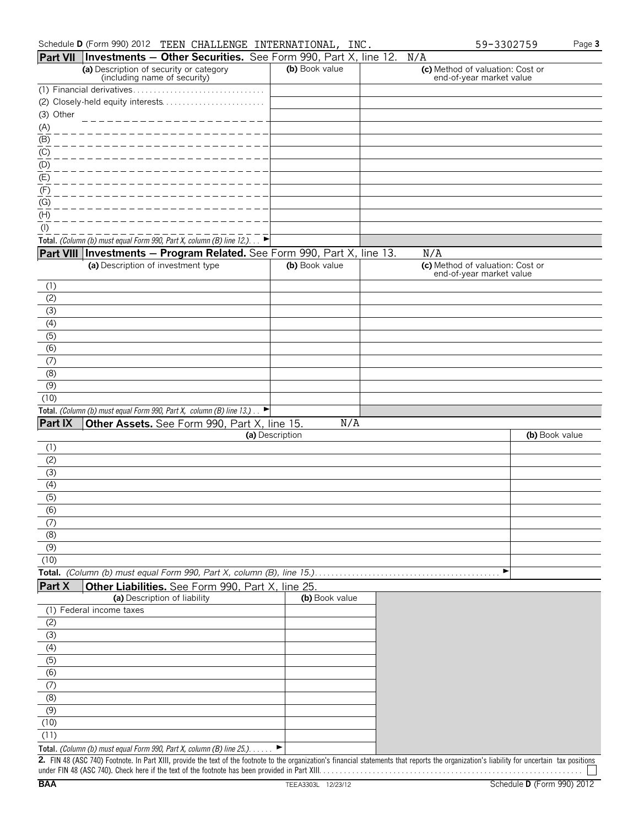$\overline{\phantom{a} \cdots}$ 

|                               | <b>Part VII   Investments - Other Securities.</b> See Form 990, Part X, line 12. N/A                                                                           |                 |                                                              |                |
|-------------------------------|----------------------------------------------------------------------------------------------------------------------------------------------------------------|-----------------|--------------------------------------------------------------|----------------|
|                               | (a) Description of security or category<br>(including name of security)                                                                                        | (b) Book value  | (c) Method of valuation: Cost or<br>end-of-year market value |                |
|                               |                                                                                                                                                                |                 |                                                              |                |
|                               |                                                                                                                                                                |                 |                                                              |                |
| (3) Other                     |                                                                                                                                                                |                 |                                                              |                |
|                               |                                                                                                                                                                |                 |                                                              |                |
| $\frac{(A)}{(B)}$             |                                                                                                                                                                |                 |                                                              |                |
| $\underline{(C)}$             |                                                                                                                                                                |                 |                                                              |                |
| $\underline{\frac{(D)}{(E)}}$ |                                                                                                                                                                |                 |                                                              |                |
|                               |                                                                                                                                                                |                 |                                                              |                |
| (F)                           |                                                                                                                                                                |                 |                                                              |                |
| (G)                           |                                                                                                                                                                |                 |                                                              |                |
| $\overline{H}$                |                                                                                                                                                                |                 |                                                              |                |
| $\frac{( )}{( )}$             |                                                                                                                                                                |                 |                                                              |                |
|                               | Total. (Column (b) must equal Form 990, Part X, column (B) line 12.). $\rightarrow$<br>Part VIII Investments - Program Related. See Form 990, Part X, line 13. |                 | N/A                                                          |                |
|                               | (a) Description of investment type                                                                                                                             | (b) Book value  | (c) Method of valuation: Cost or                             |                |
|                               |                                                                                                                                                                |                 | end-of-year market value                                     |                |
| (1)                           |                                                                                                                                                                |                 |                                                              |                |
| (2)                           |                                                                                                                                                                |                 |                                                              |                |
| (3)                           |                                                                                                                                                                |                 |                                                              |                |
| (4)<br>(5)                    |                                                                                                                                                                |                 |                                                              |                |
| $\overline{(6)}$              |                                                                                                                                                                |                 |                                                              |                |
| (7)                           |                                                                                                                                                                |                 |                                                              |                |
| (8)                           |                                                                                                                                                                |                 |                                                              |                |
| (9)                           |                                                                                                                                                                |                 |                                                              |                |
| (10)                          |                                                                                                                                                                |                 |                                                              |                |
|                               | Total. (Column (b) must equal Form 990, Part X, column (B) line 13.) $\Box$                                                                                    |                 |                                                              |                |
| <b>Part IX</b>                | Other Assets. See Form 990, Part X, line 15.                                                                                                                   | N/A             |                                                              |                |
|                               |                                                                                                                                                                | (a) Description |                                                              | (b) Book value |
| (1)<br>(2)                    |                                                                                                                                                                |                 |                                                              |                |
| $\overline{(\overline{3})}$   |                                                                                                                                                                |                 |                                                              |                |
| (4)                           |                                                                                                                                                                |                 |                                                              |                |
| $\overline{(5)}$              |                                                                                                                                                                |                 |                                                              |                |
| (6)                           |                                                                                                                                                                |                 |                                                              |                |
| (7)                           |                                                                                                                                                                |                 |                                                              |                |
| (8)                           |                                                                                                                                                                |                 |                                                              |                |
| $\overline{(9)}$              |                                                                                                                                                                |                 |                                                              |                |
| (10)                          |                                                                                                                                                                |                 |                                                              |                |
|                               | Total. (Column (b) must equal Form 990, Part X, column (B), line 15.)                                                                                          |                 | ▶                                                            |                |
| <b>Part X</b>                 | Other Liabilities. See Form 990, Part X, line 25.<br>(a) Description of liability                                                                              | (b) Book value  |                                                              |                |
|                               | (1) Federal income taxes                                                                                                                                       |                 |                                                              |                |
| (2)                           |                                                                                                                                                                |                 |                                                              |                |
| (3)                           |                                                                                                                                                                |                 |                                                              |                |
| (4)                           |                                                                                                                                                                |                 |                                                              |                |
| $\overline{(5)}$              |                                                                                                                                                                |                 |                                                              |                |
| (6)                           |                                                                                                                                                                |                 |                                                              |                |
| (7)                           |                                                                                                                                                                |                 |                                                              |                |
| (8)                           |                                                                                                                                                                |                 |                                                              |                |
| (9)                           |                                                                                                                                                                |                 |                                                              |                |
| (10)                          |                                                                                                                                                                |                 |                                                              |                |
| (11)                          |                                                                                                                                                                |                 |                                                              |                |
|                               | Total. (Column (b) must equal Form 990, Part X, column (B) line 25.).                                                                                          | ▶               |                                                              |                |

**2.** FIN 48 (ASC 740) Footnote. In Part XIII, provide the text of the footnote to the organization's financial statements that reports the organization's liability for uncertain tax positions under FIN 48 (ASC 740). Check here if the text of the footnote has been provided in Part XIII. . . . . . . . . . . . . . . . . . . . . . . . . . . . . . . . . . . . . . . . . . . . . . . . . . . . . . . . . . . . . . . .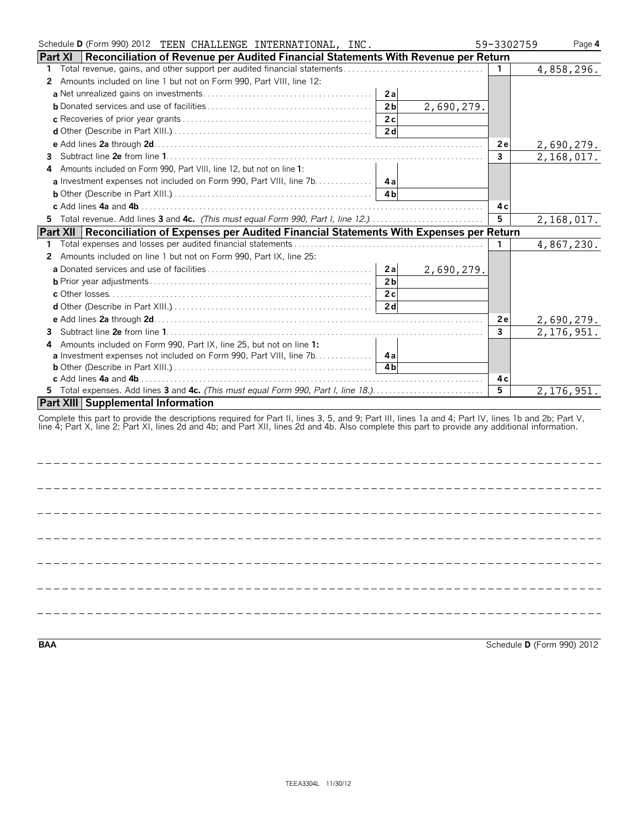|    |                 | Schedule D (Form 990) 2012 TEEN CHALLENGE INTERNATIONAL, INC.                                                                                                                                                                                                                                          |                              | 59-3302759   | Page 4                     |
|----|-----------------|--------------------------------------------------------------------------------------------------------------------------------------------------------------------------------------------------------------------------------------------------------------------------------------------------------|------------------------------|--------------|----------------------------|
|    | <b>Part XI</b>  | Reconciliation of Revenue per Audited Financial Statements With Revenue per Return                                                                                                                                                                                                                     |                              |              |                            |
| 1. |                 |                                                                                                                                                                                                                                                                                                        |                              | $\mathbf{1}$ | 4,858,296.                 |
|    |                 | 2 Amounts included on line 1 but not on Form 990, Part VIII, line 12:                                                                                                                                                                                                                                  |                              |              |                            |
|    |                 |                                                                                                                                                                                                                                                                                                        | 2a                           |              |                            |
|    |                 |                                                                                                                                                                                                                                                                                                        | 2 <sub>b</sub><br>2,690,279. |              |                            |
|    |                 |                                                                                                                                                                                                                                                                                                        | 2c                           |              |                            |
|    |                 | <b>d</b> Other (Describe in Part XIII.) $\ldots$ $\ldots$ $\ldots$ $\ldots$ $\ldots$ $\ldots$ $\ldots$ $\ldots$                                                                                                                                                                                        | 2d                           |              |                            |
|    |                 |                                                                                                                                                                                                                                                                                                        |                              | 2e           | 2,690,279.                 |
|    |                 |                                                                                                                                                                                                                                                                                                        |                              | $\mathbf{3}$ | 2,168,017.                 |
| 4  |                 | Amounts included on Form 990, Part VIII, line 12, but not on line 1:                                                                                                                                                                                                                                   |                              |              |                            |
|    |                 | a Investment expenses not included on Form 990, Part VIII, line 7b.                                                                                                                                                                                                                                    | 4a                           |              |                            |
|    |                 |                                                                                                                                                                                                                                                                                                        | 4 <sub>h</sub>               |              |                            |
|    |                 |                                                                                                                                                                                                                                                                                                        |                              | 4 c          |                            |
|    |                 | 5 Total revenue. Add lines 3 and 4c. (This must equal Form 990, Part I, line 12.)                                                                                                                                                                                                                      |                              | 5            | 2,168,017.                 |
|    | <b>Part XII</b> | Reconciliation of Expenses per Audited Financial Statements With Expenses per Return                                                                                                                                                                                                                   |                              |              |                            |
| 1. |                 |                                                                                                                                                                                                                                                                                                        |                              | 1.           | 4,867,230.                 |
|    |                 | 2 Amounts included on line 1 but not on Form 990, Part IX, line 25:                                                                                                                                                                                                                                    |                              |              |                            |
|    |                 |                                                                                                                                                                                                                                                                                                        | 2a<br>2,690,279.             |              |                            |
|    |                 |                                                                                                                                                                                                                                                                                                        | 2 <sub>b</sub>               |              |                            |
|    |                 |                                                                                                                                                                                                                                                                                                        | 2c                           |              |                            |
|    |                 |                                                                                                                                                                                                                                                                                                        | 2d                           |              |                            |
|    |                 |                                                                                                                                                                                                                                                                                                        |                              | 2e           | 2,690,279.                 |
|    |                 |                                                                                                                                                                                                                                                                                                        |                              | 3            | $\overline{2}$ , 176, 951. |
| 4  |                 | Amounts included on Form 990, Part IX, line 25, but not on line 1:                                                                                                                                                                                                                                     |                              |              |                            |
|    |                 |                                                                                                                                                                                                                                                                                                        |                              |              |                            |
|    |                 |                                                                                                                                                                                                                                                                                                        | 4 <sub>h</sub>               |              |                            |
|    |                 |                                                                                                                                                                                                                                                                                                        |                              | 4 c          |                            |
|    |                 | 5 Total expenses. Add lines 3 and 4c. (This must equal Form 990, Part I, line 18.)                                                                                                                                                                                                                     |                              | 5            | 2, 176, 951.               |
|    |                 | <b>Part XIII Supplemental Information</b>                                                                                                                                                                                                                                                              |                              |              |                            |
|    |                 | Complete this part to provide the descriptions required for Part II, lines 3, 5, and 9; Part III, lines 1a and 4; Part IV, lines 1b and 2b; Part V,<br>line 4; Part X, line 2; Part XI, lines 2d and 4b; and Part XII, lines 2d and 4b. Also complete this part to provide any additional information. |                              |              |                            |
|    |                 |                                                                                                                                                                                                                                                                                                        |                              |              |                            |

**BAA** Schedule **D** (Form 990) 2012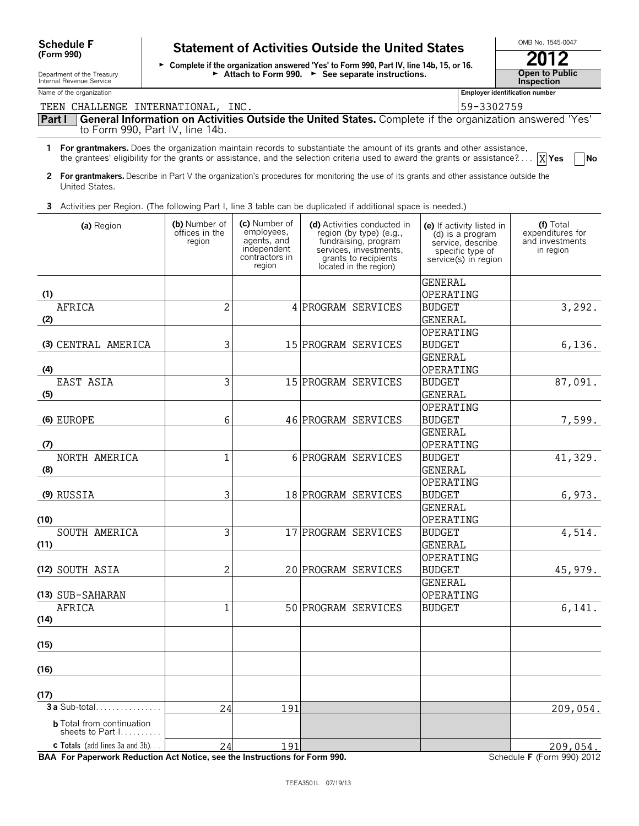# Schedule F **Statement of Activities Outside the United States**

► Complete if the organization answered 'Yes' to Form 990, Part IV, line 14b, 15, or 16. **2012** Department of the Treasury **Gallering Control Control of Attach to Form 990. 
<b>See separate instructions.** The **Inspection**<br>Internal Revenue Service **Inspection** 

| OMB No. 1545-0047                    |
|--------------------------------------|
| 2012                                 |
| <b>Open to Public<br/>Inspection</b> |

Name of the organization **Employer identification number Employer identification number** 

| TEEN CHALLENGE INTERNATIONAL, INC.                                                                                       |                                                                                                                                           |                                                                                       |                                                                                                                                                            | 59-3302759                                                                                                     |                                                               |  |  |  |  |  |  |
|--------------------------------------------------------------------------------------------------------------------------|-------------------------------------------------------------------------------------------------------------------------------------------|---------------------------------------------------------------------------------------|------------------------------------------------------------------------------------------------------------------------------------------------------------|----------------------------------------------------------------------------------------------------------------|---------------------------------------------------------------|--|--|--|--|--|--|
| Part I<br>to Form 990, Part IV, line 14b.                                                                                |                                                                                                                                           |                                                                                       | General Information on Activities Outside the United States. Complete if the organization answered 'Yes'                                                   |                                                                                                                |                                                               |  |  |  |  |  |  |
| 1 For grantmakers. Does the organization maintain records to substantiate the amount of its grants and other assistance, |                                                                                                                                           |                                                                                       | the grantees' eligibility for the grants or assistance, and the selection criteria used to award the grants or assistance? $\boxed{\mathbf{X}}$ Yes        |                                                                                                                | $\blacksquare$ No                                             |  |  |  |  |  |  |
| United States.                                                                                                           | 2 For grantmakers. Describe in Part V the organization's procedures for monitoring the use of its grants and other assistance outside the |                                                                                       |                                                                                                                                                            |                                                                                                                |                                                               |  |  |  |  |  |  |
| 3 Activities per Region. (The following Part I, line 3 table can be duplicated if additional space is needed.)           |                                                                                                                                           |                                                                                       |                                                                                                                                                            |                                                                                                                |                                                               |  |  |  |  |  |  |
| (a) Region                                                                                                               | (b) Number of<br>offices in the<br>region                                                                                                 | (c) Number of<br>employees.<br>agents, and<br>independent<br>contractors in<br>region | (d) Activities conducted in<br>region (by type) (e.g.,<br>fundraising, program<br>services, investments,<br>grants to recipients<br>located in the region) | (e) If activity listed in<br>(d) is a program<br>service, describe<br>specific type of<br>service(s) in region | (f) Total<br>expenditures for<br>and investments<br>in region |  |  |  |  |  |  |
|                                                                                                                          |                                                                                                                                           |                                                                                       |                                                                                                                                                            | <b>GENERAL</b>                                                                                                 |                                                               |  |  |  |  |  |  |
| (1)                                                                                                                      |                                                                                                                                           |                                                                                       |                                                                                                                                                            | OPERATING                                                                                                      |                                                               |  |  |  |  |  |  |
| <b>AFRICA</b><br>(2)                                                                                                     | 2                                                                                                                                         |                                                                                       | 4 PROGRAM SERVICES                                                                                                                                         | <b>BUDGET</b><br><b>GENERAL</b>                                                                                | 3,292.                                                        |  |  |  |  |  |  |
|                                                                                                                          |                                                                                                                                           |                                                                                       |                                                                                                                                                            | OPERATING                                                                                                      |                                                               |  |  |  |  |  |  |
| (3) CENTRAL AMERICA                                                                                                      | 3                                                                                                                                         |                                                                                       | 15 PROGRAM SERVICES                                                                                                                                        | <b>BUDGET</b>                                                                                                  | 6, 136.                                                       |  |  |  |  |  |  |
|                                                                                                                          |                                                                                                                                           |                                                                                       |                                                                                                                                                            | <b>GENERAL</b>                                                                                                 |                                                               |  |  |  |  |  |  |
| (4)<br>EAST ASIA                                                                                                         |                                                                                                                                           |                                                                                       |                                                                                                                                                            | OPERATING                                                                                                      |                                                               |  |  |  |  |  |  |
|                                                                                                                          | 3                                                                                                                                         |                                                                                       | 15 PROGRAM SERVICES                                                                                                                                        | <b>BUDGET</b>                                                                                                  | 87,091.                                                       |  |  |  |  |  |  |
| (5)                                                                                                                      |                                                                                                                                           |                                                                                       |                                                                                                                                                            | <b>GENERAL</b>                                                                                                 |                                                               |  |  |  |  |  |  |
|                                                                                                                          |                                                                                                                                           |                                                                                       |                                                                                                                                                            | OPERATING                                                                                                      |                                                               |  |  |  |  |  |  |
| (6) EUROPE                                                                                                               | 6                                                                                                                                         |                                                                                       | 46 PROGRAM SERVICES                                                                                                                                        | <b>BUDGET</b><br><b>GENERAL</b>                                                                                | 7,599.                                                        |  |  |  |  |  |  |
| (7)                                                                                                                      |                                                                                                                                           |                                                                                       |                                                                                                                                                            | OPERATING                                                                                                      |                                                               |  |  |  |  |  |  |
| NORTH AMERICA                                                                                                            | $\mathbf{1}$                                                                                                                              |                                                                                       | 6 PROGRAM SERVICES                                                                                                                                         | <b>BUDGET</b>                                                                                                  | 41,329.                                                       |  |  |  |  |  |  |
| (8)                                                                                                                      |                                                                                                                                           |                                                                                       |                                                                                                                                                            | <b>GENERAL</b>                                                                                                 |                                                               |  |  |  |  |  |  |
|                                                                                                                          |                                                                                                                                           |                                                                                       |                                                                                                                                                            | OPERATING                                                                                                      |                                                               |  |  |  |  |  |  |
| (9) RUSSIA                                                                                                               | 3                                                                                                                                         |                                                                                       | 18 PROGRAM SERVICES                                                                                                                                        | <b>BUDGET</b>                                                                                                  | 6, 973.                                                       |  |  |  |  |  |  |
|                                                                                                                          |                                                                                                                                           |                                                                                       |                                                                                                                                                            | <b>GENERAL</b>                                                                                                 |                                                               |  |  |  |  |  |  |
| (10)                                                                                                                     |                                                                                                                                           |                                                                                       |                                                                                                                                                            | OPERATING                                                                                                      |                                                               |  |  |  |  |  |  |
| SOUTH AMERICA                                                                                                            | 3                                                                                                                                         |                                                                                       | 17 PROGRAM SERVICES                                                                                                                                        | <b>BUDGET</b>                                                                                                  | 4,514.                                                        |  |  |  |  |  |  |
| (11)                                                                                                                     |                                                                                                                                           |                                                                                       |                                                                                                                                                            | <b>GENERAL</b>                                                                                                 |                                                               |  |  |  |  |  |  |
|                                                                                                                          |                                                                                                                                           |                                                                                       |                                                                                                                                                            | OPERATING                                                                                                      |                                                               |  |  |  |  |  |  |
| (12) SOUTH ASIA                                                                                                          | $\sqrt{2}$                                                                                                                                |                                                                                       | 20 PROGRAM SERVICES                                                                                                                                        | <b>BUDGET</b>                                                                                                  | 45,979.                                                       |  |  |  |  |  |  |
|                                                                                                                          |                                                                                                                                           |                                                                                       |                                                                                                                                                            | <b>GENERAL</b>                                                                                                 |                                                               |  |  |  |  |  |  |
| (13) SUB-SAHARAN                                                                                                         |                                                                                                                                           |                                                                                       |                                                                                                                                                            | OPERATING                                                                                                      |                                                               |  |  |  |  |  |  |
| <b>AFRICA</b><br>(14)                                                                                                    | 1                                                                                                                                         |                                                                                       | 50 PROGRAM SERVICES                                                                                                                                        | <b>BUDGET</b>                                                                                                  | 6,141.                                                        |  |  |  |  |  |  |
| (15)                                                                                                                     |                                                                                                                                           |                                                                                       |                                                                                                                                                            |                                                                                                                |                                                               |  |  |  |  |  |  |
| (16)                                                                                                                     |                                                                                                                                           |                                                                                       |                                                                                                                                                            |                                                                                                                |                                                               |  |  |  |  |  |  |
| (17)                                                                                                                     |                                                                                                                                           |                                                                                       |                                                                                                                                                            |                                                                                                                |                                                               |  |  |  |  |  |  |
|                                                                                                                          | 24                                                                                                                                        | 191                                                                                   |                                                                                                                                                            |                                                                                                                | 209,054.                                                      |  |  |  |  |  |  |
| <b>b</b> Total from continuation<br>sheets to Part I                                                                     |                                                                                                                                           |                                                                                       |                                                                                                                                                            |                                                                                                                |                                                               |  |  |  |  |  |  |
|                                                                                                                          |                                                                                                                                           |                                                                                       |                                                                                                                                                            |                                                                                                                |                                                               |  |  |  |  |  |  |
| <b>c</b> Totals (add lines 3a and 3b)<br>BAA For Paperwork Reduction Act Notice, see the Instructions for Form 990.      | 24                                                                                                                                        | 191                                                                                   | TFFA3501L 07/19/13                                                                                                                                         |                                                                                                                | 209,054.<br>Schedule F (Form 990) 2012                        |  |  |  |  |  |  |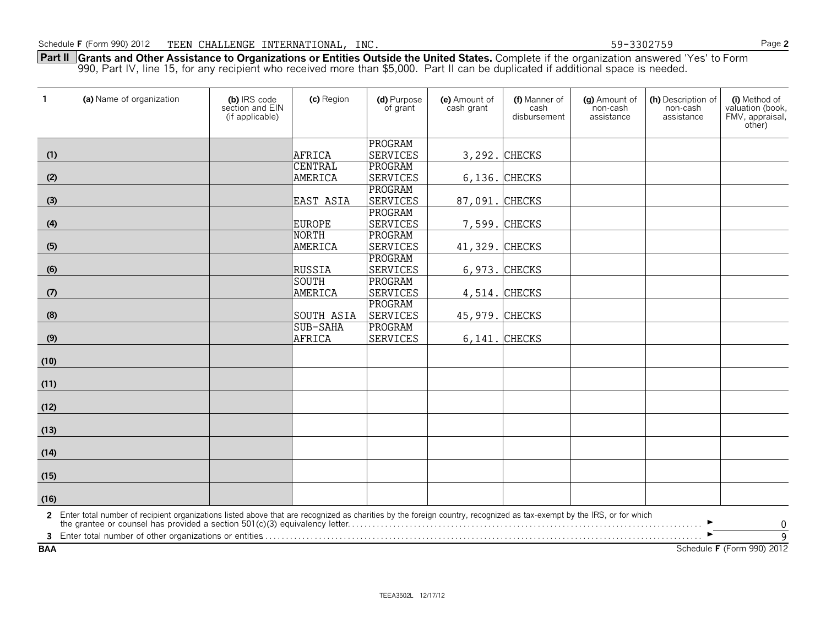**Part II Grants and Other Assistance to Organizations or Entities Outside the United States.** Complete if the organization answered 'Yes' to Form 990, Part IV, line 15, for any recipient who received more than \$5,000. Part II can be duplicated if additional space is needed.

| $\mathbf{1}$ | (a) Name of organization                                                                                                                                                                                                          | (b) IRS code<br>section and EIN<br>(if applicable) | (c) Region       | (d) Purpose<br>of grant | (e) Amount of<br>cash grant | (f) Manner of<br>cash<br>disbursement | (g) Amount of<br>non-cash<br>assistance | (h) Description of<br>non-cash<br>assistance | (i) Method of<br>valuation (book,<br>FMV, appraisal,<br>other) |
|--------------|-----------------------------------------------------------------------------------------------------------------------------------------------------------------------------------------------------------------------------------|----------------------------------------------------|------------------|-------------------------|-----------------------------|---------------------------------------|-----------------------------------------|----------------------------------------------|----------------------------------------------------------------|
|              |                                                                                                                                                                                                                                   |                                                    |                  | PROGRAM                 |                             |                                       |                                         |                                              |                                                                |
| (1)          |                                                                                                                                                                                                                                   |                                                    | AFRICA           | SERVICES                |                             | 3,292. CHECKS                         |                                         |                                              |                                                                |
|              |                                                                                                                                                                                                                                   |                                                    | <b>CENTRAL</b>   | PROGRAM                 |                             |                                       |                                         |                                              |                                                                |
| (2)          |                                                                                                                                                                                                                                   |                                                    | AMERICA          | <b>SERVICES</b>         |                             | 6,136. CHECKS                         |                                         |                                              |                                                                |
|              |                                                                                                                                                                                                                                   |                                                    |                  | PROGRAM                 |                             |                                       |                                         |                                              |                                                                |
| (3)          |                                                                                                                                                                                                                                   |                                                    | <b>EAST ASIA</b> | <b>SERVICES</b>         | 87,091. CHECKS              |                                       |                                         |                                              |                                                                |
|              |                                                                                                                                                                                                                                   |                                                    |                  | PROGRAM                 |                             |                                       |                                         |                                              |                                                                |
| (4)          |                                                                                                                                                                                                                                   |                                                    | <b>EUROPE</b>    | <b>SERVICES</b>         |                             | 7,599. CHECKS                         |                                         |                                              |                                                                |
|              |                                                                                                                                                                                                                                   |                                                    | NORTH            | PROGRAM                 |                             |                                       |                                         |                                              |                                                                |
| (5)          |                                                                                                                                                                                                                                   |                                                    | AMERICA          | <b>SERVICES</b>         | 41,329. CHECKS              |                                       |                                         |                                              |                                                                |
|              |                                                                                                                                                                                                                                   |                                                    |                  | PROGRAM                 |                             |                                       |                                         |                                              |                                                                |
| (6)          |                                                                                                                                                                                                                                   |                                                    | RUSSIA           | <b>SERVICES</b>         |                             | 6,973. CHECKS                         |                                         |                                              |                                                                |
|              |                                                                                                                                                                                                                                   |                                                    | SOUTH            | PROGRAM                 |                             |                                       |                                         |                                              |                                                                |
| (7)          |                                                                                                                                                                                                                                   |                                                    | AMERICA          | <b>SERVICES</b>         |                             | 4,514. CHECKS                         |                                         |                                              |                                                                |
|              |                                                                                                                                                                                                                                   |                                                    |                  | PROGRAM                 |                             |                                       |                                         |                                              |                                                                |
| (8)          |                                                                                                                                                                                                                                   |                                                    | SOUTH ASIA       | <b>SERVICES</b>         | 45,979. CHECKS              |                                       |                                         |                                              |                                                                |
|              |                                                                                                                                                                                                                                   |                                                    | SUB-SAHA         | PROGRAM                 |                             |                                       |                                         |                                              |                                                                |
| (9)          |                                                                                                                                                                                                                                   |                                                    | AFRICA           | <b>SERVICES</b>         |                             | 6, 141. CHECKS                        |                                         |                                              |                                                                |
| (10)         |                                                                                                                                                                                                                                   |                                                    |                  |                         |                             |                                       |                                         |                                              |                                                                |
| (11)         |                                                                                                                                                                                                                                   |                                                    |                  |                         |                             |                                       |                                         |                                              |                                                                |
| (12)         |                                                                                                                                                                                                                                   |                                                    |                  |                         |                             |                                       |                                         |                                              |                                                                |
| (13)         |                                                                                                                                                                                                                                   |                                                    |                  |                         |                             |                                       |                                         |                                              |                                                                |
| (14)         |                                                                                                                                                                                                                                   |                                                    |                  |                         |                             |                                       |                                         |                                              |                                                                |
| (15)         |                                                                                                                                                                                                                                   |                                                    |                  |                         |                             |                                       |                                         |                                              |                                                                |
| (16)         |                                                                                                                                                                                                                                   |                                                    |                  |                         |                             |                                       |                                         |                                              |                                                                |
|              | 2 Enter total number of recipient organizations listed above that are recognized as charities by the foreign country, recognized as tax-exempt by the IRS, or for which<br>the grantee or counsel has provided a section 501(c)(3 |                                                    |                  |                         |                             |                                       |                                         |                                              | $\boldsymbol{0}$                                               |
|              |                                                                                                                                                                                                                                   |                                                    |                  |                         |                             |                                       |                                         |                                              | $\overline{9}$                                                 |
| <b>BAA</b>   |                                                                                                                                                                                                                                   |                                                    |                  |                         |                             |                                       |                                         |                                              | Schedule F (Form 990) 2012                                     |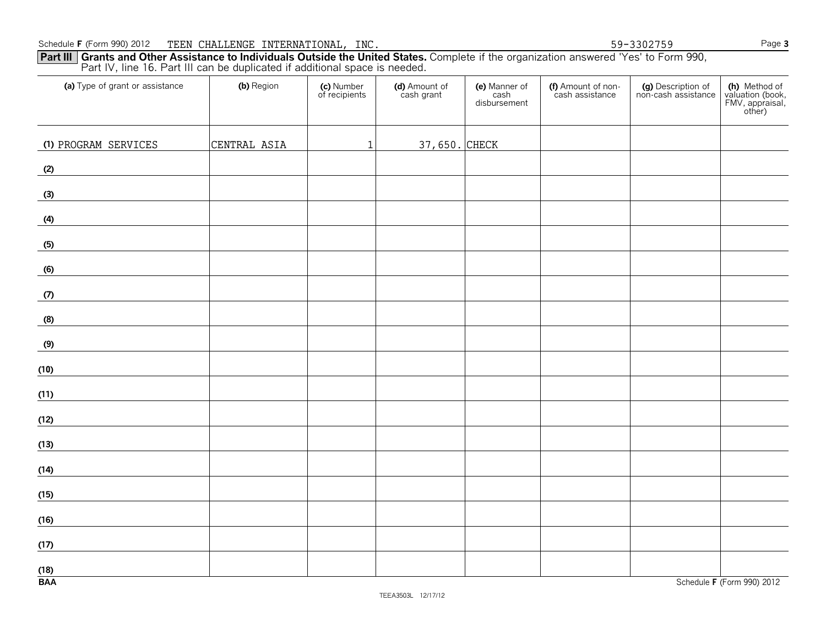**Part III Grants and Other Assistance to Individuals Outside the United States.** Complete if the organization answered 'Yes' to Form 990, Part IV, line 16. Part III can be duplicated if additional space is needed.

| (a) Type of grant or assistance | (b) Region   | (c) Number<br>of recipients | (d) Amount of<br>cash grant | (e) Manner of<br>cash<br>disbursement | (f) Amount of non-<br>cash assistance | (g) Description of<br>non-cash assistance | (h) Method of<br>valuation (book,<br>FMV, appraisal,<br>other) |
|---------------------------------|--------------|-----------------------------|-----------------------------|---------------------------------------|---------------------------------------|-------------------------------------------|----------------------------------------------------------------|
| (1) PROGRAM SERVICES            | CENTRAL ASIA | $\mathbf{1}$                | 37,650. CHECK               |                                       |                                       |                                           |                                                                |
| (2)                             |              |                             |                             |                                       |                                       |                                           |                                                                |
| (3)                             |              |                             |                             |                                       |                                       |                                           |                                                                |
| (4)                             |              |                             |                             |                                       |                                       |                                           |                                                                |
| (5)                             |              |                             |                             |                                       |                                       |                                           |                                                                |
| (6)                             |              |                             |                             |                                       |                                       |                                           |                                                                |
| (7)                             |              |                             |                             |                                       |                                       |                                           |                                                                |
| (8)                             |              |                             |                             |                                       |                                       |                                           |                                                                |
| (9)                             |              |                             |                             |                                       |                                       |                                           |                                                                |
| (10)                            |              |                             |                             |                                       |                                       |                                           |                                                                |
| (11)                            |              |                             |                             |                                       |                                       |                                           |                                                                |
| (12)                            |              |                             |                             |                                       |                                       |                                           |                                                                |
| (13)                            |              |                             |                             |                                       |                                       |                                           |                                                                |
| (14)                            |              |                             |                             |                                       |                                       |                                           |                                                                |
| (15)                            |              |                             |                             |                                       |                                       |                                           |                                                                |
| (16)                            |              |                             |                             |                                       |                                       |                                           |                                                                |
| (17)                            |              |                             |                             |                                       |                                       |                                           |                                                                |
| (18)<br><b>BAA</b>              |              |                             |                             |                                       |                                       |                                           | Schedule F (Form 990) 2012                                     |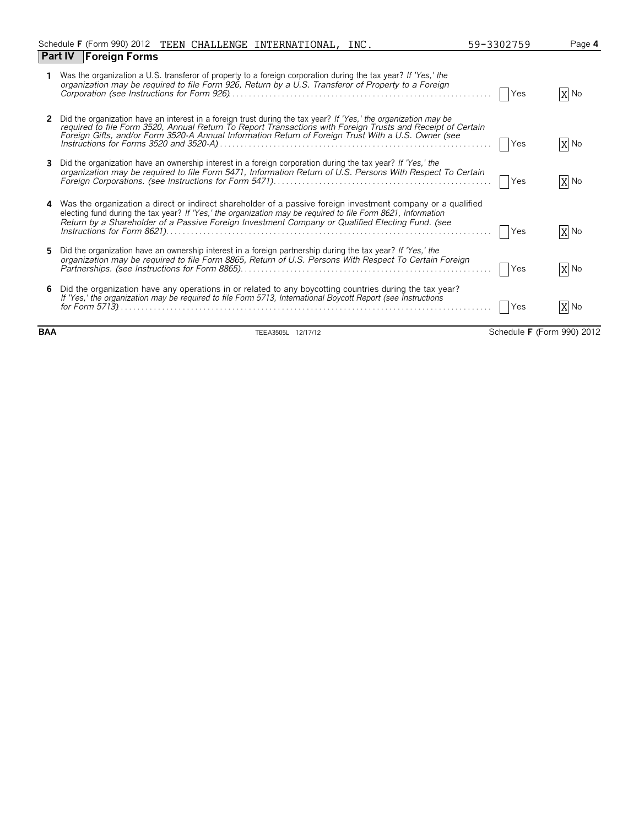|    | Schedule F (Form 990) 2012 TEEN CHALLENGE INTERNATIONAL, INC.                                                                                                                                                                                                                                                                         | 59-3302759 | Page 4 |
|----|---------------------------------------------------------------------------------------------------------------------------------------------------------------------------------------------------------------------------------------------------------------------------------------------------------------------------------------|------------|--------|
|    | <b>Part IV</b> Foreign Forms                                                                                                                                                                                                                                                                                                          |            |        |
|    | Was the organization a U.S. transferor of property to a foreign corporation during the tax year? If 'Yes,' the<br>organization may be required to file Form 926, Return by a U.S. Transferor of Property to a Foreign                                                                                                                 | Yes        | X No   |
| 2  | Did the organization have an interest in a foreign trust during the tax year? If 'Yes,' the organization may be<br>required to file Form 3520, Annual Return To Report Transactions with Foreign Trusts and Receipt of Certain<br>Foreign Gifts, and/or Form 3520-A Annual Information Return of Foreign Trust With a U.S. Owner (see | Yes        | X No   |
| 3  | Did the organization have an ownership interest in a foreign corporation during the tax year? If 'Yes,' the<br>organization may be required to file Form 5471, Information Return of U.S. Persons With Respect To Certain                                                                                                             | Yes        | X No   |
| 4  | Was the organization a direct or indirect shareholder of a passive foreign investment company or a qualified<br>electing fund during the tax year? If 'Yes,' the organization may be required to file Form 8621, Information<br>Return by a Shareholder of a Passive Foreign Investment Company or Qualified Electing Fund. (see      | <b>Yes</b> | X No   |
| 5. | Did the organization have an ownership interest in a foreign partnership during the tax year? If 'Yes,' the<br>organization may be required to file Form 8865, Return of U.S. Persons With Respect To Certain Foreign                                                                                                                 | Yes        | X No   |
|    | Did the organization have any operations in or related to any boycotting countries during the tax year?<br>If 'Yes,' the organization may be required to file Form 5713, International Boycott Report (see Instructions                                                                                                               | <b>Yes</b> | X No   |

**BAA** TEEA3505L 12/17/12 Schedule **F** (Form 990) 2012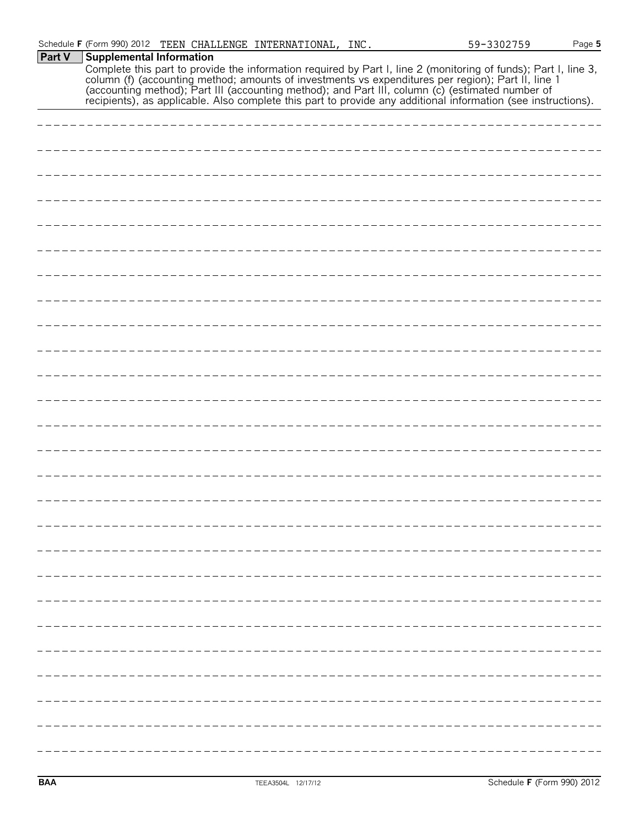| <b>Part V</b> | <b>Supplemental Information</b>                                                                                                                                                                                                |
|---------------|--------------------------------------------------------------------------------------------------------------------------------------------------------------------------------------------------------------------------------|
|               | Complete this part to provide the information required by Part I, line 2 (monitoring of funds); Part I, line 3, column (f) (accounting method; amounts of investments vs expenditures per region); Part II, line 1 (accounting |
|               |                                                                                                                                                                                                                                |
|               |                                                                                                                                                                                                                                |
|               |                                                                                                                                                                                                                                |
|               |                                                                                                                                                                                                                                |
|               |                                                                                                                                                                                                                                |
|               |                                                                                                                                                                                                                                |
|               |                                                                                                                                                                                                                                |
|               |                                                                                                                                                                                                                                |
|               |                                                                                                                                                                                                                                |
|               |                                                                                                                                                                                                                                |
|               |                                                                                                                                                                                                                                |
|               |                                                                                                                                                                                                                                |
|               |                                                                                                                                                                                                                                |
|               |                                                                                                                                                                                                                                |
|               |                                                                                                                                                                                                                                |
|               |                                                                                                                                                                                                                                |
|               |                                                                                                                                                                                                                                |
|               |                                                                                                                                                                                                                                |
|               |                                                                                                                                                                                                                                |
|               |                                                                                                                                                                                                                                |
|               |                                                                                                                                                                                                                                |
|               |                                                                                                                                                                                                                                |
|               |                                                                                                                                                                                                                                |
|               |                                                                                                                                                                                                                                |
|               |                                                                                                                                                                                                                                |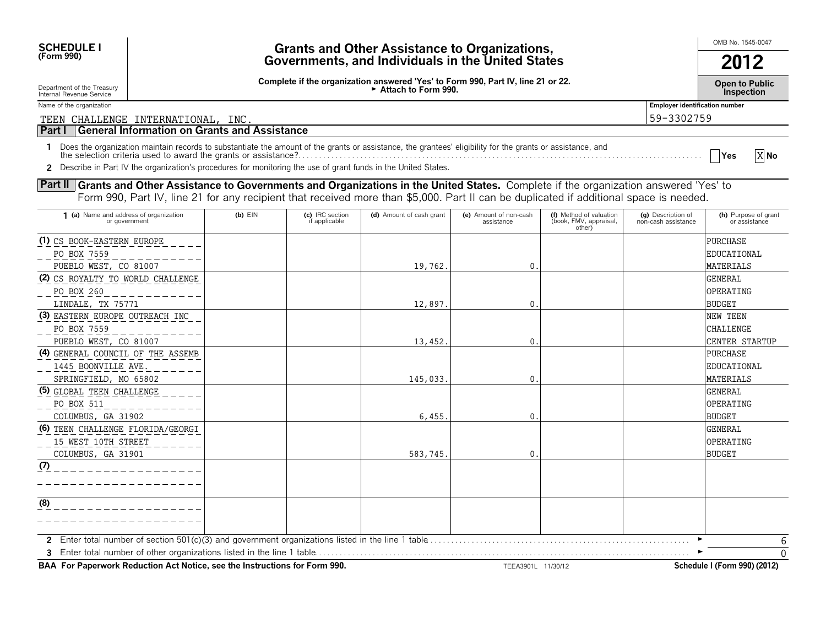| <b>SCHEDULE I</b><br><b>Grants and Other Assistance to Organizations,</b><br>(Form 990)<br>Governments, and Individuals in the United States                                                                                                                                                                                                                            |                                                                                                         |                                                     |                                  |                                                                                                                                                                                                                                                                                     |                                      |                                                             | OMB No. 1545-0047                         |                                       |  |
|-------------------------------------------------------------------------------------------------------------------------------------------------------------------------------------------------------------------------------------------------------------------------------------------------------------------------------------------------------------------------|---------------------------------------------------------------------------------------------------------|-----------------------------------------------------|----------------------------------|-------------------------------------------------------------------------------------------------------------------------------------------------------------------------------------------------------------------------------------------------------------------------------------|--------------------------------------|-------------------------------------------------------------|-------------------------------------------|---------------------------------------|--|
|                                                                                                                                                                                                                                                                                                                                                                         |                                                                                                         |                                                     |                                  |                                                                                                                                                                                                                                                                                     |                                      |                                                             | 2012                                      |                                       |  |
| Department of the Treasury<br>Internal Revenue Service                                                                                                                                                                                                                                                                                                                  | Complete if the organization answered 'Yes' to Form 990, Part IV, line 21 or 22.<br>Attach to Form 990. |                                                     |                                  |                                                                                                                                                                                                                                                                                     |                                      |                                                             |                                           | Open to Public<br>Inspection          |  |
| Name of the organization                                                                                                                                                                                                                                                                                                                                                |                                                                                                         |                                                     |                                  |                                                                                                                                                                                                                                                                                     |                                      |                                                             | <b>Employer identification number</b>     |                                       |  |
| TEEN CHALLENGE INTERNATIONAL, INC.                                                                                                                                                                                                                                                                                                                                      |                                                                                                         |                                                     |                                  |                                                                                                                                                                                                                                                                                     |                                      |                                                             | 59-3302759                                |                                       |  |
| Part I                                                                                                                                                                                                                                                                                                                                                                  |                                                                                                         | <b>General Information on Grants and Assistance</b> |                                  |                                                                                                                                                                                                                                                                                     |                                      |                                                             |                                           |                                       |  |
| Does the organization maintain records to substantiate the amount of the grants or assistance, the grantees' eligibility for the grants or assistance, and<br>X No<br>the selection criteria used to award the grants or assistance?.<br> Yes<br><b>2</b> Describe in Part IV the organization's procedures for monitoring the use of grant funds in the United States. |                                                                                                         |                                                     |                                  |                                                                                                                                                                                                                                                                                     |                                      |                                                             |                                           |                                       |  |
|                                                                                                                                                                                                                                                                                                                                                                         |                                                                                                         |                                                     |                                  | Part II Grants and Other Assistance to Governments and Organizations in the United States. Complete if the organization answered 'Yes' to<br>Form 990, Part IV, line 21 for any recipient that received more than \$5,000. Part II can be duplicated if additional space is needed. |                                      |                                                             |                                           |                                       |  |
| (a) Name and address of organization<br>or government                                                                                                                                                                                                                                                                                                                   |                                                                                                         | $(b)$ EIN                                           | (c) IRC section<br>if applicable | (d) Amount of cash grant                                                                                                                                                                                                                                                            | (e) Amount of non-cash<br>assistance | (f) Method of valuation<br>(book, FMV, appraisal,<br>other) | (a) Description of<br>non-cash assistance | (h) Purpose of grant<br>or assistance |  |
| (1) CS BOOK-EASTERN EUROPE                                                                                                                                                                                                                                                                                                                                              |                                                                                                         |                                                     |                                  |                                                                                                                                                                                                                                                                                     |                                      |                                                             |                                           | <b>PURCHASE</b>                       |  |

**BAA For Paperwork Reduction Act Notice, see the Instructions for Form 990.** THEEA3901L 11/30/12 Schedule I (Form 990) (2012)

**2** Enter total number of section 501(c)(3) and government organizations listed in the line 1 table. . . . . . . . . . . . . . . . . . . . . . . . . . . . . . . . . . . . . . . . . . . . . . . . . . . . . . . . . . . . . . . . G

PUEBLO WEST, CO 81007 19,762.

LINDALE, TX 75771 12,897. 0.

PUEBLO WEST, CO 81007 13,452.

SPRINGFIELD, MO 65802 145,033.

COLUMBUS, GA 31902 6,455. 0.

COLUMBUS, GA 31901  $\vert$  (0.000)  $\vert$  583,745. 0.

**3** Enter total number of other organizations listed in the line 1 table. . . . . . . . . . . . . . . . . . . . . . . . . . . . . . . . . . . . . . . . . . . . . . . . . . . . . . . . . . . . . . . . . . . . . . . . . . . . . . . . . . . . . . . . . . . G

**(2)** CS ROYALTY TO WORLD CHALLENGE

PO BOX 7559

PO BOX 260

PO BOX 7559

PO BOX 511

**(3)** EASTERN EUROPE OUTREACH INC

**(4)** GENERAL COUNCIL OF THE ASSEMB

**(6)** TEEN CHALLENGE FLORIDA/GEORGI

**(5)** GLOBAL TEEN CHALLENGE

15 WEST 10TH STREET

1445 BOONVILLE AVE.

**(7)**

**(8)**

 $\Omega$ 6

EDUCATIONAL MATERIALS

GENERAL OPERATING BUDGET

NEW TEEN CHALLENGE CENTER STARTUP

PURCHASE EDUCATIONAL MATERIALS

GENERAL OPERATING BUDGET

GENERAL OPERATING BUDGET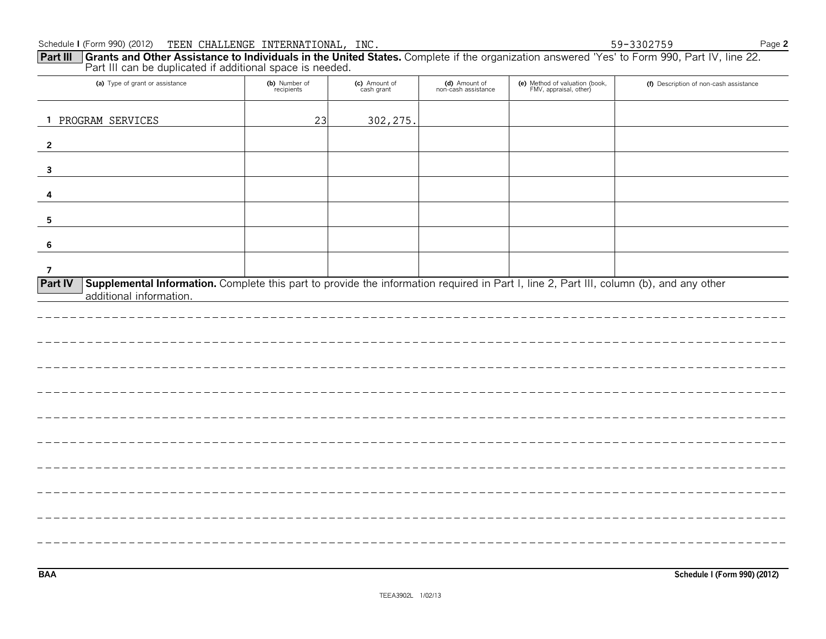$= -1$ 

| Schedule I (Form 990) (2012) TEEN CHALLENGE INTERNATIONAL, INC.                                                                                                                                                      |                             |                             |                                      |                                                          | 59-3302759                             | Page 2 |
|----------------------------------------------------------------------------------------------------------------------------------------------------------------------------------------------------------------------|-----------------------------|-----------------------------|--------------------------------------|----------------------------------------------------------|----------------------------------------|--------|
| Grants and Other Assistance to Individuals in the United States. Complete if the organization answered 'Yes' to Form 990, Part IV, line 22.<br>Part III<br>Part III can be duplicated if additional space is needed. |                             |                             |                                      |                                                          |                                        |        |
| (a) Type of grant or assistance                                                                                                                                                                                      | (b) Number of<br>recipients | (c) Amount of<br>cash grant | (d) Amount of<br>non-cash assistance | (e) Method of valuation (book,<br>FMV, appraisal, other) | (f) Description of non-cash assistance |        |
| 1 PROGRAM SERVICES                                                                                                                                                                                                   | 23                          | 302, 275.                   |                                      |                                                          |                                        |        |
| $\overline{2}$                                                                                                                                                                                                       |                             |                             |                                      |                                                          |                                        |        |
| $\mathbf{3}$                                                                                                                                                                                                         |                             |                             |                                      |                                                          |                                        |        |
| 4                                                                                                                                                                                                                    |                             |                             |                                      |                                                          |                                        |        |
| 5                                                                                                                                                                                                                    |                             |                             |                                      |                                                          |                                        |        |
| 6                                                                                                                                                                                                                    |                             |                             |                                      |                                                          |                                        |        |
| $\overline{7}$                                                                                                                                                                                                       |                             |                             |                                      |                                                          |                                        |        |
| Supplemental Information. Complete this part to provide the information required in Part I, line 2, Part III, column (b), and any other<br><b>Part IV</b><br>additional information.                                 |                             |                             |                                      |                                                          |                                        |        |
|                                                                                                                                                                                                                      |                             |                             |                                      |                                                          |                                        |        |
|                                                                                                                                                                                                                      |                             |                             |                                      |                                                          |                                        |        |
|                                                                                                                                                                                                                      |                             |                             |                                      |                                                          |                                        |        |
|                                                                                                                                                                                                                      |                             |                             |                                      |                                                          |                                        |        |
|                                                                                                                                                                                                                      |                             |                             |                                      |                                                          |                                        |        |
|                                                                                                                                                                                                                      |                             |                             |                                      |                                                          |                                        |        |
|                                                                                                                                                                                                                      |                             |                             |                                      |                                                          |                                        |        |
|                                                                                                                                                                                                                      |                             |                             |                                      |                                                          |                                        |        |
|                                                                                                                                                                                                                      |                             |                             |                                      |                                                          |                                        |        |
|                                                                                                                                                                                                                      |                             |                             |                                      |                                                          |                                        |        |

**BAA Schedule I (Form 990) (2012)**

\_\_\_\_\_\_\_\_\_\_\_\_\_\_\_\_\_\_\_\_\_\_\_\_\_\_\_\_\_\_\_\_\_

 $\frac{1}{2}$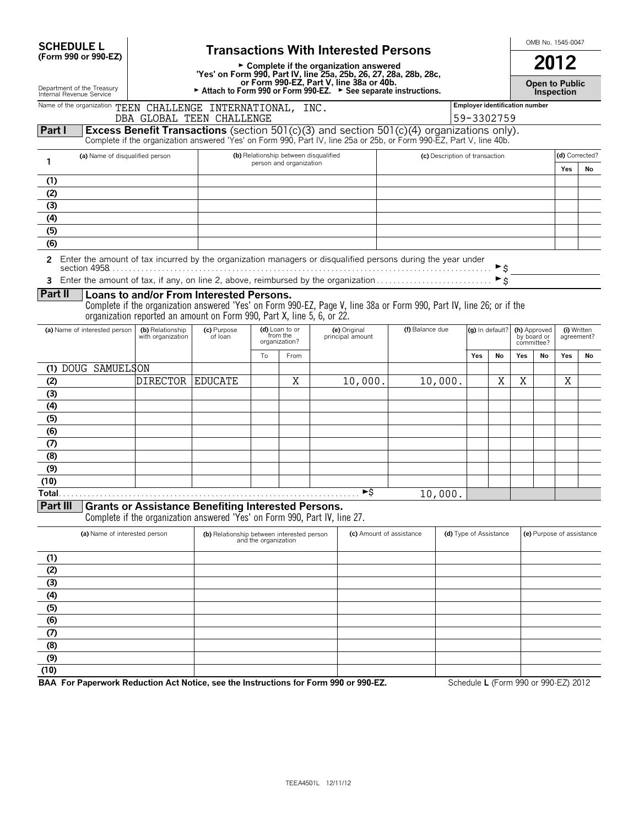| <b>SCHEDULE L</b>                            |  |
|----------------------------------------------|--|
| $T_{\text{max}}$ , 000 $\sim$ 000 $\text{F}$ |  |

| <b>SCHEDULE L</b>                                      | <b>Transactions With Interested Persons</b>                                                                                 | OMB No. 1545-0047                   |  |
|--------------------------------------------------------|-----------------------------------------------------------------------------------------------------------------------------|-------------------------------------|--|
| (Form 990 or 990-EZ)                                   | $\triangleright$ Complete if the organization answered<br>'Yes' on Form 990, Part IV, line 25a, 25b, 26, 27, 28a, 28b, 28c, | 2012                                |  |
| Department of the Treasury<br>Internal Revenue Service | or Form 990-EZ. Part V. line 38a or 40b.<br>Attach to Form 990 or Form 990-EZ. $\triangleright$ See separate instructions.  | <b>Open to Public</b><br>Inspection |  |

| Department of the freasur |  |  |
|---------------------------|--|--|
| Internal Revenue Service  |  |  |

#### Name of the organization **TEEN CHALLENGE INTERNATIONAL, INC. The Company of the Constantification number Part I Excess Benefit Transactions** (section 501(c)(3) and section 501(c)(4) organizations only). 59-3302759 DBA GLOBAL TEEN CHALLENGE

Complete if the organization answered 'Yes' on Form 990, Part IV, line 25a or 25b, or Form 990-EZ, Part V, line 40b.

|     | (a) Name of disqualified person | (b) Relationship between disqualified | (c) Description of transaction |  | (d) Corrected? |  |
|-----|---------------------------------|---------------------------------------|--------------------------------|--|----------------|--|
|     |                                 | person and organization               |                                |  | No             |  |
|     |                                 |                                       |                                |  |                |  |
| (2) |                                 |                                       |                                |  |                |  |
| (3) |                                 |                                       |                                |  |                |  |
| (4) |                                 |                                       |                                |  |                |  |
| (5) |                                 |                                       |                                |  |                |  |
| (6) |                                 |                                       |                                |  |                |  |

**2** Enter the amount of tax incurred by the organization managers or disqualified persons during the year under <u>Entor the americal conductive</u>s by the digeneration individual conduction of the conduction of the section 4958.

**<sup>3</sup>** Enter the amount of tax, if any, on line 2, above, reimbursed by the organization . . . . . . . . . . . . . . . . . . . . . . . . . . . . G\$

# **Part II Loans to and/or From Interested Persons.**

Complete if the organization answered 'Yes' on Form 990-EZ, Page V, line 38a or Form 990, Part IV, line 26; or if the organization reported an amount on Form 990, Part X, line 5, 6, or 22.

| (a) Name of interested person           | (b) Relationship<br>with organization | (c) Purpose<br>of loan |    | (d) Loan to or<br>from the<br>organization? | (e) Original<br>principal amount | (f) Balance due | (g) In default? |    | by board or<br>committee? | (h) Approved | (i) Written<br>agreement? |    |
|-----------------------------------------|---------------------------------------|------------------------|----|---------------------------------------------|----------------------------------|-----------------|-----------------|----|---------------------------|--------------|---------------------------|----|
|                                         |                                       |                        | To | From                                        |                                  |                 | Yes             | No | Yes                       | No           | Yes                       | No |
| (1) DOUG SAMUELSON                      |                                       |                        |    |                                             |                                  |                 |                 |    |                           |              |                           |    |
| (2)                                     | <b>DIRECTOR</b>                       | <b>EDUCATE</b>         |    | Χ                                           | 10,000.                          | 10,000.         |                 | Χ  | Χ                         |              | Χ                         |    |
| (3)                                     |                                       |                        |    |                                             |                                  |                 |                 |    |                           |              |                           |    |
| (4)                                     |                                       |                        |    |                                             |                                  |                 |                 |    |                           |              |                           |    |
| (5)                                     |                                       |                        |    |                                             |                                  |                 |                 |    |                           |              |                           |    |
| (6)                                     |                                       |                        |    |                                             |                                  |                 |                 |    |                           |              |                           |    |
| (7)                                     |                                       |                        |    |                                             |                                  |                 |                 |    |                           |              |                           |    |
| (8)                                     |                                       |                        |    |                                             |                                  |                 |                 |    |                           |              |                           |    |
| (9)                                     |                                       |                        |    |                                             |                                  |                 |                 |    |                           |              |                           |    |
| (10)                                    |                                       |                        |    |                                             |                                  |                 |                 |    |                           |              |                           |    |
| Total.<br>$\overline{R}$ $\overline{R}$ |                                       |                        |    |                                             | ►\$                              | 10,000.         |                 |    |                           |              |                           |    |

**Part III Grants or Assistance Benefiting Interested Persons.**

Complete if the organization answered 'Yes' on Form 990, Part IV, line 27.

|      | (a) Name of interested person | (b) Relationship between interested person<br>and the organization | (c) Amount of assistance | (d) Type of Assistance | (e) Purpose of assistance |
|------|-------------------------------|--------------------------------------------------------------------|--------------------------|------------------------|---------------------------|
| (1)  |                               |                                                                    |                          |                        |                           |
| (2)  |                               |                                                                    |                          |                        |                           |
| (3)  |                               |                                                                    |                          |                        |                           |
| (4)  |                               |                                                                    |                          |                        |                           |
| (5)  |                               |                                                                    |                          |                        |                           |
| (6)  |                               |                                                                    |                          |                        |                           |
| (7)  |                               |                                                                    |                          |                        |                           |
| (8)  |                               |                                                                    |                          |                        |                           |
| (9)  |                               |                                                                    |                          |                        |                           |
| (10) |                               |                                                                    |                          |                        |                           |

**BAA For Paperwork Reduction Act Notice, see the Instructions for Form 990 or 990-EZ.** Schedule L (Form 990 or 990-EZ) 2012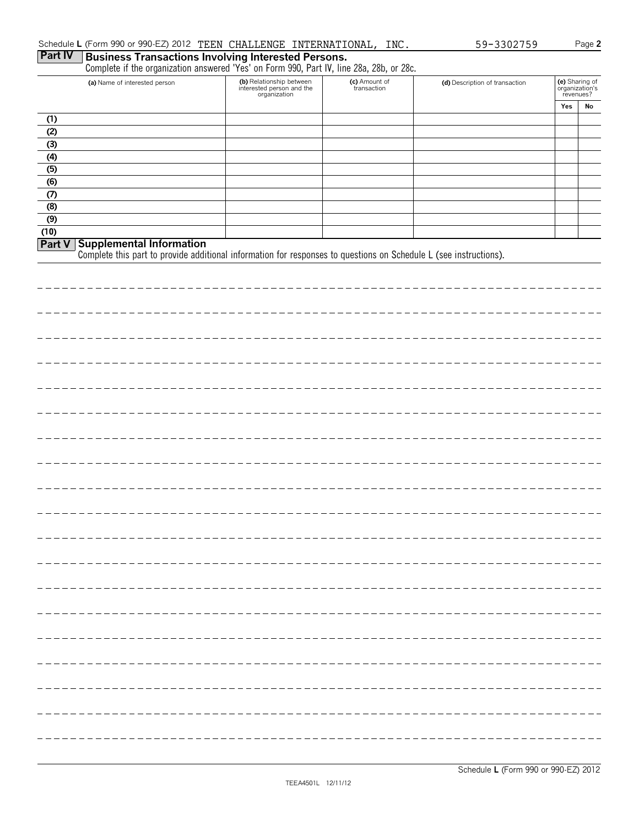|                  | (a) Name of interested person                                                                                                                               | (b) Relationship between<br>interested person and the<br>organization | (c) Amount of<br>transaction | (d) Description of transaction | (e) Sharing of<br>organization's<br>revenues? |    |
|------------------|-------------------------------------------------------------------------------------------------------------------------------------------------------------|-----------------------------------------------------------------------|------------------------------|--------------------------------|-----------------------------------------------|----|
|                  |                                                                                                                                                             |                                                                       |                              |                                | Yes                                           | No |
| (1)              |                                                                                                                                                             |                                                                       |                              |                                |                                               |    |
| (2)              |                                                                                                                                                             |                                                                       |                              |                                |                                               |    |
| (3)              |                                                                                                                                                             |                                                                       |                              |                                |                                               |    |
| (4)              |                                                                                                                                                             |                                                                       |                              |                                |                                               |    |
| (5)<br>(6)       |                                                                                                                                                             |                                                                       |                              |                                |                                               |    |
| (7)              |                                                                                                                                                             |                                                                       |                              |                                |                                               |    |
| (8)              |                                                                                                                                                             |                                                                       |                              |                                |                                               |    |
| $\overline{(9)}$ |                                                                                                                                                             |                                                                       |                              |                                |                                               |    |
| (10)             |                                                                                                                                                             |                                                                       |                              |                                |                                               |    |
|                  | <b>Part V</b> Supplemental Information<br>Complete this part to provide additional information for responses to questions on Schedule L (see instructions). |                                                                       |                              |                                |                                               |    |
|                  |                                                                                                                                                             |                                                                       |                              |                                |                                               |    |
|                  |                                                                                                                                                             |                                                                       |                              |                                |                                               |    |
|                  |                                                                                                                                                             |                                                                       |                              |                                |                                               |    |
|                  |                                                                                                                                                             |                                                                       |                              |                                |                                               |    |
|                  |                                                                                                                                                             |                                                                       |                              |                                |                                               |    |
|                  |                                                                                                                                                             |                                                                       |                              |                                |                                               |    |
|                  |                                                                                                                                                             |                                                                       |                              |                                |                                               |    |
|                  |                                                                                                                                                             |                                                                       |                              |                                |                                               |    |
|                  |                                                                                                                                                             |                                                                       |                              |                                |                                               |    |
|                  |                                                                                                                                                             |                                                                       |                              |                                |                                               |    |
|                  |                                                                                                                                                             |                                                                       |                              |                                |                                               |    |
|                  |                                                                                                                                                             |                                                                       |                              |                                |                                               |    |
|                  |                                                                                                                                                             |                                                                       |                              |                                |                                               |    |
|                  |                                                                                                                                                             |                                                                       |                              |                                |                                               |    |
|                  |                                                                                                                                                             |                                                                       |                              |                                |                                               |    |
|                  |                                                                                                                                                             |                                                                       |                              |                                |                                               |    |
|                  |                                                                                                                                                             |                                                                       |                              |                                |                                               |    |
|                  |                                                                                                                                                             |                                                                       |                              |                                |                                               |    |
|                  |                                                                                                                                                             |                                                                       |                              |                                |                                               |    |
|                  |                                                                                                                                                             |                                                                       |                              |                                |                                               |    |
|                  |                                                                                                                                                             |                                                                       |                              |                                |                                               |    |
|                  |                                                                                                                                                             |                                                                       |                              |                                |                                               |    |
|                  |                                                                                                                                                             |                                                                       |                              |                                |                                               |    |
|                  |                                                                                                                                                             |                                                                       |                              |                                |                                               |    |
|                  |                                                                                                                                                             |                                                                       |                              |                                |                                               |    |
|                  |                                                                                                                                                             |                                                                       |                              |                                |                                               |    |
|                  |                                                                                                                                                             |                                                                       |                              |                                |                                               |    |
|                  |                                                                                                                                                             |                                                                       |                              |                                |                                               |    |
|                  |                                                                                                                                                             |                                                                       |                              |                                |                                               |    |
|                  |                                                                                                                                                             |                                                                       |                              |                                |                                               |    |
|                  |                                                                                                                                                             |                                                                       |                              |                                |                                               |    |
|                  |                                                                                                                                                             |                                                                       |                              |                                |                                               |    |
|                  |                                                                                                                                                             |                                                                       |                              |                                |                                               |    |
|                  |                                                                                                                                                             |                                                                       |                              |                                |                                               |    |